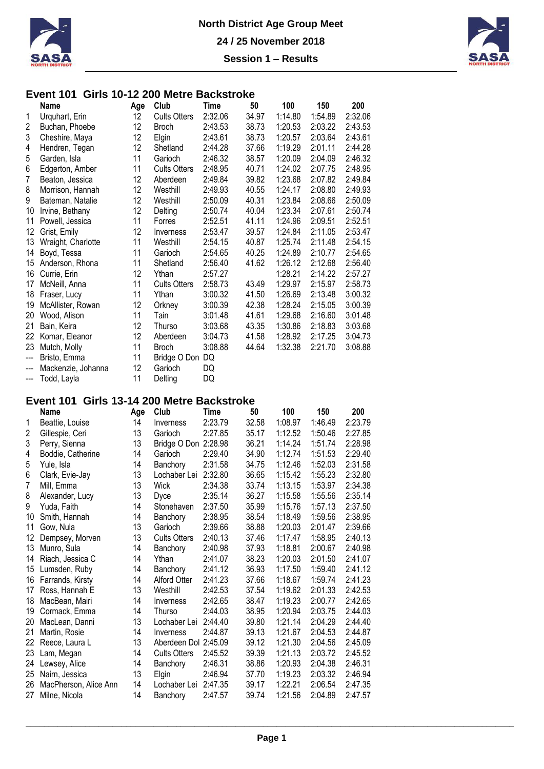



#### **Event 101 Girls 10-12 200 Metre Backstroke**

|                | Name               | Age | Club                | Time    | 50    | 100     | 150     | 200     |
|----------------|--------------------|-----|---------------------|---------|-------|---------|---------|---------|
| 1              | Urquhart, Erin     | 12  | <b>Cults Otters</b> | 2:32.06 | 34.97 | 1:14.80 | 1:54.89 | 2:32.06 |
| 2              | Buchan, Phoebe     | 12  | <b>Broch</b>        | 2:43.53 | 38.73 | 1:20.53 | 2:03.22 | 2:43.53 |
| 3              | Cheshire, Maya     | 12  | Elgin               | 2:43.61 | 38.73 | 1:20.57 | 2:03.64 | 2:43.61 |
| 4              | Hendren, Tegan     | 12  | Shetland            | 2:44.28 | 37.66 | 1:19.29 | 2:01.11 | 2:44.28 |
| 5              | Garden, Isla       | 11  | Garioch             | 2:46.32 | 38.57 | 1:20.09 | 2:04.09 | 2:46.32 |
| 6              | Edgerton, Amber    | 11  | <b>Cults Otters</b> | 2:48.95 | 40.71 | 1:24.02 | 2:07.75 | 2:48.95 |
| 7              | Beaton, Jessica    | 12  | Aberdeen            | 2:49.84 | 39.82 | 1:23.68 | 2:07.82 | 2:49.84 |
| 8              | Morrison, Hannah   | 12  | Westhill            | 2:49.93 | 40.55 | 1:24.17 | 2:08.80 | 2:49.93 |
| 9              | Bateman, Natalie   | 12  | Westhill            | 2:50.09 | 40.31 | 1:23.84 | 2:08.66 | 2:50.09 |
| 10             | Irvine, Bethany    | 12  | Delting             | 2:50.74 | 40.04 | 1:23.34 | 2:07.61 | 2:50.74 |
| 11             | Powell, Jessica    | 11  | Forres              | 2:52.51 | 41.11 | 1:24.96 | 2:09.51 | 2:52.51 |
| 12             | Grist, Emily       | 12  | Inverness           | 2:53.47 | 39.57 | 1:24.84 | 2:11.05 | 2:53.47 |
| 13             | Wraight, Charlotte | 11  | Westhill            | 2:54.15 | 40.87 | 1:25.74 | 2:11.48 | 2:54.15 |
| 14             | Boyd, Tessa        | 11  | Garioch             | 2:54.65 | 40.25 | 1:24.89 | 2:10.77 | 2:54.65 |
| 15             | Anderson, Rhona    | 11  | Shetland            | 2:56.40 | 41.62 | 1:26.12 | 2:12.68 | 2:56.40 |
| 16             | Currie, Erin       | 12  | Ythan               | 2:57.27 |       | 1:28.21 | 2:14.22 | 2:57.27 |
| 17             | McNeill, Anna      | 11  | <b>Cults Otters</b> | 2:58.73 | 43.49 | 1:29.97 | 2:15.97 | 2:58.73 |
| 18             | Fraser, Lucy       | 11  | Ythan               | 3:00.32 | 41.50 | 1:26.69 | 2:13.48 | 3:00.32 |
| 19             | McAllister, Rowan  | 12  | Orkney              | 3:00.39 | 42.38 | 1:28.24 | 2:15.05 | 3:00.39 |
| 20             | Wood, Alison       | 11  | Tain                | 3:01.48 | 41.61 | 1:29.68 | 2:16.60 | 3:01.48 |
| 21             | Bain, Keira        | 12  | Thurso              | 3:03.68 | 43.35 | 1:30.86 | 2:18.83 | 3:03.68 |
| 22             | Komar, Eleanor     | 12  | Aberdeen            | 3:04.73 | 41.58 | 1:28.92 | 2:17.25 | 3:04.73 |
| 23             | Mutch, Molly       | 11  | <b>Broch</b>        | 3:08.88 | 44.64 | 1:32.38 | 2:21.70 | 3:08.88 |
| $\overline{a}$ | Bristo, Emma       | 11  | Bridge O Don        | DQ      |       |         |         |         |
| ---            | Mackenzie, Johanna | 12  | Garioch             | DQ      |       |         |         |         |
| ---            | Todd, Layla        | 11  | Delting             | DQ      |       |         |         |         |

# **Event 101 Girls 13-14 200 Metre Backstroke**

|    | Name                  | Age | Club                 | Time    | 50    | 100     | 150     | 200     |
|----|-----------------------|-----|----------------------|---------|-------|---------|---------|---------|
| 1  | Beattie, Louise       | 14  | Inverness            | 2:23.79 | 32.58 | 1:08.97 | 1:46.49 | 2:23.79 |
| 2  | Gillespie, Ceri       | 13  | Garioch              | 2:27.85 | 35.17 | 1:12.52 | 1:50.46 | 2:27.85 |
| 3  | Perry, Sienna         | 13  | Bridge O Don 2:28.98 |         | 36.21 | 1:14.24 | 1:51.74 | 2:28.98 |
| 4  | Boddie, Catherine     | 14  | Garioch              | 2:29.40 | 34.90 | 1:12.74 | 1:51.53 | 2:29.40 |
| 5  | Yule, Isla            | 14  | Banchory             | 2:31.58 | 34.75 | 1:12.46 | 1:52.03 | 2:31.58 |
| 6  | Clark, Evie-Jay       | 13  | Lochaber Lei         | 2:32.80 | 36.65 | 1:15.42 | 1:55.23 | 2:32.80 |
| 7  | Mill, Emma            | 13  | Wick                 | 2:34.38 | 33.74 | 1:13.15 | 1:53.97 | 2:34.38 |
| 8  | Alexander, Lucy       | 13  | Dyce                 | 2:35.14 | 36.27 | 1:15.58 | 1:55.56 | 2:35.14 |
| 9  | Yuda, Faith           | 14  | Stonehaven           | 2:37.50 | 35.99 | 1:15.76 | 1:57.13 | 2:37.50 |
| 10 | Smith, Hannah         | 14  | Banchory             | 2:38.95 | 38.54 | 1:18.49 | 1:59.56 | 2:38.95 |
| 11 | Gow, Nula             | 13  | Garioch              | 2:39.66 | 38.88 | 1:20.03 | 2:01.47 | 2:39.66 |
| 12 | Dempsey, Morven       | 13  | <b>Cults Otters</b>  | 2:40.13 | 37.46 | 1:17.47 | 1:58.95 | 2:40.13 |
| 13 | Munro, Sula           | 14  | Banchory             | 2:40.98 | 37.93 | 1:18.81 | 2:00.67 | 2:40.98 |
| 14 | Riach, Jessica C      | 14  | Ythan                | 2:41.07 | 38.23 | 1:20.03 | 2:01.50 | 2:41.07 |
| 15 | Lumsden, Ruby         | 14  | Banchory             | 2:41.12 | 36.93 | 1:17.50 | 1:59.40 | 2:41.12 |
| 16 | Farrands, Kirsty      | 14  | <b>Alford Otter</b>  | 2:41.23 | 37.66 | 1:18.67 | 1:59.74 | 2:41.23 |
| 17 | Ross, Hannah E        | 13  | Westhill             | 2:42.53 | 37.54 | 1:19.62 | 2:01.33 | 2:42.53 |
| 18 | MacBean, Mairi        | 14  | Inverness            | 2:42.65 | 38.47 | 1:19.23 | 2:00.77 | 2:42.65 |
| 19 | Cormack, Emma         | 14  | Thurso               | 2:44.03 | 38.95 | 1:20.94 | 2:03.75 | 2:44.03 |
| 20 | MacLean, Danni        | 13  | Lochaber Lei         | 2:44.40 | 39.80 | 1:21.14 | 2:04.29 | 2:44.40 |
| 21 | Martin, Rosie         | 14  | Inverness            | 2:44.87 | 39.13 | 1:21.67 | 2:04.53 | 2:44.87 |
| 22 | Reece, Laura L        | 13  | Aberdeen Dol 2:45.09 |         | 39.12 | 1:21.30 | 2:04.56 | 2:45.09 |
| 23 | Lam, Megan            | 14  | <b>Cults Otters</b>  | 2:45.52 | 39.39 | 1:21.13 | 2:03.72 | 2:45.52 |
| 24 | Lewsey, Alice         | 14  | Banchory             | 2:46.31 | 38.86 | 1:20.93 | 2:04.38 | 2:46.31 |
| 25 | Nairn, Jessica        | 13  | Elgin                | 2:46.94 | 37.70 | 1:19.23 | 2:03.32 | 2:46.94 |
| 26 | MacPherson, Alice Ann | 14  | Lochaber Lei         | 2:47.35 | 39.17 | 1:22.21 | 2:06.54 | 2:47.35 |
| 27 | Milne, Nicola         | 14  | Banchory             | 2:47.57 | 39.74 | 1:21.56 | 2:04.89 | 2:47.57 |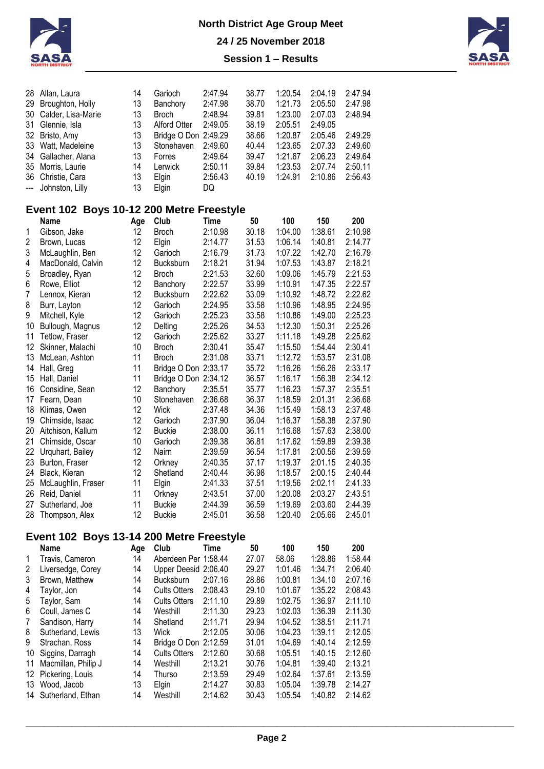



| 28               | Allan, Laura                             | 14  | Garioch              | 2:47.94     | 38.77 | 1:20.54 | 2:04.19 | 2:47.94 |
|------------------|------------------------------------------|-----|----------------------|-------------|-------|---------|---------|---------|
| 29               | Broughton, Holly                         | 13  | Banchory             | 2:47.98     | 38.70 | 1:21.73 | 2:05.50 | 2:47.98 |
| 30               | Calder, Lisa-Marie                       | 13  | <b>Broch</b>         | 2:48.94     | 39.81 | 1:23.00 | 2:07.03 | 2:48.94 |
| 31               | Glennie, Isla                            | 13  | <b>Alford Otter</b>  | 2:49.05     | 38.19 | 2:05.51 | 2:49.05 |         |
|                  | 32 Bristo, Amy                           | 13  | Bridge O Don 2:49.29 |             | 38.66 | 1:20.87 | 2:05.46 | 2:49.29 |
|                  | 33 Watt, Madeleine                       | 13  | Stonehaven           | 2:49.60     | 40.44 | 1:23.65 | 2:07.33 | 2:49.60 |
| 34               | Gallacher, Alana                         | 13  | Forres               | 2:49.64     | 39.47 | 1:21.67 | 2:06.23 | 2:49.64 |
| 35               | Morris, Laurie                           | 14  | Lerwick              | 2:50.11     | 39.84 | 1:23.53 | 2:07.74 | 2:50.11 |
| 36               | Christie, Cara                           | 13  | Elgin                | 2:56.43     | 40.19 | 1:24.91 | 2:10.86 | 2:56.43 |
| ---              | Johnston, Lilly                          | 13  | Elgin                | DQ          |       |         |         |         |
|                  | Event 102 Boys 10-12 200 Metre Freestyle |     |                      |             |       |         |         |         |
|                  | <b>Name</b>                              | Age | Club                 | <b>Time</b> | 50    | 100     | 150     | 200     |
| 1                | Gibson, Jake                             | 12  | <b>Broch</b>         | 2:10.98     | 30.18 | 1:04.00 | 1:38.61 | 2:10.98 |
| $\overline{2}$   | Brown, Lucas                             | 12  | Elgin                | 2:14.77     | 31.53 | 1:06.14 | 1:40.81 | 2:14.77 |
| 3                | McLaughlin, Ben                          | 12  | Garioch              | 2:16.79     | 31.73 | 1:07.22 | 1:42.70 | 2:16.79 |
| 4                | MacDonald, Calvin                        | 12  | Bucksburn            | 2:18.21     | 31.94 | 1:07.53 | 1:43.87 | 2:18.21 |
| 5                | Broadley, Ryan                           | 12  | <b>Broch</b>         | 2:21.53     | 32.60 | 1:09.06 | 1:45.79 | 2:21.53 |
| 6                | Rowe, Elliot                             | 12  | Banchory             | 2:22.57     | 33.99 | 1:10.91 | 1:47.35 | 2:22.57 |
| $\boldsymbol{7}$ | Lennox, Kieran                           | 12  | Bucksburn            | 2:22.62     | 33.09 | 1:10.92 | 1:48.72 | 2:22.62 |
| 8                | Burr, Layton                             | 12  | Garioch              | 2:24.95     | 33.58 | 1:10.96 | 1:48.95 | 2:24.95 |
| 9                | Mitchell, Kyle                           | 12  | Garioch              | 2:25.23     | 33.58 | 1:10.86 | 1:49.00 | 2:25.23 |
| 10               | Bullough, Magnus                         | 12  | Delting              | 2:25.26     | 34.53 | 1:12.30 | 1:50.31 | 2:25.26 |
| 11               | Tetlow, Fraser                           | 12  | Garioch              | 2:25.62     | 33.27 | 1:11.18 | 1:49.28 | 2:25.62 |
| 12 <sup>°</sup>  | Skinner, Malachi                         | 10  | <b>Broch</b>         | 2:30.41     | 35.47 | 1:15.50 | 1:54.44 | 2:30.41 |
| 13               | McLean, Ashton                           | 11  | <b>Broch</b>         | 2:31.08     | 33.71 | 1:12.72 | 1:53.57 | 2:31.08 |
| 14               | Hall, Greg                               | 11  | Bridge O Don 2:33.17 |             | 35.72 | 1:16.26 | 1:56.26 | 2:33.17 |
| 15               | Hall, Daniel                             | 11  | Bridge O Don 2:34.12 |             | 36.57 | 1:16.17 | 1:56.38 | 2:34.12 |
| 16               | Considine, Sean                          | 12  | Banchory             | 2:35.51     | 35.77 | 1:16.23 | 1:57.37 | 2:35.51 |
| 17               | Fearn, Dean                              | 10  | Stonehaven           | 2:36.68     | 36.37 | 1:18.59 | 2:01.31 | 2:36.68 |
|                  | 18 Klimas, Owen                          | 12  | <b>Wick</b>          | 2:37.48     | 34.36 | 1:15.49 | 1:58.13 | 2:37.48 |
| 19               | Chirnside, Isaac                         | 12  | Garioch              | 2:37.90     | 36.04 | 1:16.37 | 1:58.38 | 2:37.90 |
| 20               | Aitchison, Kallum                        | 12  | <b>Buckie</b>        | 2:38.00     | 36.11 | 1:16.68 | 1:57.63 | 2:38.00 |
| 21               | Chirnside, Oscar                         | 10  | Garioch              | 2:39.38     | 36.81 | 1:17.62 | 1:59.89 | 2:39.38 |
|                  | 22 Urquhart, Bailey                      | 12  | Nairn                | 2:39.59     | 36.54 | 1:17.81 | 2:00.56 | 2:39.59 |
| 23               | Burton, Fraser                           | 12  | Orkney               | 2:40.35     | 37.17 | 1:19.37 | 2:01.15 | 2:40.35 |
|                  | 24 Black, Kieran                         | 12  | Shetland             | 2:40.44     | 36.98 | 1:18.57 | 2:00.15 | 2:40.44 |
| 25               | McLaughlin, Fraser                       | 11  | Elgin                | 2:41.33     | 37.51 | 1:19.56 | 2:02.11 | 2:41.33 |
| 26               | Reid, Daniel                             | 11  | Orkney               | 2:43.51     | 37.00 | 1:20.08 | 2:03.27 | 2:43.51 |
| 27               | Sutherland, Joe                          | 11  | <b>Buckie</b>        | 2:44.39     | 36.59 | 1:19.69 | 2:03.60 | 2:44.39 |
| 28               | Thompson, Alex                           | 12  | <b>Buckie</b>        | 2:45.01     | 36.58 | 1:20.40 | 2:05.66 | 2:45.01 |

# **Event 102 Boys 13-14 200 Metre Freestyle**

|    | Name                | Age | Club                 | Time    | 50    | 100     | 150     | 200     |
|----|---------------------|-----|----------------------|---------|-------|---------|---------|---------|
| 1  | Travis, Cameron     | 14  | Aberdeen Per 1:58.44 |         | 27.07 | 58.06   | 1:28.86 | 1:58.44 |
| 2  | Liversedge, Corey   | 14  | Upper Deesid 2:06.40 |         | 29.27 | 1:01.46 | 1:34.71 | 2:06.40 |
| 3  | Brown, Matthew      | 14  | <b>Bucksburn</b>     | 2:07.16 | 28.86 | 1:00.81 | 1:34.10 | 2:07.16 |
| 4  | Taylor, Jon         | 14  | <b>Cults Otters</b>  | 2:08.43 | 29.10 | 1:01.67 | 1:35.22 | 2:08.43 |
| 5  | Taylor, Sam         | 14  | <b>Cults Otters</b>  | 2:11.10 | 29.89 | 1:02.75 | 1:36.97 | 2:11.10 |
| 6  | Coull. James C      | 14  | Westhill             | 2:11.30 | 29.23 | 1:02.03 | 1:36.39 | 2:11.30 |
| 7  | Sandison, Harry     | 14  | Shetland             | 2:11.71 | 29.94 | 1:04.52 | 1:38.51 | 2:11.71 |
| 8  | Sutherland, Lewis   | 13  | <b>Wick</b>          | 2:12.05 | 30.06 | 1:04.23 | 1:39.11 | 2:12.05 |
| 9  | Strachan, Ross      | 14  | Bridge O Don 2:12.59 |         | 31.01 | 1:04.69 | 1:40.14 | 2:12.59 |
| 10 | Siggins, Darragh    | 14  | <b>Cults Otters</b>  | 2:12.60 | 30.68 | 1:05.51 | 1:40.15 | 2:12.60 |
| 11 | Macmillan, Philip J | 14  | Westhill             | 2:13.21 | 30.76 | 1:04.81 | 1:39.40 | 2:13.21 |
| 12 | Pickering, Louis    | 14  | Thurso               | 2:13.59 | 29.49 | 1:02.64 | 1:37.61 | 2:13.59 |
| 13 | Wood, Jacob         | 13  | <b>Elgin</b>         | 2:14.27 | 30.83 | 1:05.04 | 1:39.78 | 2:14.27 |
| 14 | Sutherland, Ethan   | 14  | Westhill             | 2:14.62 | 30.43 | 1:05.54 | 1:40.82 | 2:14.62 |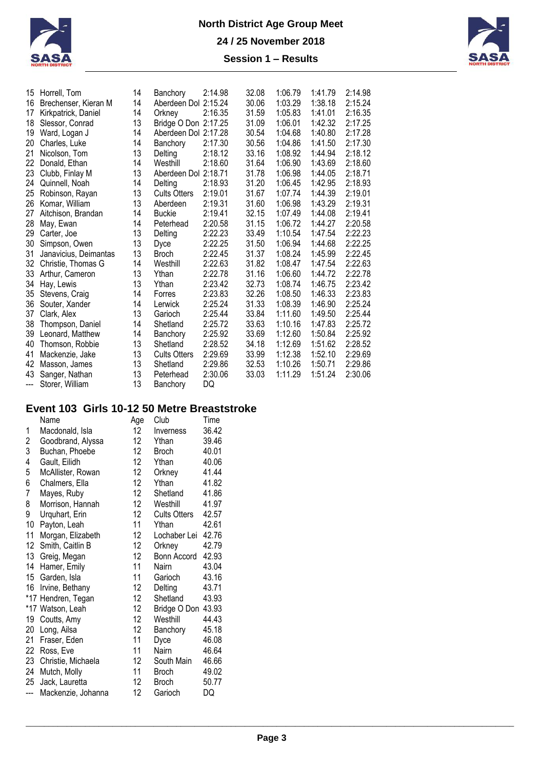



| 15  | Horrell, Tom          | 14 | Banchory             | 2:14.98 | 32.08 | 1:06.79 | 1:41.79 | 2:14.98 |
|-----|-----------------------|----|----------------------|---------|-------|---------|---------|---------|
| 16  | Brechenser, Kieran M  | 14 | Aberdeen Dol 2:15.24 |         | 30.06 | 1:03.29 | 1:38.18 | 2:15.24 |
| 17  | Kirkpatrick, Daniel   | 14 | Orkney               | 2:16.35 | 31.59 | 1:05.83 | 1:41.01 | 2:16.35 |
| 18  | Slessor, Conrad       | 13 | Bridge O Don 2:17.25 |         | 31.09 | 1:06.01 | 1:42.32 | 2:17.25 |
| 19  | Ward, Logan J         | 14 | Aberdeen Dol 2:17.28 |         | 30.54 | 1:04.68 | 1:40.80 | 2:17.28 |
| 20  | Charles, Luke         | 14 | Banchory             | 2:17.30 | 30.56 | 1:04.86 | 1:41.50 | 2:17.30 |
| 21  | Nicolson, Tom         | 13 | Deltina              | 2:18.12 | 33.16 | 1:08.92 | 1:44.94 | 2:18.12 |
| 22  | Donald, Ethan         | 14 | Westhill             | 2:18.60 | 31.64 | 1:06.90 | 1:43.69 | 2:18.60 |
| 23  | Clubb, Finlay M       | 13 | Aberdeen Dol 2:18.71 |         | 31.78 | 1:06.98 | 1:44.05 | 2:18.71 |
| 24  | Quinnell, Noah        | 14 | Delting              | 2:18.93 | 31.20 | 1:06.45 | 1:42.95 | 2:18.93 |
| 25  | Robinson, Rayan       | 13 | <b>Cults Otters</b>  | 2:19.01 | 31.67 | 1:07.74 | 1:44.39 | 2:19.01 |
| 26  | Komar, William        | 13 | Aberdeen             | 2:19.31 | 31.60 | 1:06.98 | 1:43.29 | 2:19.31 |
| 27  | Aitchison, Brandan    | 14 | <b>Buckie</b>        | 2:19.41 | 32.15 | 1:07.49 | 1:44.08 | 2:19.41 |
| 28  | May, Ewan             | 14 | Peterhead            | 2:20.58 | 31.15 | 1:06.72 | 1:44.27 | 2:20.58 |
| 29  | Carter, Joe           | 13 | Delting              | 2:22.23 | 33.49 | 1:10.54 | 1:47.54 | 2:22.23 |
| 30  | Simpson, Owen         | 13 | Dyce                 | 2:22.25 | 31.50 | 1:06.94 | 1:44.68 | 2:22.25 |
| 31  | Janavicius, Deimantas | 13 | <b>Broch</b>         | 2:22.45 | 31.37 | 1:08.24 | 1:45.99 | 2:22.45 |
| 32  | Christie, Thomas G    | 14 | Westhill             | 2:22.63 | 31.82 | 1:08.47 | 1:47.54 | 2:22.63 |
| 33  | Arthur, Cameron       | 13 | Ythan                | 2:22.78 | 31.16 | 1:06.60 | 1:44.72 | 2:22.78 |
| 34  | Hay, Lewis            | 13 | Ythan                | 2:23.42 | 32.73 | 1:08.74 | 1:46.75 | 2:23.42 |
| 35  | Stevens, Craig        | 14 | Forres               | 2:23.83 | 32.26 | 1:08.50 | 1:46.33 | 2:23.83 |
| 36  | Souter, Xander        | 14 | Lerwick              | 2:25.24 | 31.33 | 1:08.39 | 1:46.90 | 2:25.24 |
| 37  | Clark, Alex           | 13 | Garioch              | 2:25.44 | 33.84 | 1:11.60 | 1:49.50 | 2:25.44 |
| 38  | Thompson, Daniel      | 14 | Shetland             | 2:25.72 | 33.63 | 1:10.16 | 1:47.83 | 2:25.72 |
| 39  | Leonard, Matthew      | 14 | Banchory             | 2:25.92 | 33.69 | 1:12.60 | 1:50.84 | 2:25.92 |
| 40  | Thomson, Robbie       | 13 | Shetland             | 2:28.52 | 34.18 | 1:12.69 | 1:51.62 | 2:28.52 |
| 41  | Mackenzie, Jake       | 13 | <b>Cults Otters</b>  | 2:29.69 | 33.99 | 1:12.38 | 1:52.10 | 2:29.69 |
| 42  | Masson, James         | 13 | Shetland             | 2:29.86 | 32.53 | 1:10.26 | 1:50.71 | 2:29.86 |
| 43  | Sanger, Nathan        | 13 | Peterhead            | 2:30.06 | 33.03 | 1:11.29 | 1:51.24 | 2:30.06 |
| --- | Storer, William       | 13 | Banchory             | DQ      |       |         |         |         |

# **Event 103 Girls 10-12 50 Metre Breaststroke**

|                | Name               | Age             | Club                | Time  |
|----------------|--------------------|-----------------|---------------------|-------|
| 1              | Macdonald, Isla    | 12 <sup>°</sup> | Inverness           | 36.42 |
| 2              | Goodbrand, Alyssa  | 12              | Ythan               | 39.46 |
| 3              | Buchan, Phoebe     | 12              | <b>Broch</b>        | 40.01 |
| 4              | Gault, Eilidh      | 12 <sup>°</sup> | Ythan               | 40.06 |
| 5              | McAllister, Rowan  | 12              | Orkney              | 41.44 |
| 6              | Chalmers, Ella     | 12 <sup>°</sup> | Ythan               | 41.82 |
| $\overline{7}$ | Mayes, Ruby        | 12 <sup>°</sup> | Shetland            | 41.86 |
| 8              | Morrison, Hannah   | 12 <sup>°</sup> | Westhill            | 41.97 |
| 9              | Urquhart, Erin     | 12              | <b>Cults Otters</b> | 42.57 |
| 10             | Payton, Leah       | 11              | Ythan               | 42.61 |
| 11             | Morgan, Elizabeth  | 12              | Lochaber Lei        | 42.76 |
| 12             | Smith, Caitlin B   | 12              | Orkney              | 42.79 |
| 13             | Greig, Megan       | 12              | Bonn Accord         | 42.93 |
| 14             | Hamer, Emily       | 11              | Nairn               | 43.04 |
| 15             | Garden, Isla       | 11              | Garioch             | 43.16 |
| 16             | Irvine, Bethany    | 12              | Delting             | 43.71 |
|                | *17 Hendren, Tegan | 12 <sup>°</sup> | Shetland            | 43.93 |
|                | *17 Watson, Leah   | 12 <sup>°</sup> | Bridge O Don        | 43.93 |
| 19             | Coutts, Amy        | 12              | Westhill            | 44.43 |
| 20             | Long, Ailsa        | 12              | Banchory            | 45.18 |
| 21             | Fraser, Eden       | 11              | Dyce                | 46.08 |
| 22             | Ross, Eve          | 11              | Nairn               | 46.64 |
| 23             | Christie, Michaela | 12              | South Main          | 46.66 |
| 24             | Mutch, Molly       | 11              | <b>Broch</b>        | 49.02 |
| 25             | Jack, Lauretta     | 12 <sup>°</sup> | <b>Broch</b>        | 50.77 |
| $\overline{a}$ | Mackenzie, Johanna | 12              | Garioch             | DQ    |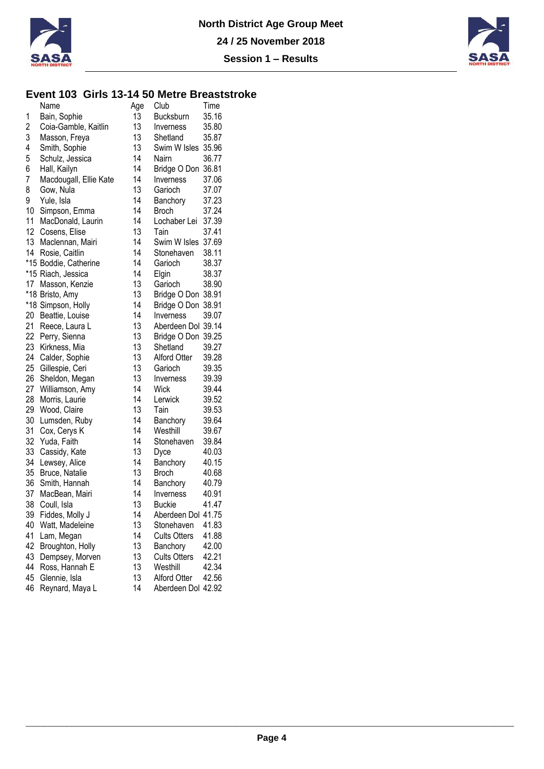



### **Event 103 Girls 13-14 50 Metre Breaststroke**

|                  | Name                   | Age | Club                | Time  |
|------------------|------------------------|-----|---------------------|-------|
| 1                | Bain, Sophie           | 13  | Bucksburn           | 35.16 |
| 2                | Coia-Gamble, Kaitlin   | 13  | <b>Inverness</b>    | 35.80 |
| 3                | Masson, Freya          | 13  | Shetland            | 35.87 |
| 4                | Smith, Sophie          | 13  | Swim W Isles 35.96  |       |
| 5                | Schulz, Jessica        | 14  | Nairn               | 36.77 |
| 6                | Hall, Kailyn           | 14  | Bridge O Don 36.81  |       |
| 7                | Macdougall, Ellie Kate | 14  | Inverness           | 37.06 |
| 8                | Gow, Nula              | 13  | Garioch             | 37.07 |
| 9                | Yule, Isla             | 14  | Banchory            | 37.23 |
| 10               | Simpson, Emma          | 14  | <b>Broch</b>        | 37.24 |
| 11               | MacDonald, Laurin      | 14  | Lochaber Lei        | 37.39 |
| 12               | Cosens, Elise          | 13  | Tain                | 37.41 |
| 13 <sup>13</sup> | Maclennan, Mairi       | 14  | Swim W Isles 37.69  |       |
| 14               | Rosie, Caitlin         | 14  | Stonehaven          | 38.11 |
|                  | *15 Boddie, Catherine  | 14  | Garioch             | 38.37 |
|                  | *15 Riach, Jessica     | 14  | Elgin               | 38.37 |
| 17 <sup>17</sup> | Masson, Kenzie         | 13  | Garioch             | 38.90 |
|                  | *18 Bristo, Amy        | 13  | Bridge O Don 38.91  |       |
|                  | *18 Simpson, Holly     | 14  | Bridge O Don 38.91  |       |
| 20               | Beattie, Louise        | 14  | Inverness           | 39.07 |
| 21               | Reece, Laura L         | 13  | Aberdeen Dol 39.14  |       |
| 22               | Perry, Sienna          | 13  | Bridge O Don 39.25  |       |
| 23               | Kirkness, Mia          | 13  | Shetland            | 39.27 |
| 24               | Calder, Sophie         | 13  | Alford Otter        | 39.28 |
| 25 <sub>2</sub>  | Gillespie, Ceri        | 13  | Garioch             | 39.35 |
| 26               | Sheldon, Megan         | 13  | Inverness           | 39.39 |
| 27               | Williamson, Amy        | 14  | <b>Wick</b>         | 39.44 |
| 28               | Morris, Laurie         | 14  | Lerwick             | 39.52 |
| 29               | Wood, Claire           | 13  | Tain                | 39.53 |
| 30               | Lumsden, Ruby          | 14  | Banchory            | 39.64 |
| 31               | Cox, Cerys K           | 14  | Westhill            | 39.67 |
| 32               | Yuda, Faith            | 14  | Stonehaven          | 39.84 |
| 33               | Cassidy, Kate          | 13  | Dyce                | 40.03 |
| 34               | Lewsey, Alice          | 14  | Banchory            | 40.15 |
| 35               | Bruce, Natalie         | 13  | <b>Broch</b>        | 40.68 |
| 36               | Smith, Hannah          | 14  | Banchory            | 40.79 |
| 37               | MacBean, Mairi         | 14  | Inverness           | 40.91 |
| 38               | Coull, Isla            | 13  | <b>Buckie</b>       | 41.47 |
| 39               | Fiddes, Molly J        | 14  | Aberdeen Dol 41.75  |       |
| 40               | Watt, Madeleine        | 13  | Stonehaven          | 41.83 |
| 41               | Lam, Megan             | 14  | <b>Cults Otters</b> | 41.88 |
| 42               | Broughton, Holly       | 13  | Banchory            | 42.00 |
| 43               | Dempsey, Morven        | 13  | <b>Cults Otters</b> | 42.21 |
| 44               | Ross, Hannah E         | 13  | Westhill            | 42.34 |
| 45               | Glennie, Isla          | 13  | <b>Alford Otter</b> | 42.56 |
| 46               | Reynard, Maya L        | 14  | Aberdeen Dol 42.92  |       |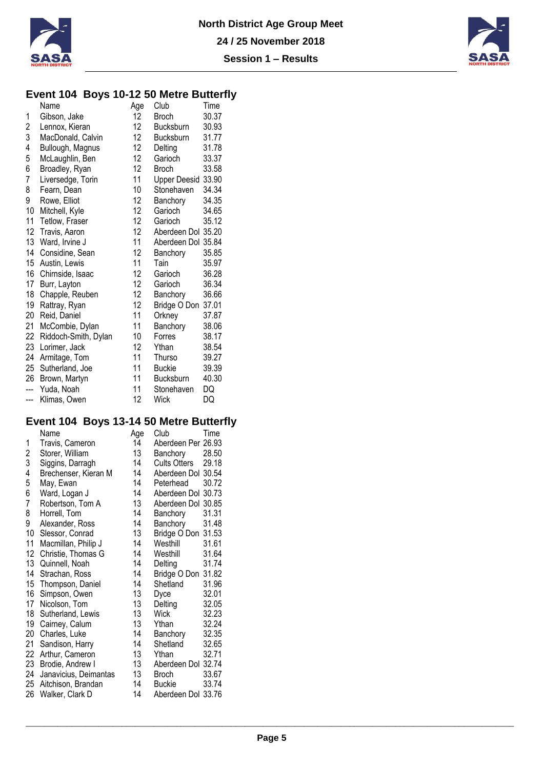



### **Event 104 Boys 10-12 50 Metre Butterfly**

|                  | Name                 | Age             | Club                | Time  |
|------------------|----------------------|-----------------|---------------------|-------|
| 1                | Gibson, Jake         | 12 <sup>°</sup> | <b>Broch</b>        | 30.37 |
| $\boldsymbol{2}$ | Lennox, Kieran       | 12 <sup>°</sup> | Bucksburn           | 30.93 |
| 3                | MacDonald, Calvin    | 12 <sub>1</sub> | Bucksburn           | 31.77 |
| 4                | Bullough, Magnus     | 12              | Delting             | 31.78 |
| 5                | McLaughlin, Ben      | 12 <sup>°</sup> | Garioch             | 33.37 |
| 6                | Broadley, Ryan       | 12              | <b>Broch</b>        | 33.58 |
| 7                | Liversedge, Torin    | 11              | <b>Upper Deesid</b> | 33.90 |
| 8                | Fearn, Dean          | 10              | Stonehaven          | 34.34 |
| 9                | Rowe, Elliot         | 12              | Banchory            | 34.35 |
| 10               | Mitchell, Kyle       | 12              | Garioch             | 34.65 |
| 11               | Tetlow, Fraser       | 12 <sup>°</sup> | Garioch             | 35.12 |
| 12               | Travis, Aaron        | 12 <sup>°</sup> | Aberdeen Dol 35.20  |       |
| 13               | Ward, Irvine J       | 11              | Aberdeen Dol 35.84  |       |
| 14               | Considine, Sean      | 12              | Banchory            | 35.85 |
| 15               | Austin, Lewis        | 11              | Tain                | 35.97 |
| 16               | Chirnside, Isaac     | 12              | Garioch             | 36.28 |
| 17               | Burr, Layton         | 12              | Garioch             | 36.34 |
| 18               | Chapple, Reuben      | 12              | Banchory            | 36.66 |
| 19               | Rattray, Ryan        | 12              | Bridge O Don        | 37.01 |
| 20               | Reid, Daniel         | 11              | Orkney              | 37.87 |
| 21               | McCombie, Dylan      | 11              | Banchory            | 38.06 |
| 22               | Riddoch-Smith, Dylan | 10              | Forres              | 38.17 |
| 23               | Lorimer, Jack        | 12              | Ythan               | 38.54 |
| 24               | Armitage, Tom        | 11              | Thurso              | 39.27 |
| 25               | Sutherland, Joe      | 11              | <b>Buckie</b>       | 39.39 |
| 26               | Brown, Martyn        | 11              | Bucksburn           | 40.30 |
|                  | Yuda, Noah           | 11              | Stonehaven          | DQ    |
| ---              | Klimas, Owen         | 12              | Wick                | DQ    |

# **Event 104 Boys 13-14 50 Metre Butterfly**

|    | J<br>Name             | Age | Club                | Time  |
|----|-----------------------|-----|---------------------|-------|
| 1  | Travis, Cameron       | 14  | Aberdeen Per 26.93  |       |
| 2  | Storer, William       | 13  | Banchory            | 28.50 |
| 3  | Siggins, Darragh      | 14  | <b>Cults Otters</b> | 29.18 |
| 4  | Brechenser, Kieran M  | 14  | Aberdeen Dol 30.54  |       |
| 5  | May, Ewan             | 14  | Peterhead           | 30.72 |
| 6  | Ward, Logan J         | 14  | Aberdeen Dol 30.73  |       |
| 7  | Robertson, Tom A      | 13  | Aberdeen Dol 30.85  |       |
| 8  | Horrell, Tom          | 14  | Banchory            | 31.31 |
| 9  | Alexander, Ross       | 14  | Banchory            | 31.48 |
| 10 | Slessor, Conrad       | 13  | Bridge O Don 31.53  |       |
| 11 | Macmillan, Philip J   | 14  | Westhill            | 31.61 |
| 12 | Christie, Thomas G    | 14  | Westhill            | 31.64 |
| 13 | Quinnell, Noah        | 14  | Delting             | 31.74 |
| 14 | Strachan, Ross        | 14  | Bridge O Don 31.82  |       |
| 15 | Thompson, Daniel      | 14  | Shetland            | 31.96 |
| 16 | Simpson, Owen         | 13  | Dyce                | 32.01 |
| 17 | Nicolson, Tom         | 13  | Delting             | 32.05 |
| 18 | Sutherland, Lewis     | 13  | <b>Wick</b>         | 32.23 |
| 19 | Cairney, Calum        | 13  | Ythan               | 32.24 |
| 20 | Charles, Luke         | 14  | Banchory            | 32.35 |
| 21 | Sandison, Harry       | 14  | Shetland            | 32.65 |
| 22 | Arthur, Cameron       | 13  | Ythan               | 32.71 |
| 23 | Brodie, Andrew I      | 13  | Aberdeen Dol 32.74  |       |
| 24 | Janavicius, Deimantas | 13  | <b>Broch</b>        | 33.67 |
| 25 | Aitchison, Brandan    | 14  | Buckie              | 33.74 |
| 26 | Walker, Clark D       | 14  | Aberdeen Dol 33.76  |       |
|    |                       |     |                     |       |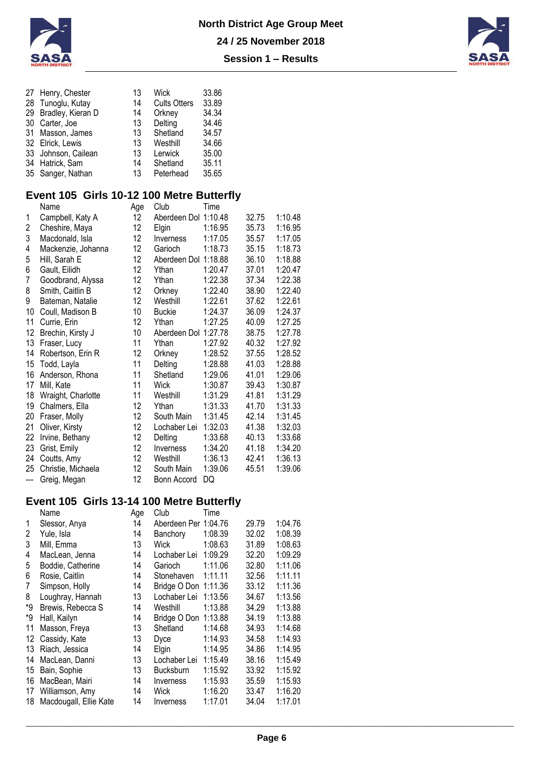



| 27 Henry, Chester    | 13 | <b>Wick</b>         | 33.86 |
|----------------------|----|---------------------|-------|
| 28 Tunoglu, Kutay    | 14 | <b>Cults Otters</b> | 33.89 |
| 29 Bradley, Kieran D | 14 | Orkney              | 34.34 |
| 30 Carter, Joe       | 13 | Delting             | 34.46 |
| 31 Masson, James     | 13 | Shetland            | 34.57 |
| 32 Elrick, Lewis     | 13 | Westhill            | 34.66 |
| 33 Johnson, Cailean  | 13 | Lerwick             | 35.00 |
| 34 Hatrick, Sam      | 14 | Shetland            | 35.11 |
| 35 Sanger, Nathan    | 13 | Peterhead           | 35.65 |
|                      |    |                     |       |

## **Event 105 Girls 10-12 100 Metre Butterfly**

|       | Name               | Age | Club                 | Time    |       |         |
|-------|--------------------|-----|----------------------|---------|-------|---------|
| 1     | Campbell, Katy A   | 12  | Aberdeen Dol 1:10.48 |         | 32.75 | 1:10.48 |
| 2     | Cheshire, Maya     | 12  | Elgin                | 1:16.95 | 35.73 | 1:16.95 |
| 3     | Macdonald, Isla    | 12  | Inverness            | 1:17.05 | 35.57 | 1:17.05 |
| 4     | Mackenzie, Johanna | 12  | Garioch              | 1:18.73 | 35.15 | 1:18.73 |
| 5     | Hill, Sarah E      | 12  | Aberdeen Dol 1:18.88 |         | 36.10 | 1:18.88 |
| 6     | Gault, Eilidh      | 12  | Ythan                | 1:20.47 | 37.01 | 1:20.47 |
| 7     | Goodbrand, Alyssa  | 12  | Ythan                | 1:22.38 | 37.34 | 1:22.38 |
| 8     | Smith, Caitlin B   | 12  | Orkney               | 1:22.40 | 38.90 | 1:22.40 |
| 9     | Bateman, Natalie   | 12  | Westhill             | 1:22.61 | 37.62 | 1:22.61 |
| 10    | Coull, Madison B   | 10  | <b>Buckie</b>        | 1:24.37 | 36.09 | 1:24.37 |
| 11    | Currie, Erin       | 12  | Ythan                | 1:27.25 | 40.09 | 1:27.25 |
| 12    | Brechin, Kirsty J  | 10  | Aberdeen Dol 1:27.78 |         | 38.75 | 1:27.78 |
| 13    | Fraser, Lucy       | 11  | Ythan                | 1:27.92 | 40.32 | 1:27.92 |
| 14    | Robertson, Erin R  | 12  | Orkney               | 1:28.52 | 37.55 | 1:28.52 |
| 15    | Todd, Layla        | 11  | Delting              | 1:28.88 | 41.03 | 1:28.88 |
| 16    | Anderson, Rhona    | 11  | Shetland             | 1:29.06 | 41.01 | 1:29.06 |
| 17    | Mill, Kate         | 11  | Wick                 | 1:30.87 | 39.43 | 1:30.87 |
| 18    | Wraight, Charlotte | 11  | Westhill             | 1:31.29 | 41.81 | 1:31.29 |
| 19    | Chalmers, Ella     | 12  | Ythan                | 1:31.33 | 41.70 | 1:31.33 |
| 20    | Fraser, Molly      | 12  | South Main           | 1:31.45 | 42.14 | 1:31.45 |
| 21    | Oliver, Kirsty     | 12  | Lochaber Lei         | 1:32.03 | 41.38 | 1:32.03 |
| 22    | Irvine, Bethany    | 12  | Delting              | 1:33.68 | 40.13 | 1:33.68 |
| 23    | Grist, Emily       | 12  | Inverness            | 1:34.20 | 41.18 | 1:34.20 |
| 24    | Coutts, Amy        | 12  | Westhill             | 1:36.13 | 42.41 | 1:36.13 |
| 25    | Christie, Michaela | 12  | South Main           | 1:39.06 | 45.51 | 1:39.06 |
| $---$ | Greig, Megan       | 12  | Bonn Accord          | DQ      |       |         |

### **Event 105 Girls 13-14 100 Metre Butterfly**

|    | Name                   | Age | Club                 | Time    |       |         |
|----|------------------------|-----|----------------------|---------|-------|---------|
| 1  | Slessor, Anya          | 14  | Aberdeen Per 1:04.76 |         | 29.79 | 1:04.76 |
| 2  | Yule, Isla             | 14  | Banchory             | 1:08.39 | 32.02 | 1:08.39 |
| 3  | Mill, Emma             | 13  | Wick                 | 1:08.63 | 31.89 | 1:08.63 |
| 4  | MacLean, Jenna         | 14  | Lochaber Lei         | 1:09.29 | 32.20 | 1:09.29 |
| 5  | Boddie, Catherine      | 14  | Garioch              | 1:11.06 | 32.80 | 1:11.06 |
| 6  | Rosie, Caitlin         | 14  | Stonehaven           | 1:11.11 | 32.56 | 1:11.11 |
| 7  | Simpson, Holly         | 14  | Bridge O Don 1:11.36 |         | 33.12 | 1:11.36 |
| 8  | Loughray, Hannah       | 13  | Lochaber Lei         | 1:13.56 | 34.67 | 1:13.56 |
| *9 | Brewis, Rebecca S      | 14  | Westhill             | 1:13.88 | 34.29 | 1:13.88 |
| *9 | Hall, Kailyn           | 14  | Bridge O Don 1:13.88 |         | 34.19 | 1:13.88 |
| 11 | Masson, Freya          | 13  | Shetland             | 1:14.68 | 34.93 | 1:14.68 |
| 12 | Cassidy, Kate          | 13  | Dyce                 | 1:14.93 | 34.58 | 1:14.93 |
| 13 | Riach, Jessica         | 14  | Elgin                | 1:14.95 | 34.86 | 1:14.95 |
| 14 | MacLean, Danni         | 13  | Lochaber Lei         | 1:15.49 | 38.16 | 1:15.49 |
| 15 | Bain, Sophie           | 13  | Bucksburn            | 1:15.92 | 33.92 | 1:15.92 |
| 16 | MacBean, Mairi         | 14  | Inverness            | 1:15.93 | 35.59 | 1:15.93 |
| 17 | Williamson, Amy        | 14  | Wick                 | 1:16.20 | 33.47 | 1:16.20 |
| 18 | Macdougall, Ellie Kate | 14  | Inverness            | 1:17.01 | 34.04 | 1:17.01 |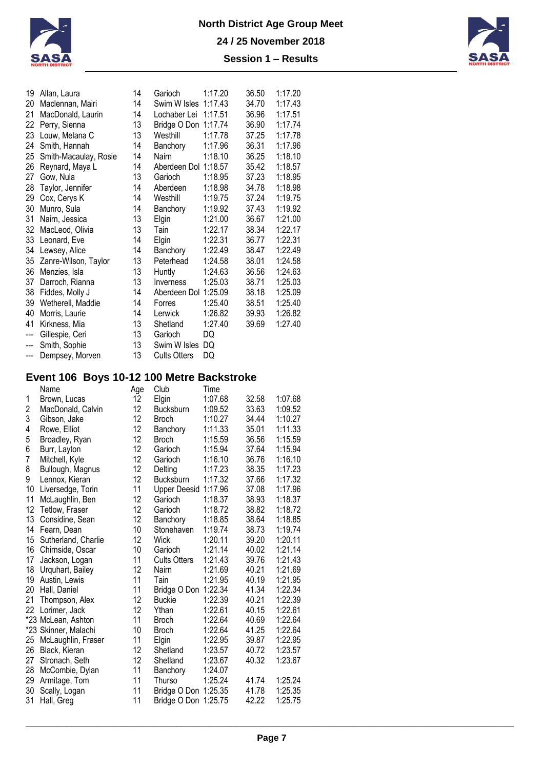

| 19                       | Allan, Laura          | 14 | Garioch              | 1:17.20 | 36.50 | 1:17.20 |
|--------------------------|-----------------------|----|----------------------|---------|-------|---------|
| 20                       | Maclennan, Mairi      | 14 | Swim W Isles         | 1:17.43 | 34.70 | 1:17.43 |
| 21                       | MacDonald, Laurin     | 14 | Lochaber Lei         | 1:17.51 | 36.96 | 1:17.51 |
| 22                       | Perry, Sienna         | 13 | Bridge O Don 1:17.74 |         | 36.90 | 1:17.74 |
| 23                       | Louw, Melana C        | 13 | Westhill             | 1:17.78 | 37.25 | 1:17.78 |
| 24                       | Smith, Hannah         | 14 | Banchory             | 1:17.96 | 36.31 | 1:17.96 |
| 25                       | Smith-Macaulay, Rosie | 14 | Nairn                | 1:18.10 | 36.25 | 1:18.10 |
| 26                       | Reynard, Maya L       | 14 | Aberdeen Dol 1:18.57 |         | 35.42 | 1:18.57 |
| 27                       | Gow, Nula             | 13 | Garioch              | 1:18.95 | 37.23 | 1:18.95 |
| 28                       | Taylor, Jennifer      | 14 | Aberdeen             | 1:18.98 | 34.78 | 1:18.98 |
| 29                       | Cox, Cerys K          | 14 | Westhill             | 1:19.75 | 37.24 | 1:19.75 |
| 30                       | Munro, Sula           | 14 | Banchory             | 1:19.92 | 37.43 | 1:19.92 |
| 31                       | Nairn, Jessica        | 13 | Elgin                | 1:21.00 | 36.67 | 1:21.00 |
| 32                       | MacLeod, Olivia       | 13 | Tain                 | 1:22.17 | 38.34 | 1:22.17 |
| 33                       | Leonard, Eve          | 14 | Elgin                | 1:22.31 | 36.77 | 1:22.31 |
| 34                       | Lewsey, Alice         | 14 | Banchory             | 1:22.49 | 38.47 | 1:22.49 |
| 35                       | Zanre-Wilson, Taylor  | 13 | Peterhead            | 1:24.58 | 38.01 | 1:24.58 |
| 36                       | Menzies, Isla         | 13 | Huntly               | 1:24.63 | 36.56 | 1:24.63 |
| 37                       | Darroch, Rianna       | 13 | Inverness            | 1:25.03 | 38.71 | 1:25.03 |
| 38                       | Fiddes, Molly J       | 14 | Aberdeen Dol         | 1:25.09 | 38.18 | 1:25.09 |
| 39                       | Wetherell, Maddie     | 14 | Forres               | 1:25.40 | 38.51 | 1:25.40 |
| 40                       | Morris, Laurie        | 14 | Lerwick              | 1:26.82 | 39.93 | 1:26.82 |
| 41                       | Kirkness, Mia         | 13 | Shetland             | 1:27.40 | 39.69 | 1:27.40 |
| ---                      | Gillespie, Ceri       | 13 | Garioch              | DQ      |       |         |
| $\overline{a}$           | Smith, Sophie         | 13 | Swim W Isles         | DQ      |       |         |
| $\hspace{0.05cm} \ldots$ | Dempsey, Morven       | 13 | <b>Cults Otters</b>  | DQ      |       |         |

# **Event 106 Boys 10-12 100 Metre Backstroke**

|    | Name                 | Age | Club                 | Time    |       |         |
|----|----------------------|-----|----------------------|---------|-------|---------|
| 1  | Brown, Lucas         | 12  | Elgin                | 1:07.68 | 32.58 | 1:07.68 |
| 2  | MacDonald, Calvin    | 12  | Bucksburn            | 1:09.52 | 33.63 | 1:09.52 |
| 3  | Gibson, Jake         | 12  | <b>Broch</b>         | 1:10.27 | 34.44 | 1:10.27 |
| 4  | Rowe, Elliot         | 12  | Banchory             | 1:11.33 | 35.01 | 1:11.33 |
| 5  | Broadley, Ryan       | 12  | <b>Broch</b>         | 1:15.59 | 36.56 | 1:15.59 |
| 6  | Burr, Layton         | 12  | Garioch              | 1:15.94 | 37.64 | 1:15.94 |
| 7  | Mitchell, Kyle       | 12  | Garioch              | 1:16.10 | 36.76 | 1:16.10 |
| 8  | Bullough, Magnus     | 12  | Delting              | 1:17.23 | 38.35 | 1:17.23 |
| 9  | Lennox, Kieran       | 12  | Bucksburn            | 1:17.32 | 37.66 | 1:17.32 |
| 10 | Liversedge, Torin    | 11  | <b>Upper Deesid</b>  | 1:17.96 | 37.08 | 1:17.96 |
| 11 | McLaughlin, Ben      | 12  | Garioch              | 1:18.37 | 38.93 | 1:18.37 |
| 12 | Tetlow, Fraser       | 12  | Garioch              | 1:18.72 | 38.82 | 1:18.72 |
| 13 | Considine, Sean      | 12  | Banchory             | 1:18.85 | 38.64 | 1:18.85 |
| 14 | Fearn, Dean          | 10  | Stonehaven           | 1:19.74 | 38.73 | 1:19.74 |
| 15 | Sutherland, Charlie  | 12  | Wick                 | 1:20.11 | 39.20 | 1:20.11 |
| 16 | Chirnside, Oscar     | 10  | Garioch              | 1:21.14 | 40.02 | 1:21.14 |
| 17 | Jackson, Logan       | 11  | <b>Cults Otters</b>  | 1:21.43 | 39.76 | 1:21.43 |
| 18 | Urquhart, Bailey     | 12  | Nairn                | 1:21.69 | 40.21 | 1:21.69 |
| 19 | Austin, Lewis        | 11  | Tain                 | 1:21.95 | 40.19 | 1:21.95 |
| 20 | Hall, Daniel         | 11  | Bridge O Don 1:22.34 |         | 41.34 | 1:22.34 |
| 21 | Thompson, Alex       | 12  | <b>Buckie</b>        | 1:22.39 | 40.21 | 1:22.39 |
| 22 | Lorimer, Jack        | 12  | Ythan                | 1:22.61 | 40.15 | 1:22.61 |
|    | *23 McLean, Ashton   | 11  | <b>Broch</b>         | 1:22.64 | 40.69 | 1:22.64 |
|    | *23 Skinner, Malachi | 10  | <b>Broch</b>         | 1:22.64 | 41.25 | 1:22.64 |
| 25 | McLaughlin, Fraser   | 11  | Elgin                | 1:22.95 | 39.87 | 1:22.95 |
| 26 | Black, Kieran        | 12  | Shetland             | 1:23.57 | 40.72 | 1:23.57 |
| 27 | Stronach, Seth       | 12  | Shetland             | 1:23.67 | 40.32 | 1:23.67 |
| 28 | McCombie, Dylan      | 11  | Banchory             | 1:24.07 |       |         |
| 29 | Armitage, Tom        | 11  | Thurso               | 1:25.24 | 41.74 | 1:25.24 |
| 30 | Scally, Logan        | 11  | Bridge O Don         | 1:25.35 | 41.78 | 1:25.35 |
| 31 | Hall, Greg           | 11  | Bridge O Don 1:25.75 |         | 42.22 | 1:25.75 |
|    |                      |     |                      |         |       |         |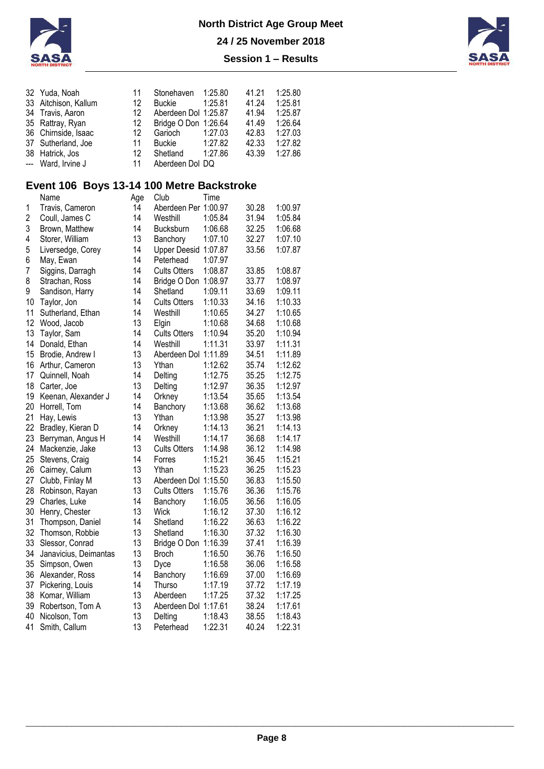



| 32 Yuda, Noah        | 11 | Stonehaven 1:25.80   |         | 41.21 | 1:25.80 |
|----------------------|----|----------------------|---------|-------|---------|
| 33 Aitchison, Kallum | 12 | Buckie               | 1:25.81 | 41.24 | 1:25.81 |
| 34 Travis, Aaron     | 12 | Aberdeen Dol 1:25.87 |         | 41.94 | 1:25.87 |
| 35 Rattray, Ryan     | 12 | Bridge O Don 1:26.64 |         | 41.49 | 1:26.64 |
| 36 Chirnside, Isaac  | 12 | Garioch              | 1:27.03 | 42.83 | 1:27.03 |
| 37 Sutherland, Joe   | 11 | Buckie               | 1:27.82 | 42.33 | 1:27.82 |
| 38 Hatrick, Jos      | 12 | Shetland             | 1:27.86 | 43.39 | 1:27.86 |
| --- Ward, Irvine J   | 11 | Aberdeen Dol DQ      |         |       |         |

### **Event 106 Boys 13-14 100 Metre Backstroke**

|                         | Name                  | Age | Club                 | Time    |       |         |
|-------------------------|-----------------------|-----|----------------------|---------|-------|---------|
| 1                       | Travis, Cameron       | 14  | Aberdeen Per 1:00.97 |         | 30.28 | 1:00.97 |
| $\overline{\mathbf{c}}$ | Coull, James C        | 14  | Westhill             | 1:05.84 | 31.94 | 1:05.84 |
| 3                       | Brown, Matthew        | 14  | <b>Bucksburn</b>     | 1:06.68 | 32.25 | 1:06.68 |
| 4                       | Storer, William       | 13  | Banchory             | 1:07.10 | 32.27 | 1:07.10 |
| 5                       | Liversedge, Corey     | 14  | Upper Deesid 1:07.87 |         | 33.56 | 1:07.87 |
| 6                       | May, Ewan             | 14  | Peterhead            | 1:07.97 |       |         |
| 7                       | Siggins, Darragh      | 14  | <b>Cults Otters</b>  | 1:08.87 | 33.85 | 1:08.87 |
| 8                       | Strachan, Ross        | 14  | Bridge O Don 1:08.97 |         | 33.77 | 1:08.97 |
| 9                       | Sandison, Harry       | 14  | Shetland             | 1:09.11 | 33.69 | 1:09.11 |
| 10                      | Taylor, Jon           | 14  | <b>Cults Otters</b>  | 1:10.33 | 34.16 | 1:10.33 |
| 11                      | Sutherland, Ethan     | 14  | Westhill             | 1:10.65 | 34.27 | 1:10.65 |
| 12                      | Wood, Jacob           | 13  | Elgin                | 1:10.68 | 34.68 | 1:10.68 |
| 13                      | Taylor, Sam           | 14  | <b>Cults Otters</b>  | 1:10.94 | 35.20 | 1:10.94 |
| 14                      | Donald, Ethan         | 14  | Westhill             | 1:11.31 | 33.97 | 1:11.31 |
| 15                      | Brodie, Andrew I      | 13  | Aberdeen Dol 1:11.89 |         | 34.51 | 1:11.89 |
| 16                      | Arthur, Cameron       | 13  | Ythan                | 1:12.62 | 35.74 | 1:12.62 |
| 17                      | Quinnell, Noah        | 14  | Delting              | 1:12.75 | 35.25 | 1:12.75 |
| 18                      | Carter, Joe           | 13  | Delting              | 1:12.97 | 36.35 | 1:12.97 |
| 19                      | Keenan, Alexander J   | 14  | Orkney               | 1:13.54 | 35.65 | 1:13.54 |
| 20                      | Horrell, Tom          | 14  | Banchory             | 1:13.68 | 36.62 | 1:13.68 |
| 21                      | Hay, Lewis            | 13  | Ythan                | 1:13.98 | 35.27 | 1:13.98 |
| 22                      | Bradley, Kieran D     | 14  | Orkney               | 1:14.13 | 36.21 | 1:14.13 |
| 23                      | Berryman, Angus H     | 14  | Westhill             | 1:14.17 | 36.68 | 1:14.17 |
| 24                      | Mackenzie, Jake       | 13  | <b>Cults Otters</b>  | 1:14.98 | 36.12 | 1:14.98 |
| 25                      | Stevens, Craig        | 14  | Forres               | 1:15.21 | 36.45 | 1:15.21 |
| 26                      | Cairney, Calum        | 13  | Ythan                | 1:15.23 | 36.25 | 1:15.23 |
| 27                      | Clubb, Finlay M       | 13  | Aberdeen Dol 1:15.50 |         | 36.83 | 1:15.50 |
| 28                      | Robinson, Rayan       | 13  | <b>Cults Otters</b>  | 1:15.76 | 36.36 | 1:15.76 |
| 29                      | Charles, Luke         | 14  | Banchory             | 1:16.05 | 36.56 | 1:16.05 |
| 30                      | Henry, Chester        | 13  | Wick                 | 1:16.12 | 37.30 | 1:16.12 |
| 31                      | Thompson, Daniel      | 14  | Shetland             | 1:16.22 | 36.63 | 1:16.22 |
| 32                      | Thomson, Robbie       | 13  | Shetland             | 1:16.30 | 37.32 | 1:16.30 |
| 33                      | Slessor, Conrad       | 13  | Bridge O Don 1:16.39 |         | 37.41 | 1:16.39 |
| 34                      | Janavicius, Deimantas | 13  | <b>Broch</b>         | 1:16.50 | 36.76 | 1:16.50 |
| 35                      | Simpson, Owen         | 13  | Dyce                 | 1:16.58 | 36.06 | 1:16.58 |
| 36                      | Alexander, Ross       | 14  | Banchory             | 1:16.69 | 37.00 | 1:16.69 |
| 37                      | Pickering, Louis      | 14  | Thurso               | 1:17.19 | 37.72 | 1:17.19 |
| 38                      | Komar, William        | 13  | Aberdeen             | 1:17.25 | 37.32 | 1:17.25 |
| 39                      | Robertson, Tom A      | 13  | Aberdeen Dol 1:17.61 |         | 38.24 | 1:17.61 |
| 40                      | Nicolson, Tom         | 13  | Delting              | 1:18.43 | 38.55 | 1:18.43 |
| 41                      | Smith, Callum         | 13  | Peterhead            | 1:22.31 | 40.24 | 1:22.31 |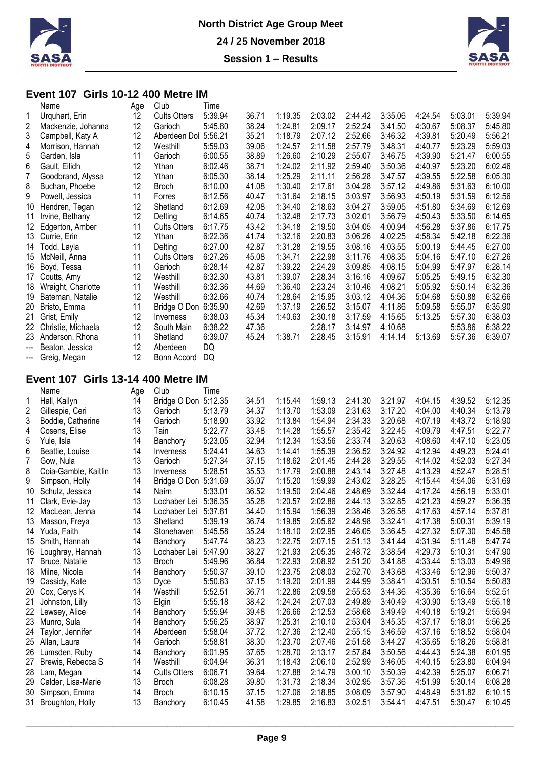



#### **Event 107 Girls 10-12 400 Metre IM**<br>Name Age Club Time Age Club

| 1   | Urquhart, Erin                            | 12  | <b>Cults Otters</b>  | 5:39.94 | 36.71 | 1:19.35 | 2:03.02 | 2:44.42 | 3:35.06 | 4:24.54 | 5:03.01 | 5:39.94 |
|-----|-------------------------------------------|-----|----------------------|---------|-------|---------|---------|---------|---------|---------|---------|---------|
| 2   | Mackenzie, Johanna                        | 12  | Garioch              | 5:45.80 | 38.24 | 1:24.81 | 2:09.17 | 2:52.24 | 3:41.50 | 4:30.67 | 5:08.37 | 5:45.80 |
| 3   | Campbell, Katy A                          | 12  | Aberdeen Dol 5:56.21 |         | 35.21 | 1:18.79 | 2:07.12 | 2:52.66 | 3:46.32 | 4:39.81 | 5:20.49 | 5:56.21 |
| 4   | Morrison, Hannah                          | 12  | Westhill             | 5:59.03 | 39.06 | 1:24.57 | 2:11.58 | 2:57.79 | 3:48.31 | 4:40.77 | 5:23.29 | 5:59.03 |
| 5   | Garden, Isla                              | 11  | Garioch              | 6:00.55 | 38.89 | 1:26.60 | 2:10.29 | 2:55.07 | 3:46.75 | 4:39.90 | 5:21.47 | 6:00.55 |
| 6   | Gault, Eilidh                             | 12  | Ythan                | 6:02.46 | 38.71 | 1:24.02 | 2:11.92 | 2:59.40 | 3:50.36 | 4:40.97 | 5:23.20 | 6:02.46 |
| 7   | Goodbrand, Alyssa                         | 12  | Ythan                | 6:05.30 | 38.14 | 1:25.29 | 2:11.11 | 2:56.28 | 3:47.57 | 4:39.55 | 5:22.58 | 6:05.30 |
| 8   | Buchan, Phoebe                            | 12  | <b>Broch</b>         | 6:10.00 | 41.08 | 1:30.40 | 2:17.61 | 3:04.28 | 3:57.12 | 4:49.86 | 5:31.63 | 6:10.00 |
| 9   | Powell, Jessica                           | 11  | Forres               | 6:12.56 | 40.47 | 1:31.64 | 2:18.15 | 3:03.97 | 3:56.93 | 4:50.19 | 5:31.59 | 6:12.56 |
|     |                                           | 12  |                      |         |       |         |         |         |         |         |         |         |
| 10  | Hendren, Tegan                            |     | Shetland             | 6:12.69 | 42.08 | 1:34.40 | 2:18.63 | 3:04.27 | 3:59.05 | 4:51.80 | 5:34.69 | 6:12.69 |
| 11  | Irvine, Bethany                           | 12  | Delting              | 6:14.65 | 40.74 | 1:32.48 | 2:17.73 | 3:02.01 | 3:56.79 | 4:50.43 | 5:33.50 | 6:14.65 |
| 12  | Edgerton, Amber                           | 11  | <b>Cults Otters</b>  | 6:17.75 | 43.42 | 1:34.18 | 2:19.50 | 3:04.05 | 4:00.94 | 4:56.28 | 5:37.86 | 6:17.75 |
| 13  | Currie, Erin                              | 12  | Ythan                | 6:22.36 | 41.74 | 1:32.16 | 2:20.83 | 3:06.26 | 4:02.25 | 4:58.34 | 5:42.18 | 6:22.36 |
| 14  | Todd, Layla                               | 11  | Delting              | 6:27.00 | 42.87 | 1:31.28 | 2:19.55 | 3:08.16 | 4:03.55 | 5:00.19 | 5:44.45 | 6:27.00 |
| 15  | McNeill, Anna                             | 11  | <b>Cults Otters</b>  | 6:27.26 | 45.08 | 1:34.71 | 2:22.98 | 3:11.76 | 4:08.35 | 5:04.16 | 5:47.10 | 6:27.26 |
| 16  | Boyd, Tessa                               | 11  | Garioch              | 6:28.14 | 42.87 | 1:39.22 | 2:24.29 | 3:09.85 | 4:08.15 | 5:04.99 | 5:47.97 | 6:28.14 |
| 17  | Coutts, Amy                               | 12  | Westhill             | 6:32.30 | 43.81 | 1:39.07 | 2:28.34 | 3:16.16 | 4:09.67 | 5:05.25 | 5:49.15 | 6:32.30 |
| 18  | Wraight, Charlotte                        | 11  | Westhill             | 6:32.36 | 44.69 | 1:36.40 | 2:23.24 | 3:10.46 | 4:08.21 | 5:05.92 | 5:50.14 | 6:32.36 |
| 19  | Bateman, Natalie                          | 12  | Westhill             | 6:32.66 | 40.74 | 1:28.64 | 2:15.95 | 3:03.12 | 4:04.36 | 5:04.68 | 5:50.88 | 6:32.66 |
| 20  | Bristo, Emma                              | 11  | Bridge O Don 6:35.90 |         | 42.69 | 1:37.19 | 2:26.52 | 3:15.07 | 4:11.86 | 5:09.58 | 5:55.07 | 6:35.90 |
| 21  | Grist, Emily                              | 12  | Inverness            | 6:38.03 | 45.34 | 1:40.63 | 2:30.18 | 3:17.59 | 4:15.65 | 5:13.25 | 5:57.30 | 6:38.03 |
|     |                                           |     |                      | 6:38.22 | 47.36 |         |         |         |         |         | 5:53.86 |         |
| 22  | Christie, Michaela                        | 12  | South Main           |         |       |         | 2:28.17 | 3:14.97 | 4:10.68 |         |         | 6:38.22 |
| 23  | Anderson, Rhona                           | 11  | Shetland             | 6:39.07 | 45.24 | 1:38.71 | 2:28.45 | 3:15.91 | 4:14.14 | 5:13.69 | 5:57.36 | 6:39.07 |
| --- | Beaton, Jessica                           | 12  | Aberdeen             | DQ      |       |         |         |         |         |         |         |         |
|     | --- Greig, Megan                          | 12  | Bonn Accord          | DQ      |       |         |         |         |         |         |         |         |
|     |                                           |     |                      |         |       |         |         |         |         |         |         |         |
|     | <b>Event 107 Girls 13-14 400 Metre IM</b> |     |                      |         |       |         |         |         |         |         |         |         |
|     | Name                                      | Age | Club                 | Time    |       |         |         |         |         |         |         |         |
| 1   | Hall, Kailyn                              | 14  | Bridge O Don 5:12.35 |         | 34.51 | 1:15.44 | 1:59.13 | 2:41.30 | 3:21.97 | 4:04.15 | 4:39.52 | 5:12.35 |
| 2   | Gillespie, Ceri                           | 13  | Garioch              | 5:13.79 | 34.37 | 1:13.70 | 1:53.09 | 2:31.63 | 3:17.20 | 4:04.00 | 4:40.34 | 5:13.79 |
| 3   | Boddie, Catherine                         | 14  | Garioch              | 5:18.90 | 33.92 | 1:13.84 | 1:54.94 | 2:34.33 | 3:20.68 | 4:07.19 | 4:43.72 | 5:18.90 |
| 4   | Cosens, Elise                             | 13  | Tain                 | 5:22.77 | 33.48 | 1:14.28 | 1:55.57 | 2:35.42 | 3:22.45 | 4:09.79 | 4:47.51 | 5:22.77 |
| 5   | Yule, Isla                                | 14  | Banchory             | 5:23.05 | 32.94 | 1:12.34 | 1:53.56 | 2:33.74 | 3:20.63 | 4:08.60 | 4:47.10 | 5:23.05 |
| 6   | Beattie, Louise                           | 14  | Inverness            | 5:24.41 | 34.63 | 1:14.41 | 1:55.39 | 2:36.52 | 3:24.92 | 4:12.94 | 4:49.23 | 5:24.41 |
| 7   | Gow, Nula                                 | 13  | Garioch              | 5:27.34 | 37.15 | 1:18.62 | 2:01.45 | 2:44.28 | 3:29.55 | 4:14.02 | 4:52.03 | 5:27.34 |
| 8   | Coia-Gamble, Kaitlin                      | 13  | Inverness            | 5:28.51 | 35.53 | 1:17.79 | 2:00.88 | 2:43.14 | 3:27.48 | 4:13.29 | 4:52.47 | 5:28.51 |
| 9   | Simpson, Holly                            | 14  | Bridge O Don 5:31.69 |         | 35.07 | 1:15.20 | 1:59.99 | 2:43.02 | 3:28.25 | 4:15.44 | 4:54.06 | 5:31.69 |
|     |                                           |     |                      | 5:33.01 |       |         |         |         |         |         | 4:56.19 |         |
| 10  | Schulz, Jessica                           | 14  | Nairn                |         | 36.52 | 1:19.50 | 2:04.46 | 2:48.69 | 3:32.44 | 4:17.24 |         | 5:33.01 |
| 11  | Clark, Evie-Jay                           | 13  | Lochaber Lei         | 5:36.35 | 35.28 | 1:20.57 | 2:02.86 | 2:44.13 | 3:32.85 | 4:21.23 | 4:59.27 | 5:36.35 |
|     | 12 MacLean, Jenna                         | 14  | Lochaber Lei 5:37.81 |         | 34.40 | 1:15.94 | 1:56.39 | 2:38.46 | 3:26.58 | 4:17.63 | 4:57.14 | 5:37.81 |
|     | 13 Masson, Freya                          | 13  | Shetland             | 5:39.19 | 36.74 | 1:19.85 | 2:05.62 | 2:48.98 | 3:32.41 | 4:17.38 | 5:00.31 | 5:39.19 |
|     | 14 Yuda, Faith                            | 14  | Stonehaven           | 5:45.58 | 35.24 | 1:18.10 | 2:02.95 | 2:46.05 | 3:36.45 | 4:27.32 | 5:07.30 | 5:45.58 |
| 15  | Smith, Hannah                             | 14  | Banchory             | 5:47.74 | 38.23 | 1:22.75 | 2:07.15 | 2:51.13 | 3:41.44 | 4:31.94 | 5:11.48 | 5:47.74 |
| 16  | Loughray, Hannah                          | 13  | Lochaber Lei 5:47.90 |         | 38.27 | 1:21.93 | 2:05.35 | 2:48.72 | 3:38.54 | 4:29.73 | 5:10.31 | 5:47.90 |
| 17  | Bruce, Natalie                            | 13  | <b>Broch</b>         | 5:49.96 | 36.84 | 1:22.93 | 2:08.92 | 2:51.20 | 3:41.88 | 4:33.44 | 5:13.03 | 5:49.96 |
|     | 18 Milne, Nicola                          | 14  | Banchory             | 5:50.37 | 39.10 | 1:23.75 | 2:08.03 | 2:52.70 | 3:43.68 | 4:33.46 | 5:12.96 | 5:50.37 |
|     | 19 Cassidy, Kate                          | 13  | Dyce                 | 5:50.83 | 37.15 | 1:19.20 | 2:01.99 | 2:44.99 | 3:38.41 | 4:30.51 | 5:10.54 | 5:50.83 |
|     | 20 Cox, Cerys K                           | 14  | Westhill             | 5:52.51 | 36.71 | 1:22.86 | 2:09.58 | 2:55.53 | 3:44.36 | 4:35.36 | 5:16.64 | 5:52.51 |
| 21  | Johnston, Lilly                           | 13  | Elgin                | 5:55.18 | 38.42 | 1:24.24 | 2:07.03 | 2:49.89 | 3:40.49 | 4:30.90 | 5:13.49 | 5:55.18 |
|     | 22 Lewsey, Alice                          | 14  | Banchory             | 5:55.94 | 39.48 | 1:26.66 | 2:12.53 | 2:58.68 | 3:49.49 | 4:40.18 | 5:19.21 | 5:55.94 |
|     |                                           | 14  |                      |         |       | 1:25.31 |         |         |         |         |         |         |
|     | 23 Munro, Sula                            |     | Banchory             | 5:56.25 | 38.97 |         | 2:10.10 | 2:53.04 | 3:45.35 | 4:37.17 | 5:18.01 | 5:56.25 |
|     | 24 Taylor, Jennifer                       | 14  | Aberdeen             | 5:58.04 | 37.72 | 1:27.36 | 2:12.40 | 2:55.15 | 3:46.59 | 4:37.16 | 5:18.52 | 5:58.04 |
|     | 25 Allan, Laura                           | 14  | Garioch              | 5:58.81 | 38.30 | 1:23.70 | 2:07.46 | 2:51.58 | 3:44.27 | 4:35.65 | 5:18.26 | 5:58.81 |
|     | 26 Lumsden, Ruby                          | 14  | Banchory             | 6:01.95 | 37.65 | 1:28.70 | 2:13.17 | 2:57.84 | 3:50.56 | 4:44.43 | 5:24.38 | 6:01.95 |
| 27  | Brewis, Rebecca S                         | 14  | Westhill             | 6:04.94 | 36.31 | 1:18.43 | 2:06.10 | 2:52.99 | 3:46.05 | 4:40.15 | 5:23.80 | 6:04.94 |
|     | 28 Lam, Megan                             | 14  | <b>Cults Otters</b>  | 6:06.71 | 39.64 | 1:27.88 | 2:14.79 | 3:00.10 | 3:50.39 | 4:42.39 | 5:25.07 | 6:06.71 |
|     | 29 Calder, Lisa-Marie                     | 13  | <b>Broch</b>         | 6:08.28 | 39.80 | 1:31.73 | 2:18.34 | 3:02.95 | 3:57.36 | 4:51.99 | 5:30.14 | 6:08.28 |
| 30  | Simpson, Emma                             | 14  | <b>Broch</b>         | 6:10.15 | 37.15 | 1:27.06 | 2:18.85 | 3:08.09 | 3:57.90 | 4:48.49 | 5:31.82 | 6:10.15 |
|     | 31 Broughton, Holly                       | 13  | Banchory             | 6:10.45 | 41.58 | 1:29.85 | 2:16.83 | 3:02.51 | 3:54.41 | 4:47.51 | 5:30.47 | 6:10.45 |
|     |                                           |     |                      |         |       |         |         |         |         |         |         |         |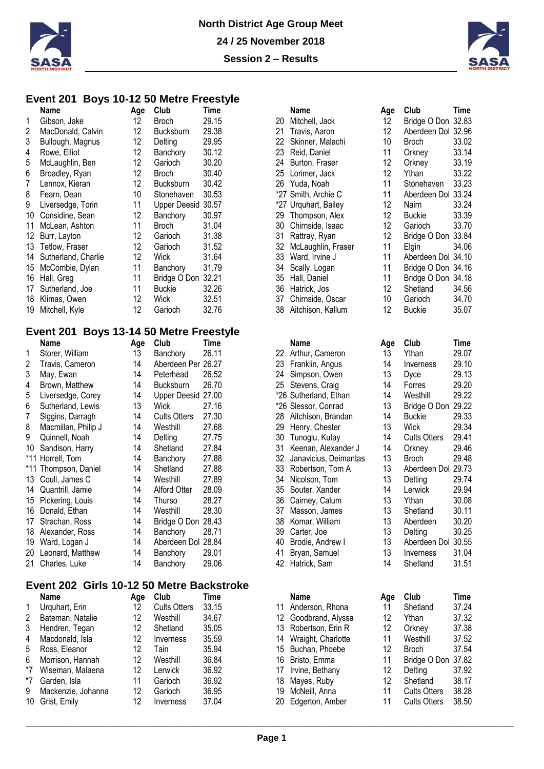



#### **Event 201 Boys 10-12 50 Metre Freestyle**

|     | Name                | Age               | Club               | Time  |     | <b>Name</b>          | Age | Club               | Time  |
|-----|---------------------|-------------------|--------------------|-------|-----|----------------------|-----|--------------------|-------|
|     | Gibson, Jake        | 12                | <b>Broch</b>       | 29.15 | 20  | Mitchell, Jack       | 12  | Bridge O Don 32.83 |       |
| 2   | MacDonald, Calvin   | 12                | <b>Bucksburn</b>   | 29.38 | 21  | Travis, Aaron        | 12  | Aberdeen Dol 32.96 |       |
| 3   | Bullough, Magnus    | 12                | Delting            | 29.95 | 22  | Skinner, Malachi     | 10  | <b>Broch</b>       | 33.02 |
| 4   | Rowe, Elliot        | 12                | Banchory           | 30.12 | 23. | Reid, Daniel         | 11  | Orkney             | 33.14 |
| 5   | McLaughlin, Ben     | 12                | Garioch            | 30.20 | 24  | Burton, Fraser       | 12  | Orkney             | 33.19 |
| 6   | Broadley, Ryan      | 12                | <b>Broch</b>       | 30.40 | 25  | Lorimer, Jack        | 12  | Ythan              | 33.22 |
|     | Lennox, Kieran      | 12                | <b>Bucksburn</b>   | 30.42 | 26  | Yuda, Noah           | 11  | Stonehaven         | 33.23 |
| 8   | Fearn, Dean         | 10                | Stonehaven         | 30.53 |     | *27 Smith, Archie C  | 11  | Aberdeen Dol 33.24 |       |
| 9   | Liversedge, Torin   | 11                | Upper Deesid 30.57 |       |     | *27 Urguhart, Bailey | 12  | Nairn              | 33.24 |
| 10  | Considine, Sean     | $12 \overline{ }$ | Banchory           | 30.97 | 29. | Thompson, Alex       | 12  | <b>Buckie</b>      | 33.3  |
| 11  | McLean, Ashton      | 11                | Broch              | 31.04 | 30  | Chirnside, Isaac     | 12  | Garioch            | 33.70 |
| 12  | Burr, Layton        | 12                | Garioch            | 31.38 | 31  | Rattray, Ryan        | 12  | Bridge O Don       | 33.84 |
| 13. | Tetlow, Fraser      | 12                | Garioch            | 31.52 | 32. | McLaughlin, Fraser   | 11  | Elgin              | 34.06 |
| 14  | Sutherland, Charlie | 12                | Wick               | 31.64 | 33. | Ward, Irvine J       | 11  | Aberdeen Dol 34.10 |       |
| 15  | McCombie, Dylan     | 11                | Banchory           | 31.79 | 34  | Scally, Logan        | 11  | Bridge O Don 34.16 |       |
| 16  | Hall, Greg          | 11                | Bridge O Don 32.21 |       | 35  | Hall, Daniel         | 11  | Bridge O Don 34.18 |       |
| 17  | Sutherland, Joe     | 11                | Buckie             | 32.26 | 36  | Hatrick, Jos         | 12  | Shetland           | 34.56 |
| 18  | Klimas, Owen        | 12                | Wick               | 32.51 | 37  | Chirnside, Oscar     | 10  | Garioch            | 34.7( |
| 19  | Mitchell, Kyle      | 12                | Garioch            | 32.76 | 38  | Aitchison, Kallum    | 12  | <b>Buckie</b>      | 35.07 |
|     |                     |                   |                    |       |     |                      |     |                    |       |

### **Event 201 Boys 13-14 50 Metre Freestyle**

|    | Name                 | Age | Club                | Time  |    | Name                  | Age | Club                    | Time  |
|----|----------------------|-----|---------------------|-------|----|-----------------------|-----|-------------------------|-------|
|    | Storer, William      | 13  | Banchory            | 26.11 | 22 | Arthur, Cameron       | 13  | Ythan                   | 29.07 |
| 2  | Travis, Cameron      | 14  | Aberdeen Per 26.27  |       | 23 | Franklin, Angus       | 14  | <i><b>Inverness</b></i> | 29.10 |
| 3  | May, Ewan            | 14  | Peterhead           | 26.52 | 24 | Simpson, Owen         | 13  | Dyce                    | 29.13 |
| 4  | Brown, Matthew       | 14  | <b>Bucksburn</b>    | 26.70 |    | 25 Stevens, Craig     | 14  | Forres                  | 29.20 |
| 5  | Liversedge, Corey    | 14  | Upper Deesid 27.00  |       |    | *26 Sutherland, Ethan | 14  | Westhill                | 29.22 |
| 6  | Sutherland, Lewis    | 13  | Wick                | 27.16 |    | *26 Slessor, Conrad   | 13  | Bridge O Don            | 29.22 |
| 7  | Siggins, Darragh     | 14  | <b>Cults Otters</b> | 27.30 | 28 | Aitchison, Brandan    | 14  | <b>Buckie</b>           | 29.3  |
| 8  | Macmillan, Philip J  | 14  | Westhill            | 27.68 | 29 | Henry, Chester        | 13  | Wick                    | 29.34 |
| 9  | Quinnell, Noah       | 14  | Delting             | 27.75 | 30 | Tunoglu, Kutay        | 14  | <b>Cults Otters</b>     | 29.4' |
| 10 | Sandison, Harry      | 14  | Shetland            | 27.84 | 31 | Keenan, Alexander J   | 14  | Orkney                  | 29.46 |
|    | *11 Horrell, Tom     | 14  | Banchory            | 27.88 | 32 | Janavicius, Deimantas | 13  | Broch                   | 29.48 |
|    | *11 Thompson, Daniel | 14  | Shetland            | 27.88 | 33 | Robertson, Tom A      | 13  | Aberdeen Dol            | 29.73 |
|    | 13 Coull, James C    | 14  | Westhill            | 27.89 | 34 | Nicolson, Tom         | 13  | Delting                 | 29.74 |
| 14 | Quantrill, Jamie     | 14  | Alford Otter        | 28.09 | 35 | Souter, Xander        | 14  | Lerwick                 | 29.94 |
|    | 15 Pickering, Louis  | 14  | Thurso              | 28.27 | 36 | Cairney, Calum        | 13  | Ythan                   | 30.08 |
| 16 | Donald, Ethan        | 14  | Westhill            | 28.30 | 37 | Masson, James         | 13  | Shetland                | 30.1' |
| 17 | Strachan, Ross       | 14  | Bridge O Don        | 28.43 | 38 | Komar, William        | 13  | Aberdeen                | 30.20 |
| 18 | Alexander, Ross      | 14  | Banchory            | 28.71 | 39 | Carter, Joe           | 13  | Delting                 | 30.25 |
| 19 | Ward, Logan J        | 14  | Aberdeen Dol 28.84  |       | 40 | Brodie, Andrew I      | 13  | Aberdeen Dol            | 30.55 |
| 20 | Leonard, Matthew     | 14  | Banchory            | 29.01 | 41 | Bryan, Samuel         | 13  | Inverness               | 31.04 |
|    | 21 Charles, Luke     | 14  | Banchory            | 29.06 | 42 | Hatrick, Sam          | 14  | Shetland                | 31.5' |

## **Event 202 Girls 10-12 50 Metre Backstroke**

|              | <b>Name</b>        | Aqe | Club                | Time  |     | Name                 | Age | Club                | Time  |
|--------------|--------------------|-----|---------------------|-------|-----|----------------------|-----|---------------------|-------|
| $\mathbf{1}$ | Urguhart, Erin     | 12  | <b>Cults Otters</b> | 33.15 |     | Anderson, Rhona      |     | Shetland            | 37.24 |
| 2            | Bateman, Natalie   | 12  | Westhill            | 34.67 | 12  | Goodbrand, Alyssa    | 12  | Ythan               | 37.32 |
| 3            | Hendren, Tegan     | 12  | Shetland            | 35.05 |     | 13 Robertson, Erin R | 12  | Orknev              | 37.38 |
| 4            | Macdonald, Isla    | 12  | Inverness           | 35.59 | 14  | Wraight, Charlotte   |     | Westhill            | 37.52 |
| 5            | Ross, Eleanor      | 12  | Tain                | 35.94 |     | 15 Buchan, Phoebe    | 12  | <b>Broch</b>        | 37.54 |
| 6            | Morrison, Hannah   | 12  | Westhill            | 36.84 | 16. | Bristo, Emma         |     | Bridge O Don 37.82  |       |
| *7           | Wiseman, Malaena   | 12  | Lerwick             | 36.92 |     | Irvine, Bethany      | 12  | Delting             | 37.92 |
| *7           | Garden, Isla       |     | Garioch             | 36.92 | 18  | Mayes, Ruby          | 12  | Shetland            | 38.1  |
| 9            | Mackenzie, Johanna | 12  | Garioch             | 36.95 | 19  | McNeill, Anna        |     | <b>Cults Otters</b> | 38.28 |
|              | 10 Grist, Emily    | 12  | Inverness           | 37.04 | 20. | Edgerton, Amber      |     | <b>Cults Otters</b> | 38.50 |

|          | Name                            | Age      | Club                       | Time           |
|----------|---------------------------------|----------|----------------------------|----------------|
| 20       | Mitchell, Jack                  | 12       | Bridge O Don               | 32.83          |
| 21       | Travis, Aaron                   | 12       | Aberdeen Dol 32.96         |                |
| 22       | Skinner, Malachi                | 10       | <b>Broch</b>               | 33.02          |
| 23       | Reid, Daniel                    | 11       | Orkney                     | 33.14          |
| 24       | Burton, Fraser                  | 12       | Orkney                     | 33.19          |
|          | 25 Lorimer, Jack                | 12       | Ythan                      | 33.22          |
|          | 26 Yuda, Noah                   | 11       | Stonehaven                 | 33.23          |
|          | *27 Smith, Archie C             | 11       | Aberdeen Dol 33.24         |                |
|          | *27 Urquhart, Bailey            | 12       | Nairn                      | 33.24          |
| 29       | Thompson, Alex                  | 12       | <b>Buckie</b>              | 33.39          |
| 30       | Chirnside, Isaac                | 12       | Garioch                    | 33.70          |
| 31       | Rattray, Ryan                   | 12       | Bridge O Don               | 33.84          |
| 32       | McLaughlin, Fraser              | 11       | Elgin                      | 34.06          |
| 33       | Ward, Irvine J                  | 11       | Aberdeen Dol 34.10         |                |
| 34       | Scally, Logan                   | 11       | Bridge O Don               | 34.16          |
| 35       | Hall, Daniel                    | 11       | Bridge O Don 34.18         |                |
| 36       | Hatrick, Jos                    | 12       | Shetland                   | 34.56          |
| 37       | Chirnside, Oscar                | 10       | Garioch                    | 34.70          |
| 38       | Aitchison, Kallum               | 12       | <b>Buckie</b>              | 35.07          |
|          |                                 |          |                            |                |
|          | <b>Name</b>                     | Age      | Club                       | <b>Time</b>    |
| 22       | Arthur, Cameron                 | 13       | Ythan                      | 29.07          |
|          | 23 Franklin, Angus              | 14       | Inverness                  | 29.10          |
| 24       | Simpson, Owen                   | 13       | Dyce                       | 29.13          |
| $25\,$   | Stevens, Craig                  | 14       | Forres                     | 29.20          |
|          | *26 Sutherland, Ethan           | 14       | Westhill                   | 29.22          |
|          | *26 Slessor, Conrad             | 13       | Bridge O Don               | 29.22          |
| 28       | Aitchison, Brandan              | 14       | <b>Buckie</b>              | 29.33          |
| 29       | Henry, Chester                  | 13       | Wick                       | 29.34          |
| 30       | Tunoglu, Kutay                  | 14       | <b>Cults Otters</b>        | 29.41          |
| 31       | Keenan, Alexander J             | 14       | Orkney                     | 29.46          |
| 32       | Janavicius, Deimantas           | 13       | <b>Broch</b>               | 29.48          |
| 33       | Robertson, Tom A                | 13       | Aberdeen Dol 29.73         |                |
| 34       | Nicolson, Tom                   | 13       | Delting                    | 29.74          |
| 35       | Souter, Xander                  | 14       | Lerwick                    | 29.94          |
| 36       | Cairney, Calum                  | 13       | Ythan                      | 30.08          |
| 37       |                                 | 13       | Shetland                   | 30.11          |
| 38       | Masson, James<br>Komar, William | 13       | Aberdeen                   | 30.20          |
| 39       |                                 | 13       |                            | 30.25          |
| 40       | Carter, Joe                     | 13       | Delting                    |                |
|          | Brodie, Andrew I                |          | Aberdeen Dol 30.55         |                |
| 41       | Bryan, Samuel                   | 13       | Inverness                  | 31.04          |
| 42       | Hatrick, Sam                    | 14       | Shetland                   | 31.51          |
|          | <b>Name</b>                     | Age      | Club                       | Time           |
| 11       | Anderson, Rhona                 | 11       | Shetland                   | 37.24          |
| 12       | Goodbrand, Alyssa               | 12       | Ythan                      | 37.32          |
| 13       | Robertson, Erin R               | 12       | Orkney                     | 37.38          |
| 14       | Wraight, Charlotte              | 11       | Westhill                   | 37.52          |
| 15       |                                 | 12       | <b>Broch</b>               |                |
|          | Buchan, Phoebe                  |          |                            | 37.54          |
| 16       | Bristo, Emma                    | 11       | Bridge O Don               | 37.82          |
| 17<br>18 | Irvine, Bethany<br>Mayoe Ruhy   | 12<br>12 | Delting<br><b>Shatland</b> | 37.92<br>38 17 |
|          |                                 |          |                            |                |



|   | Age | ∪lub               | i ime |
|---|-----|--------------------|-------|
|   | 13  | Ythan              | 29.07 |
|   | 14  | Inverness          | 29.10 |
|   | 13  | Dyce               | 29.13 |
|   | 14  | Forres             | 29.20 |
|   | 14  | Westhill           | 29.22 |
|   | 13  | Bridge O Don 29.22 |       |
|   | 14  | <b>Buckie</b>      | 29.33 |
|   | 13  | Wick               | 29.34 |
|   | 14  | Cults Otters       | 29.41 |
|   | 14  | Orkney             | 29.46 |
| ś | 13  | Broch              | 29.48 |
|   | 13  | Aberdeen Dol       | 29.73 |
|   | 13  | Delting            | 29.74 |
|   | 14  | Lerwick            | 29.94 |
|   | 13  | Ythan              | 30.08 |
|   | 13  | Shetland           | 30.11 |
|   | 13  | Aberdeen           | 30.20 |
|   | 13  | Delting            | 30.25 |
|   | 13  | Aberdeen Dol 30.55 |       |
|   | 13  | Inverness          | 31.04 |
|   | 14  | Shetland           | 31.51 |
|   |     |                    |       |
|   | Age | Club               | Time  |
|   | 11  | Shetland           | 37.24 |
|   | 12  | Vthan              | 27 22 |

| 4 | Macdonald, Isla      | 12 | Inverness | 35.59 | 14 Wraight, Charlotte |    | Westhill            | 37.52 |
|---|----------------------|----|-----------|-------|-----------------------|----|---------------------|-------|
|   | 5 Ross, Eleanor      |    | Tain      | 35.94 | 15 Buchan, Phoebe     | 12 | <b>Broch</b>        | 37.54 |
|   | 6 Morrison, Hannah   | 12 | Westhill  | 36.84 | 16 Bristo, Emma       | 11 | Bridge O Don 37.82  |       |
|   | *7 Wiseman, Malaena  | 12 | Lerwick   | 36.92 | 17 Irvine, Bethany    | 12 | Delting             | 37.92 |
|   | *7 Garden, Isla      | 11 | Garioch   | 36.92 | 18 Mayes, Ruby        | 12 | Shetland            | 38.17 |
|   | 9 Mackenzie, Johanna | 12 | Garioch   | 36.95 | 19 McNeill, Anna      | 11 | <b>Cults Otters</b> | 38.28 |
|   | 10 Grist, Emily      | 12 | Inverness | 37.04 | 20 Edgerton, Amber    | 11 | <b>Cults Otters</b> | 38.50 |
|   |                      |    |           |       |                       |    |                     |       |
|   |                      |    |           |       |                       |    |                     |       |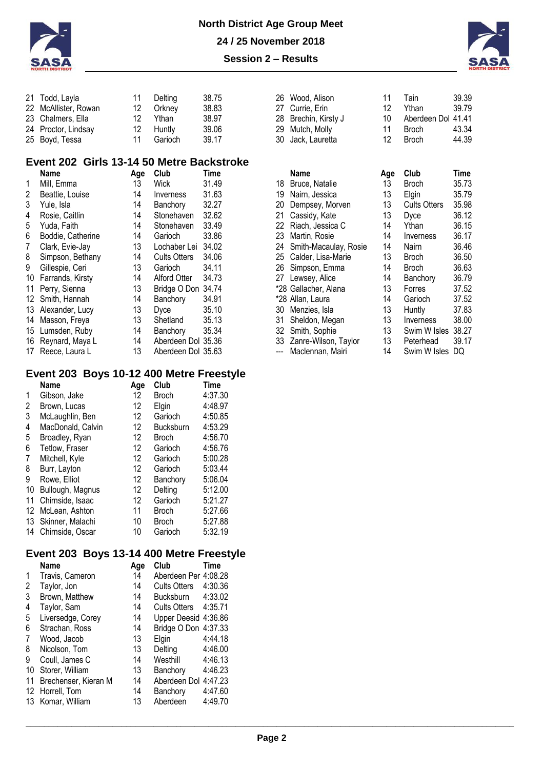



| 21 Todd, Layla       | 11  |         | 38.75   |
|----------------------|-----|---------|---------|
| 22 McAllister, Rowan | 12  | Orkney  | 38.83   |
| 23 Chalmers, Ella    | 12. | Ythan   | 38.97   |
| 24 Proctor, Lindsay  | 12  | Huntly  | 39.06   |
| 25 Boyd, Tessa       | 11  | Garioch | 39.17   |
|                      |     |         | Delting |

### **Event 202 Girls 13-14 50 Metre Backstroke**

|    | <b>Name</b>         | Age | Club                           | Time  |    | Name                  | Age | Club                | <b>Time</b> |
|----|---------------------|-----|--------------------------------|-------|----|-----------------------|-----|---------------------|-------------|
|    | Mill, Emma          | 13  | Wick                           | 31.49 | 18 | Bruce, Natalie        | 13  | <b>Broch</b>        | 35.73       |
| 2  | Beattie, Louise     | 14  | <i><u><b>Inverness</b></u></i> | 31.63 | 19 | Nairn, Jessica        | 13  | Elgin               | 35.79       |
| 3  | Yule, Isla          | 14  | Banchory                       | 32.27 | 20 | Dempsey, Morven       | 13  | <b>Cults Otters</b> | 35.98       |
| 4  | Rosie, Caitlin      | 14  | Stonehaven                     | 32.62 | 21 | Cassidy, Kate         | 13  | Dyce                | 36.12       |
| 5  | Yuda, Faith         | 14  | Stonehaven                     | 33.49 | 22 | Riach, Jessica C      | 14  | Ythan               | 36.15       |
| 6  | Boddie, Catherine   | 14  | Garioch                        | 33.86 | 23 | Martin, Rosie         | 14  | Inverness           | 36.1        |
| 7  | Clark, Evie-Jay     | 13  | Lochaber Lei                   | 34.02 | 24 | Smith-Macaulay, Rosie | 14  | Nairn               | 36.46       |
| 8  | Simpson, Bethany    | 14  | <b>Cults Otters</b>            | 34.06 | 25 | Calder, Lisa-Marie    | 13  | Broch               | 36.50       |
| 9  | Gillespie, Ceri     | 13  | Garioch                        | 34.11 | 26 | Simpson, Emma         | 14  | Broch               | 36.63       |
|    | 10 Farrands, Kirsty | 14  | Alford Otter                   | 34.73 | 27 | Lewsey, Alice         | 14  | Banchory            | 36.79       |
|    | 11 Perry, Sienna    | 13  | Bridge O Don 34.74             |       |    | *28 Gallacher, Alana  | 13  | Forres              | 37.52       |
|    | 12 Smith, Hannah    | 14  | Banchory                       | 34.91 |    | *28 Allan, Laura      | 14  | Garioch             | 37.52       |
|    | 13 Alexander, Lucy  | 13  | <b>Dyce</b>                    | 35.10 | 30 | Menzies, Isla         | 13  | Huntly              | 37.83       |
| 14 | Masson, Freya       | 13  | Shetland                       | 35.13 | 31 | Sheldon, Megan        | 13  | Inverness           | 38.00       |
|    | 15 Lumsden, Ruby    | 14  | Banchory                       | 35.34 | 32 | Smith, Sophie         | 13  | Swim W Isles        | 38.27       |
|    | 16 Reynard, Maya L  | 14  | Aberdeen Dol 35.36             |       | 33 | Zanre-Wilson, Taylor  | 13  | Peterhead           | 39.1        |
| 17 | Reece, Laura L      | 13  | Aberdeen Dol 35.63             |       |    | Maclennan, Mairi      | 14  | Swim W Isles DQ     |             |

#### **Event 203 Boys 10-12 400 Metre Freestyle**

|    | <b>Name</b>           | Age               | Club         | <b>Time</b> |
|----|-----------------------|-------------------|--------------|-------------|
| 1  | Gibson, Jake          | 12                | Broch        | 4:37.30     |
| 2  | Brown, Lucas          | 12                | Elgin        | 4:48.97     |
| 3  | McLaughlin, Ben       | 12                | Garioch      | 4:50.85     |
| 4  | MacDonald, Calvin     | $12 \overline{ }$ | Bucksburn    | 4:53.29     |
| 5  | Broadley, Ryan        | 12                | <b>Broch</b> | 4:56.70     |
| 6  | <b>Tetlow, Fraser</b> | $12 \overline{ }$ | Garioch      | 4:56.76     |
| 7  | Mitchell, Kyle        | 12                | Garioch      | 5:00.28     |
| 8  | Burr, Layton          | $12 \overline{ }$ | Garioch      | 5:03.44     |
| 9  | Rowe, Elliot          | $12 \overline{ }$ | Banchory     | 5:06.04     |
| 10 | Bullough, Magnus      | $12 \overline{ }$ | Delting      | 5:12.00     |
| 11 | Chirnside, Isaac      | $12 \overline{ }$ | Garioch      | 5:21.27     |
| 12 | McLean, Ashton        | 11                | <b>Broch</b> | 5:27.66     |
| 13 | Skinner, Malachi      | 10                | <b>Broch</b> | 5:27.88     |
| 14 | Chirnside, Oscar      | 10                | Garioch      | 5:32.19     |

# **Event 203 Boys 13-14 400 Metre Freestyle**

|                | Name                 | Age | Club                 | <b>Time</b> |
|----------------|----------------------|-----|----------------------|-------------|
| 1              | Travis, Cameron      | 14  | Aberdeen Per 4:08.28 |             |
| 2              | Taylor, Jon          | 14  | Cults Otters 4:30.36 |             |
| 3              | Brown, Matthew       | 14  | Bucksburn 4:33.02    |             |
| 4              | Taylor, Sam          | 14  | Cults Otters 4:35.71 |             |
| 5              | Liversedge, Corey    | 14  | Upper Deesid 4:36.86 |             |
| 6              | Strachan, Ross       | 14  | Bridge O Don 4:37.33 |             |
| $\overline{7}$ | Wood, Jacob          | 13  | Elgin                | 4:44.18     |
| 8              | Nicolson, Tom        | 13  | Delting              | 4:46.00     |
| 9              | Coull, James C       | 14  | Westhill             | 4:46.13     |
| 10             | Storer, William      | 13  | Banchory             | 4:46.23     |
| 11             | Brechenser, Kieran M | 14  | Aberdeen Dol 4:47.23 |             |
|                | 12 Horrell, Tom      | 14  | Banchory             | 4:47.60     |
|                | 13 Komar, William    | 13  | Aberdeen             | 4:49.70     |
|                |                      |     |                      |             |

| 26 Wood, Alison      | 11  | Tain               | 39.39 |
|----------------------|-----|--------------------|-------|
| 27 Currie, Erin      | 12. | Ythan              | 39.79 |
| 28 Brechin, Kirsty J | 10  | Aberdeen Dol 41.41 |       |
| 29 Mutch, Molly      | 11  | <b>Broch</b>       | 43.34 |
| 30 Jack, Lauretta    | 12. | <b>Broch</b>       | 44.39 |
|                      |     |                    |       |

|                  |                                                                                                                                                                                                            |                     | Time  |
|------------------|------------------------------------------------------------------------------------------------------------------------------------------------------------------------------------------------------------|---------------------|-------|
| Bruce, Natalie   | 13                                                                                                                                                                                                         | Broch               | 35.73 |
| Nairn, Jessica   | 13                                                                                                                                                                                                         | Elgin               | 35.79 |
|                  | 13                                                                                                                                                                                                         | <b>Cults Otters</b> | 35.98 |
| Cassidy, Kate    | 13                                                                                                                                                                                                         | Dyce                | 36.12 |
| Riach, Jessica C | 14                                                                                                                                                                                                         | Ythan               | 36.15 |
| Martin, Rosie    | 14                                                                                                                                                                                                         | Inverness           | 36.17 |
|                  | 14                                                                                                                                                                                                         | Nairn               | 36.46 |
|                  | 13                                                                                                                                                                                                         | <b>Broch</b>        | 36.50 |
| Simpson, Emma    | 14                                                                                                                                                                                                         | Broch               | 36.63 |
|                  | 14                                                                                                                                                                                                         | Banchory            | 36.79 |
|                  | 13                                                                                                                                                                                                         | Forres              | 37.52 |
|                  | 14                                                                                                                                                                                                         | Garioch             | 37.52 |
| Menzies, Isla    | 13                                                                                                                                                                                                         | Huntly              | 37.83 |
|                  | 13                                                                                                                                                                                                         | Inverness           | 38.00 |
|                  | 13                                                                                                                                                                                                         | Swim W Isles        | 38.27 |
|                  | 13                                                                                                                                                                                                         | Peterhead           | 39.17 |
| Maclennan, Mairi | 14                                                                                                                                                                                                         | Swim W Isles        | DQ    |
|                  | Name<br>Dempsey, Morven<br>24 Smith-Macaulay, Rosie<br>25 Calder, Lisa-Marie<br>Lewsey, Alice<br>*28 Gallacher, Alana<br>*28 Allan, Laura<br>Sheldon, Megan<br>32 Smith, Sophie<br>33 Zanre-Wilson, Taylor | Age                 | Club  |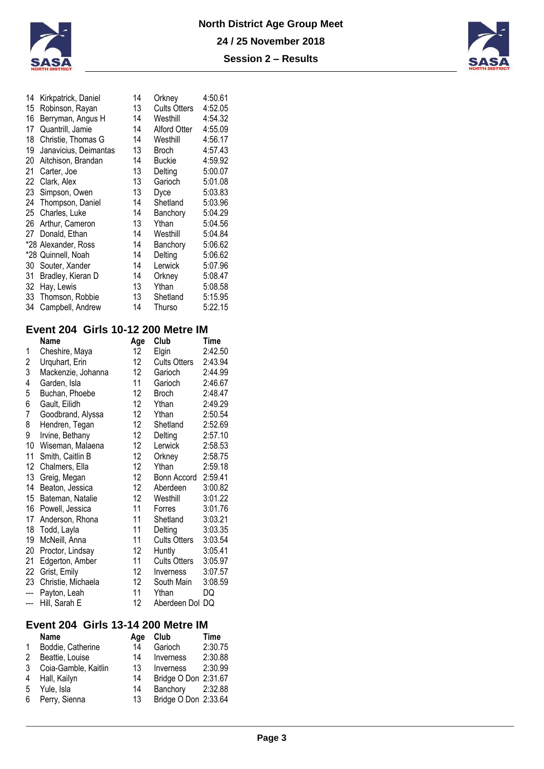



| 14 | Kirkpatrick, Daniel   | 14 | Orkney              | 4:50.61 |
|----|-----------------------|----|---------------------|---------|
| 15 | Robinson, Rayan       | 13 | <b>Cults Otters</b> | 4:52.05 |
| 16 | Berryman, Angus H     | 14 | Westhill            | 4:54.32 |
| 17 | Quantrill, Jamie      | 14 | Alford Otter        | 4:55.09 |
| 18 | Christie, Thomas G    | 14 | Westhill            | 4:56.17 |
| 19 | Janavicius, Deimantas | 13 | Broch               | 4:57.43 |
| 20 | Aitchison, Brandan    | 14 | Buckie              | 4:59.92 |
| 21 | Carter, Joe           | 13 | Delting             | 5:00.07 |
| 22 | Clark, Alex           | 13 | Garioch             | 5:01.08 |
| 23 | Simpson, Owen         | 13 | Dyce                | 5:03.83 |
| 24 | Thompson, Daniel      | 14 | Shetland            | 5:03.96 |
| 25 | Charles, Luke         | 14 | Banchory            | 5:04.29 |
| 26 | Arthur, Cameron       | 13 | Ythan               | 5:04.56 |
| 27 | Donald, Ethan         | 14 | Westhill            | 5:04.84 |
|    | *28 Alexander, Ross   | 14 | Banchory            | 5:06.62 |
|    | *28 Quinnell, Noah    | 14 | Delting             | 5:06.62 |
| 30 | Souter, Xander        | 14 | Lerwick             | 5:07.96 |
| 31 | Bradley, Kieran D     | 14 | Orkney              | 5:08.47 |
| 32 | Hay, Lewis            | 13 | Ythan               | 5:08.58 |
| 33 | Thomson, Robbie       | 13 | Shetland            | 5:15.95 |
| 34 | Campbell, Andrew      | 14 | Thurso              | 5:22.15 |
|    |                       |    |                     |         |

### **Event 204 Girls 10-12 200 Metre IM**

|     | <b>Name</b>        | Age              | Club                | Time    |
|-----|--------------------|------------------|---------------------|---------|
| 1   | Cheshire, Maya     | 12               | Elgin               | 2:42.50 |
| 2   | Urquhart, Erin     | 12 <sup>°</sup>  | <b>Cults Otters</b> | 2:43.94 |
| 3   | Mackenzie, Johanna | 12 <sup>°</sup>  | Garioch             | 2:44.99 |
| 4   | Garden, Isla       | 11               | Garioch             | 2:46.67 |
| 5   | Buchan, Phoebe     | 12 <sup>°</sup>  | Broch               | 2:48.47 |
| 6   | Gault, Eilidh      | 12               | Ythan               | 2:49.29 |
| 7   | Goodbrand, Alyssa  | 12 <sup>°</sup>  | Ythan               | 2:50.54 |
| 8   | Hendren, Tegan     | 12 <sup>°</sup>  | Shetland            | 2:52.69 |
| 9   | Irvine, Bethany    | 12 <sup>°</sup>  | Delting             | 2:57.10 |
| 10  | Wiseman, Malaena   | 12 <sup>°</sup>  | Lerwick             | 2:58.53 |
| 11  | Smith, Caitlin B   | 12               | Orkney              | 2:58.75 |
| 12  | Chalmers, Ella     | 12 <sup>°</sup>  | Ythan               | 2:59.18 |
| 13  | Greig, Megan       | 12 <sup>°</sup>  | Bonn Accord         | 2:59.41 |
| 14  | Beaton, Jessica    | 12               | Aberdeen            | 3:00.82 |
| 15  | Bateman, Natalie   | 12 <sup>12</sup> | Westhill            | 3:01.22 |
| 16  | Powell, Jessica    | 11               | Forres              | 3:01.76 |
| 17  | Anderson, Rhona    | 11               | Shetland            | 3:03.21 |
| 18  | Todd, Layla        | 11               | Delting             | 3:03.35 |
| 19  | McNeill, Anna      | 11               | <b>Cults Otters</b> | 3:03.54 |
| 20  | Proctor, Lindsay   | 12               | Huntly              | 3:05.41 |
| 21  | Edgerton, Amber    | 11               | <b>Cults Otters</b> | 3:05.97 |
| 22  | Grist, Emily       | 12               | Inverness           | 3:07.57 |
| 23  | Christie, Michaela | 12 <sup>°</sup>  | South Main          | 3:08.59 |
| --- | Payton, Leah       | 11               | Ythan               | DQ      |
| --- | Hill, Sarah E      | 12               | Aberdeen Dol DQ     |         |

## **Event 204 Girls 13-14 200 Metre IM**

|   | <b>Name</b>            | Age | Club                 | Time    |
|---|------------------------|-----|----------------------|---------|
|   | 1 Boddie, Catherine    | 14  | Garioch              | 2:30.75 |
|   | 2 Beattie, Louise      | 14  | Inverness            | 2:30.88 |
|   | 3 Coia-Gamble, Kaitlin | 13  | Inverness            | 2:30.99 |
| 4 | Hall, Kailyn           | 14  | Bridge O Don 2:31.67 |         |
| 5 | Yule, Isla             | 14  | Banchory             | 2:32.88 |
|   | 6 Perry, Sienna        | 13  | Bridge O Don 2:33.64 |         |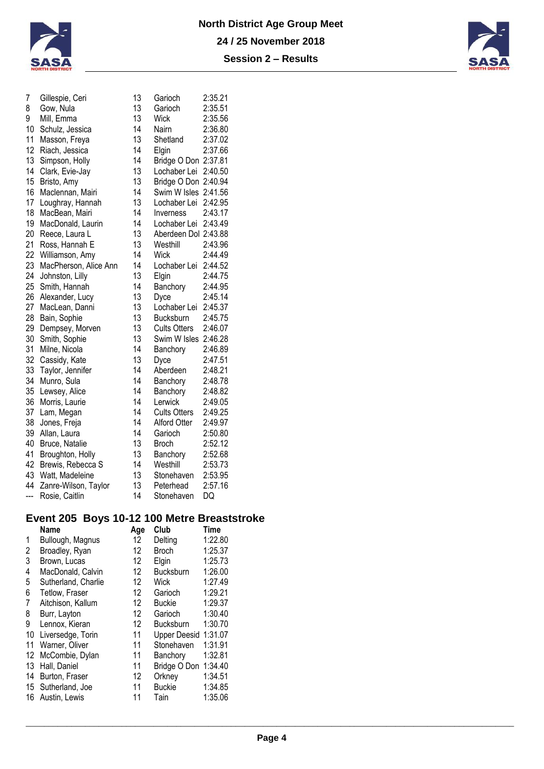



| 7   | Gillespie, Ceri       | 13 | Garioch              | 2:35.21 |
|-----|-----------------------|----|----------------------|---------|
| 8   | Gow, Nula             | 13 | Garioch              | 2:35.51 |
| 9   | Mill, Emma            | 13 | <b>Wick</b>          | 2:35.56 |
| 10  | Schulz, Jessica       | 14 | <b>Nairn</b>         | 2:36.80 |
| 11  | Masson, Freya         | 13 | Shetland             | 2:37.02 |
| 12  | Riach, Jessica        | 14 | Elgin                | 2:37.66 |
| 13  | Simpson, Holly        | 14 | Bridge O Don 2:37.81 |         |
| 14  | Clark, Evie-Jay       | 13 | Lochaber Lei         | 2:40.50 |
| 15  | Bristo, Amy           | 13 | Bridge O Don 2:40.94 |         |
| 16  | Maclennan, Mairi      | 14 | Swim W Isles 2:41.56 |         |
| 17  | Loughray, Hannah      | 13 | Lochaber Lei         | 2:42.95 |
| 18  | MacBean, Mairi        | 14 | <b>Inverness</b>     | 2:43.17 |
| 19  | MacDonald, Laurin     | 14 | Lochaber Lei         | 2:43.49 |
| 20  | Reece, Laura L        | 13 | Aberdeen Dol 2:43.88 |         |
| 21  | Ross, Hannah E        | 13 | Westhill             | 2:43.96 |
| 22  | Williamson, Amy       | 14 | <b>Wick</b>          | 2:44.49 |
| 23  | MacPherson, Alice Ann | 14 | Lochaber Lei         | 2:44.52 |
| 24  | Johnston, Lilly       | 13 | Elgin                | 2:44.75 |
| 25  | Smith, Hannah         | 14 | Banchory             | 2:44.95 |
| 26  | Alexander, Lucy       | 13 | Dyce                 | 2:45.14 |
| 27  | MacLean, Danni        | 13 | Lochaber Lei         | 2:45.37 |
| 28  | Bain, Sophie          | 13 | Bucksburn            | 2:45.75 |
| 29  | Dempsey, Morven       | 13 | <b>Cults Otters</b>  | 2:46.07 |
| 30  | Smith, Sophie         | 13 | Swim W Isles 2:46.28 |         |
| 31  | Milne, Nicola         | 14 | Banchory             | 2:46.89 |
| 32  | Cassidy, Kate         | 13 | Dyce                 | 2:47.51 |
| 33  | Taylor, Jennifer      | 14 | Aberdeen             | 2:48.21 |
| 34  | Munro, Sula           | 14 | Banchory             | 2:48.78 |
| 35  | Lewsey, Alice         | 14 | Banchory             | 2:48.82 |
| 36  | Morris, Laurie        | 14 | Lerwick              | 2:49.05 |
| 37  | Lam, Megan            | 14 | <b>Cults Otters</b>  | 2:49.25 |
| 38  | Jones, Freja          | 14 | Alford Otter         | 2:49.97 |
| 39  | Allan, Laura          | 14 | Garioch              | 2:50.80 |
| 40  | Bruce, Natalie        | 13 | <b>Broch</b>         | 2:52.12 |
| 41  | Broughton, Holly      | 13 | Banchory             | 2:52.68 |
| 42  | Brewis, Rebecca S     | 14 | Westhill             | 2:53.73 |
| 43  | Watt, Madeleine       | 13 | Stonehaven           | 2:53.95 |
| 44  | Zanre-Wilson, Taylor  | 13 | Peterhead            | 2:57.16 |
| --- | Rosie, Caitlin        | 14 | Stonehaven           | DQ      |
|     |                       |    |                      |         |

# **Event 205 Boys 10-12 100 Metre Breaststroke**

| <b>Name</b>           | Age               | Club                | Time    |
|-----------------------|-------------------|---------------------|---------|
| Bullough, Magnus      | 12 <sup>°</sup>   | Delting             | 1:22.80 |
| Broadley, Ryan        | 12                | <b>Broch</b>        | 1:25.37 |
| Brown, Lucas          | 12                | Elgin               | 1:25.73 |
| MacDonald, Calvin     | 12                | Bucksburn           | 1:26.00 |
| Sutherland, Charlie   | 12                | Wick                | 1:27.49 |
| <b>Tetlow, Fraser</b> | 12 <sup>°</sup>   | Garioch             | 1:29.21 |
| Aitchison, Kallum     | $12 \overline{ }$ | <b>Buckie</b>       | 1:29.37 |
| Burr, Layton          | 12                | Garioch             | 1:30.40 |
| Lennox, Kieran        | $12 \overline{ }$ | <b>Bucksburn</b>    | 1:30.70 |
| Liversedge, Torin     | 11                | <b>Upper Deesid</b> | 1:31.07 |
| Warner, Oliver        | 11                | Stonehaven          | 1:31.91 |
| McCombie, Dylan       | 11                | Banchory            | 1:32.81 |
| Hall, Daniel          | 11                | Bridge O Don        | 1:34.40 |
| Burton, Fraser        | 12                | Orkney              | 1:34.51 |
| Sutherland, Joe       | 11                | <b>Buckie</b>       | 1:34.85 |
| Austin, Lewis         | 11                | Tain                | 1:35.06 |
|                       |                   |                     |         |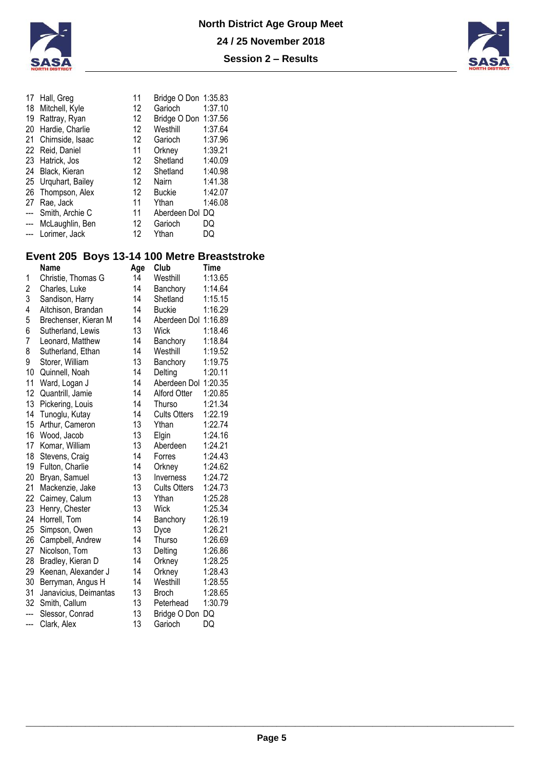



| 17             | Hall, Greg          | 11                | Bridge O Don 1:35.83 |         |
|----------------|---------------------|-------------------|----------------------|---------|
|                | 18 Mitchell, Kyle   | $12 \overline{ }$ | Garioch              | 1:37.10 |
|                | 19 Rattray, Ryan    | 12                | Bridge O Don 1:37.56 |         |
| 20             | Hardie, Charlie     | 12                | Westhill             | 1:37.64 |
| 21             | Chirnside, Isaac    | $12 \overline{ }$ | Garioch              | 1:37.96 |
|                | 22 Reid, Daniel     | 11                | Orkney               | 1:39.21 |
|                | 23 Hatrick, Jos     | 12                | Shetland             | 1:40.09 |
|                | 24 Black, Kieran    | $12 \overline{ }$ | Shetland             | 1:40.98 |
|                | 25 Urquhart, Bailey | 12                | Nairn                | 1:41.38 |
| 26             | Thompson, Alex      | 12                | Buckie               | 1:42.07 |
| 27             | Rae, Jack           | 11                | Ythan                | 1:46.08 |
| $\overline{a}$ | Smith, Archie C     | 11                | Aberdeen Dol DQ      |         |
| $\overline{a}$ | McLaughlin, Ben     | $12 \overline{ }$ | Garioch              | DQ      |
| $\frac{1}{2}$  | Lorimer, Jack       | 12                | Ythan                | DQ      |
|                |                     |                   |                      |         |

# **Event 205 Boys 13-14 100 Metre Breaststroke**

|                         | <b>Name</b>           | Age | Club                 | Time    |
|-------------------------|-----------------------|-----|----------------------|---------|
| 1                       | Christie, Thomas G    | 14  | Westhill             | 1:13.65 |
| $\overline{\mathbf{c}}$ | Charles, Luke         | 14  | Banchory             | 1:14.64 |
| 3                       | Sandison, Harry       | 14  | Shetland             | 1:15.15 |
| 4                       | Aitchison, Brandan    | 14  | <b>Buckie</b>        | 1:16.29 |
| 5                       | Brechenser, Kieran M  | 14  | Aberdeen Dol 1:16.89 |         |
| 6                       | Sutherland, Lewis     | 13  | <b>Wick</b>          | 1:18.46 |
| $\overline{7}$          | Leonard, Matthew      | 14  | Banchory             | 1:18.84 |
| 8                       | Sutherland, Ethan     | 14  | Westhill             | 1:19.52 |
| 9                       | Storer, William       | 13  | Banchory             | 1:19.75 |
| 10                      | Quinnell, Noah        | 14  | Delting              | 1:20.11 |
| 11                      | Ward, Logan J         | 14  | Aberdeen Dol         | 1:20.35 |
| 12                      | Quantrill, Jamie      | 14  | <b>Alford Otter</b>  | 1:20.85 |
| 13                      | Pickering, Louis      | 14  | Thurso               | 1:21.34 |
| 14                      | Tunoglu, Kutay        | 14  | <b>Cults Otters</b>  | 1:22.19 |
| 15                      | Arthur, Cameron       | 13  | Ythan                | 1:22.74 |
| 16                      | Wood, Jacob           | 13  | Elgin                | 1:24.16 |
| 17                      | Komar, William        | 13  | Aberdeen             | 1:24.21 |
| 18                      | Stevens, Craig        | 14  | Forres               | 1:24.43 |
| 19                      | Fulton, Charlie       | 14  | Orkney               | 1:24.62 |
| 20                      | Bryan, Samuel         | 13  | Inverness            | 1:24.72 |
| 21                      | Mackenzie, Jake       | 13  | <b>Cults Otters</b>  | 1:24.73 |
| 22                      | Cairney, Calum        | 13  | Ythan                | 1:25.28 |
| 23                      | Henry, Chester        | 13  | Wick                 | 1:25.34 |
| 24                      | Horrell, Tom          | 14  | Banchory             | 1:26.19 |
| 25                      | Simpson, Owen         | 13  | Dyce                 | 1:26.21 |
| 26                      | Campbell, Andrew      | 14  | Thurso               | 1:26.69 |
| 27                      | Nicolson, Tom         | 13  | Delting              | 1:26.86 |
| 28                      | Bradley, Kieran D     | 14  | Orkney               | 1:28.25 |
| 29                      | Keenan, Alexander J   | 14  | Orkney               | 1:28.43 |
| 30                      | Berryman, Angus H     | 14  | Westhill             | 1:28.55 |
| 31                      | Janavicius, Deimantas | 13  | <b>Broch</b>         | 1:28.65 |
| 32                      | Smith, Callum         | 13  | Peterhead            | 1:30.79 |
| ---                     | Slessor, Conrad       | 13  | Bridge O Don         | DQ      |
| ---                     | Clark, Alex           | 13  | Garioch              | DQ      |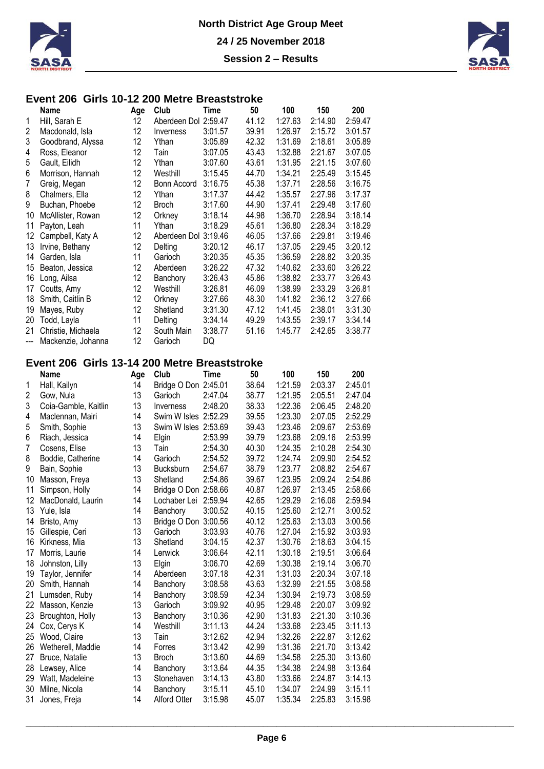



### **Event 206 Girls 10-12 200 Metre Breaststroke**

|                | Name               | Age | Club                 | Time    | 50    | 100     | 150     | 200     |
|----------------|--------------------|-----|----------------------|---------|-------|---------|---------|---------|
| 1              | Hill, Sarah E      | 12  | Aberdeen Dol 2:59.47 |         | 41.12 | 1:27.63 | 2:14.90 | 2:59.47 |
| 2              | Macdonald, Isla    | 12  | Inverness            | 3:01.57 | 39.91 | 1:26.97 | 2:15.72 | 3:01.57 |
| 3              | Goodbrand, Alyssa  | 12  | Ythan                | 3:05.89 | 42.32 | 1:31.69 | 2:18.61 | 3:05.89 |
| 4              | Ross, Eleanor      | 12  | Tain                 | 3:07.05 | 43.43 | 1:32.88 | 2:21.67 | 3:07.05 |
| 5              | Gault, Eilidh      | 12  | Ythan                | 3:07.60 | 43.61 | 1:31.95 | 2:21.15 | 3:07.60 |
| 6              | Morrison, Hannah   | 12  | Westhill             | 3:15.45 | 44.70 | 1:34.21 | 2:25.49 | 3:15.45 |
| 7              | Greig, Megan       | 12  | Bonn Accord          | 3:16.75 | 45.38 | 1:37.71 | 2:28.56 | 3:16.75 |
| 8              | Chalmers, Ella     | 12  | Ythan                | 3:17.37 | 44.42 | 1:35.57 | 2:27.96 | 3:17.37 |
| 9              | Buchan, Phoebe     | 12  | <b>Broch</b>         | 3:17.60 | 44.90 | 1:37.41 | 2:29.48 | 3:17.60 |
| 10             | McAllister, Rowan  | 12  | Orkney               | 3:18.14 | 44.98 | 1:36.70 | 2:28.94 | 3:18.14 |
| 11             | Payton, Leah       | 11  | Ythan                | 3:18.29 | 45.61 | 1:36.80 | 2:28.34 | 3:18.29 |
| 12             | Campbell, Katy A   | 12  | Aberdeen Dol 3:19.46 |         | 46.05 | 1:37.66 | 2:29.81 | 3:19.46 |
| 13             | Irvine, Bethany    | 12  | Delting              | 3:20.12 | 46.17 | 1:37.05 | 2:29.45 | 3:20.12 |
| 14             | Garden, Isla       | 11  | Garioch              | 3:20.35 | 45.35 | 1:36.59 | 2:28.82 | 3:20.35 |
| 15             | Beaton, Jessica    | 12  | Aberdeen             | 3:26.22 | 47.32 | 1:40.62 | 2:33.60 | 3:26.22 |
| 16             | Long, Ailsa        | 12  | Banchory             | 3:26.43 | 45.86 | 1:38.82 | 2:33.77 | 3:26.43 |
| 17             | Coutts, Amy        | 12  | Westhill             | 3:26.81 | 46.09 | 1:38.99 | 2:33.29 | 3:26.81 |
| 18             | Smith, Caitlin B   | 12  | Orkney               | 3:27.66 | 48.30 | 1:41.82 | 2:36.12 | 3:27.66 |
| 19             | Mayes, Ruby        | 12  | Shetland             | 3:31.30 | 47.12 | 1:41.45 | 2:38.01 | 3:31.30 |
| 20             | Todd, Layla        | 11  | Delting              | 3:34.14 | 49.29 | 1:43.55 | 2:39.17 | 3:34.14 |
| 21             | Christie, Michaela | 12  | South Main           | 3:38.77 | 51.16 | 1:45.77 | 2:42.65 | 3:38.77 |
| $\overline{a}$ | Mackenzie, Johanna | 12  | Garioch              | DQ      |       |         |         |         |

## **Event 206 Girls 13-14 200 Metre Breaststroke**

|                | Name                 | Age | Club                 | Time    | 50    | 100     | 150     | 200     |
|----------------|----------------------|-----|----------------------|---------|-------|---------|---------|---------|
| 1              | Hall, Kailyn         | 14  | Bridge O Don 2:45.01 |         | 38.64 | 1:21.59 | 2:03.37 | 2:45.01 |
| 2              | Gow, Nula            | 13  | Garioch              | 2:47.04 | 38.77 | 1:21.95 | 2:05.51 | 2:47.04 |
| 3              | Coia-Gamble, Kaitlin | 13  | Inverness            | 2:48.20 | 38.33 | 1:22.36 | 2:06.45 | 2:48.20 |
| 4              | Maclennan, Mairi     | 14  | Swim W Isles 2:52.29 |         | 39.55 | 1:23.30 | 2:07.05 | 2:52.29 |
| 5              | Smith, Sophie        | 13  | Swim W Isles 2:53.69 |         | 39.43 | 1:23.46 | 2:09.67 | 2:53.69 |
| 6              | Riach, Jessica       | 14  | Elgin                | 2:53.99 | 39.79 | 1:23.68 | 2:09.16 | 2:53.99 |
| $\overline{7}$ | Cosens, Elise        | 13  | Tain                 | 2:54.30 | 40.30 | 1:24.35 | 2:10.28 | 2:54.30 |
| 8              | Boddie, Catherine    | 14  | Garioch              | 2:54.52 | 39.72 | 1:24.74 | 2:09.90 | 2:54.52 |
| 9              | Bain, Sophie         | 13  | Bucksburn            | 2:54.67 | 38.79 | 1:23.77 | 2:08.82 | 2:54.67 |
| 10             | Masson, Freya        | 13  | Shetland             | 2:54.86 | 39.67 | 1:23.95 | 2:09.24 | 2:54.86 |
| 11             | Simpson, Holly       | 14  | Bridge O Don 2:58.66 |         | 40.87 | 1:26.97 | 2:13.45 | 2:58.66 |
| 12             | MacDonald, Laurin    | 14  | Lochaber Lei         | 2:59.94 | 42.65 | 1:29.29 | 2:16.06 | 2:59.94 |
| 13             | Yule, Isla           | 14  | Banchory             | 3:00.52 | 40.15 | 1:25.60 | 2:12.71 | 3:00.52 |
| 14             | Bristo, Amy          | 13  | Bridge O Don 3:00.56 |         | 40.12 | 1:25.63 | 2:13.03 | 3:00.56 |
| 15             | Gillespie, Ceri      | 13  | Garioch              | 3:03.93 | 40.76 | 1:27.04 | 2:15.92 | 3:03.93 |
| 16             | Kirkness, Mia        | 13  | Shetland             | 3:04.15 | 42.37 | 1:30.76 | 2:18.63 | 3:04.15 |
| 17             | Morris, Laurie       | 14  | Lerwick              | 3:06.64 | 42.11 | 1:30.18 | 2:19.51 | 3:06.64 |
| 18             | Johnston, Lilly      | 13  | Elgin                | 3:06.70 | 42.69 | 1:30.38 | 2:19.14 | 3:06.70 |
| 19             | Taylor, Jennifer     | 14  | Aberdeen             | 3:07.18 | 42.31 | 1:31.03 | 2:20.34 | 3:07.18 |
| 20             | Smith, Hannah        | 14  | Banchory             | 3:08.58 | 43.63 | 1:32.99 | 2:21.55 | 3:08.58 |
| 21             | Lumsden, Ruby        | 14  | Banchory             | 3:08.59 | 42.34 | 1:30.94 | 2:19.73 | 3:08.59 |
| 22             | Masson, Kenzie       | 13  | Garioch              | 3:09.92 | 40.95 | 1:29.48 | 2:20.07 | 3:09.92 |
| 23             | Broughton, Holly     | 13  | Banchory             | 3:10.36 | 42.90 | 1:31.83 | 2:21.30 | 3:10.36 |
| 24             | Cox, Cerys K         | 14  | Westhill             | 3:11.13 | 44.24 | 1:33.68 | 2:23.45 | 3:11.13 |
| 25             | Wood, Claire         | 13  | Tain                 | 3:12.62 | 42.94 | 1:32.26 | 2:22.87 | 3:12.62 |
| 26             | Wetherell, Maddie    | 14  | Forres               | 3:13.42 | 42.99 | 1:31.36 | 2:21.70 | 3:13.42 |
| 27             | Bruce, Natalie       | 13  | <b>Broch</b>         | 3:13.60 | 44.69 | 1:34.58 | 2:25.30 | 3:13.60 |
| 28             | Lewsey, Alice        | 14  | Banchory             | 3:13.64 | 44.35 | 1:34.38 | 2:24.98 | 3:13.64 |
| 29             | Watt, Madeleine      | 13  | Stonehaven           | 3:14.13 | 43.80 | 1:33.66 | 2:24.87 | 3:14.13 |
| 30             | Milne, Nicola        | 14  | Banchory             | 3:15.11 | 45.10 | 1:34.07 | 2:24.99 | 3:15.11 |
| 31             | Jones, Freja         | 14  | <b>Alford Otter</b>  | 3:15.98 | 45.07 | 1:35.34 | 2:25.83 | 3:15.98 |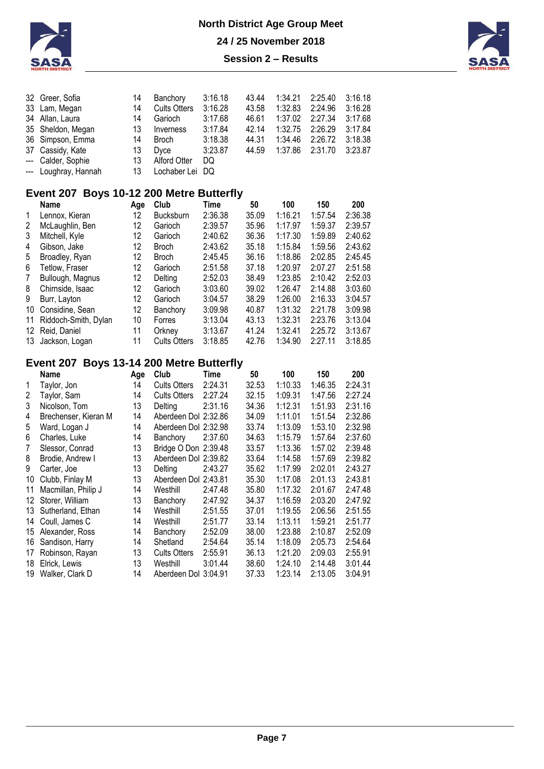



| Greer, Sofia<br>Lam, Megan<br>Allan, Laura<br>Sheldon, Megan<br>Simpson, Emma<br>Cassidy, Kate<br>Calder, Sophie<br>Loughray, Hannah | 14<br>14<br>14<br>13<br>14<br>13<br>13<br>13 | Banchory<br><b>Cults Otters</b><br>Garioch<br>Inverness<br><b>Broch</b><br>Dyce<br><b>Alford Otter</b><br>Lochaber Lei | 3:16.18<br>3:16.28<br>3:17.68<br>3:17.84<br>3:18.38<br>3:23.87<br>DQ<br>DQ | 43.44<br>43.58<br>46.61<br>42.14<br>44.31<br>44.59 | 1:34.21<br>1:32.83<br>1:37.02<br>1:32.75<br>1:34.46<br>1:37.86 | 2:25.40<br>2:24.96<br>2:27.34<br>2:26.29<br>2:26.72<br>2:31.70 | 3:16.18<br>3:16.28<br>3:17.68<br>3:17.84<br>3:18.38<br>3:23.87 |
|--------------------------------------------------------------------------------------------------------------------------------------|----------------------------------------------|------------------------------------------------------------------------------------------------------------------------|----------------------------------------------------------------------------|----------------------------------------------------|----------------------------------------------------------------|----------------------------------------------------------------|----------------------------------------------------------------|
| Event 207                                                                                                                            |                                              |                                                                                                                        |                                                                            |                                                    |                                                                |                                                                |                                                                |
| <b>Name</b>                                                                                                                          | Age                                          | Club                                                                                                                   | Time                                                                       | 50                                                 | 100                                                            | 150                                                            | 200                                                            |
| Lennox, Kieran                                                                                                                       | 12                                           | <b>Bucksburn</b>                                                                                                       | 2:36.38                                                                    | 35.09                                              | 1:16.21                                                        | 1:57.54                                                        | 2:36.38                                                        |
| McLaughlin, Ben                                                                                                                      | 12                                           | Garioch                                                                                                                | 2:39.57                                                                    | 35.96                                              | 1:17.97                                                        | 1:59.37                                                        | 2:39.57                                                        |
| Mitchell, Kyle                                                                                                                       | 12                                           | Garioch                                                                                                                | 2:40.62                                                                    | 36.36                                              | 1:17.30                                                        | 1:59.89                                                        | 2:40.62                                                        |
| Gibson, Jake                                                                                                                         | 12                                           | <b>Broch</b>                                                                                                           | 2:43.62                                                                    | 35.18                                              | 1:15.84                                                        | 1:59.56                                                        | 2:43.62                                                        |
| Broadley, Ryan                                                                                                                       | 12                                           | <b>Broch</b>                                                                                                           | 2:45.45                                                                    | 36.16                                              | 1:18.86                                                        | 2:02.85                                                        | 2:45.45                                                        |
| Tetlow, Fraser                                                                                                                       | 12                                           | Garioch                                                                                                                | 2:51.58                                                                    | 37.18                                              | 1:20.97                                                        | 2:07.27                                                        | 2:51.58                                                        |
| Bullough, Magnus                                                                                                                     | 12                                           | Delting                                                                                                                | 2:52.03                                                                    | 38.49                                              | 1:23.85                                                        | 2:10.42                                                        | 2:52.03                                                        |
| Chirnside, Isaac                                                                                                                     | 12                                           | Garioch                                                                                                                | 3:03.60                                                                    | 39.02                                              | 1:26.47                                                        | 2:14.88                                                        | 3:03.60                                                        |
| Burr, Layton                                                                                                                         | 12                                           | Garioch                                                                                                                | 3:04.57                                                                    | 38.29                                              | 1:26.00                                                        | 2:16.33                                                        | 3:04.57                                                        |
| Considine, Sean                                                                                                                      | 12                                           | Banchory                                                                                                               | 3:09.98                                                                    | 40.87                                              | 1:31.32                                                        | 2:21.78                                                        | 3:09.98                                                        |
| Riddoch-Smith, Dylan                                                                                                                 | 10                                           | Forres                                                                                                                 | 3:13.04                                                                    | 43.13                                              | 1:32.31                                                        | 2:23.76                                                        | 3:13.04                                                        |
| Reid, Daniel                                                                                                                         | 11                                           | Orkney                                                                                                                 | 3:13.67                                                                    | 41.24                                              | 1:32.41                                                        | 2:25.72                                                        | 3:13.67                                                        |
| Jackson, Logan                                                                                                                       | 11                                           | <b>Cults Otters</b>                                                                                                    | 3:18.85                                                                    | 42.76                                              | 1:34.90                                                        | 2:27.11                                                        | 3:18.85                                                        |
|                                                                                                                                      |                                              |                                                                                                                        |                                                                            |                                                    | <b>Boys 10-12 200 Metre Butterfly</b>                          |                                                                |                                                                |

## **Event 207 Boys 13-14 200 Metre Butterfly**

|    | <b>Name</b>          | Age | Club                 | Time    | 50    | 100     | 150     | 200     |
|----|----------------------|-----|----------------------|---------|-------|---------|---------|---------|
|    | Taylor, Jon          | 14  | <b>Cults Otters</b>  | 2:24.31 | 32.53 | 1:10.33 | 1:46.35 | 2:24.31 |
| 2  | Taylor, Sam          | 14  | <b>Cults Otters</b>  | 2:27.24 | 32.15 | 1:09.31 | 1:47.56 | 2:27.24 |
| 3  | Nicolson, Tom        | 13  | Delting              | 2:31.16 | 34.36 | 1:12.31 | 1:51.93 | 2:31.16 |
| 4  | Brechenser, Kieran M | 14  | Aberdeen Dol 2:32.86 |         | 34.09 | 1:11.01 | 1:51.54 | 2:32.86 |
| 5  | Ward, Logan J        | 14  | Aberdeen Dol 2:32.98 |         | 33.74 | 1:13.09 | 1:53.10 | 2:32.98 |
| 6  | Charles, Luke        | 14  | Banchory             | 2:37.60 | 34.63 | 1:15.79 | 1:57.64 | 2:37.60 |
| 7  | Slessor, Conrad      | 13  | Bridge O Don 2:39.48 |         | 33.57 | 1:13.36 | 1:57.02 | 2:39.48 |
| 8  | Brodie, Andrew I     | 13  | Aberdeen Dol 2:39.82 |         | 33.64 | 1:14.58 | 1:57.69 | 2:39.82 |
| 9  | Carter, Joe          | 13  | Delting              | 2:43.27 | 35.62 | 1:17.99 | 2:02.01 | 2:43.27 |
| 10 | Clubb, Finlay M      | 13  | Aberdeen Dol 2:43.81 |         | 35.30 | 1:17.08 | 2:01.13 | 2:43.81 |
| 11 | Macmillan, Philip J  | 14  | Westhill             | 2:47.48 | 35.80 | 1:17.32 | 2:01.67 | 2:47.48 |
| 12 | Storer, William      | 13  | Banchory             | 2:47.92 | 34.37 | 1:16.59 | 2:03.20 | 2:47.92 |
| 13 | Sutherland, Ethan    | 14  | Westhill             | 2:51.55 | 37.01 | 1:19.55 | 2:06.56 | 2:51.55 |
| 14 | Coull, James C       | 14  | Westhill             | 2:51.77 | 33.14 | 1:13.11 | 1:59.21 | 2:51.77 |
| 15 | Alexander, Ross      | 14  | Banchory             | 2:52.09 | 38.00 | 1:23.88 | 2:10.87 | 2:52.09 |
| 16 | Sandison, Harry      | 14  | Shetland             | 2:54.64 | 35.14 | 1:18.09 | 2:05.73 | 2:54.64 |
| 17 | Robinson, Rayan      | 13  | <b>Cults Otters</b>  | 2:55.91 | 36.13 | 1:21.20 | 2:09.03 | 2:55.91 |
| 18 | Elrick, Lewis        | 13  | Westhill             | 3:01.44 | 38.60 | 1:24.10 | 2:14.48 | 3:01.44 |
| 19 | Walker, Clark D      | 14  | Aberdeen Dol 3:04.91 |         | 37.33 | 1:23.14 | 2:13.05 | 3:04.91 |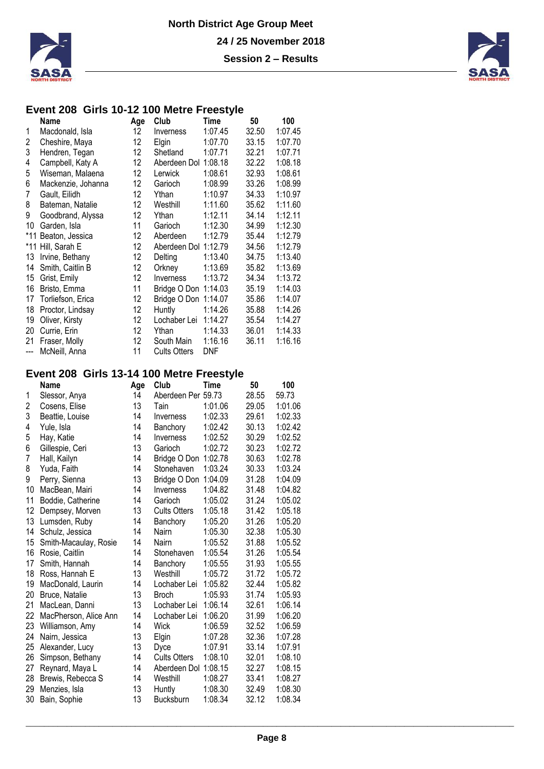

#### **Event 208 Girls 10-12 100 Metre Freestyle**

|       | Name                | Age | Club                | Time       | 50    | 100     |
|-------|---------------------|-----|---------------------|------------|-------|---------|
| 1     | Macdonald, Isla     | 12  | Inverness           | 1:07.45    | 32.50 | 1:07.45 |
| 2     | Cheshire, Maya      | 12  | Elgin               | 1:07.70    | 33.15 | 1:07.70 |
| 3     | Hendren, Tegan      | 12  | Shetland            | 1:07.71    | 32.21 | 1:07.71 |
| 4     | Campbell, Katy A    | 12  | Aberdeen Dol        | 1:08.18    | 32.22 | 1:08.18 |
| 5     | Wiseman, Malaena    | 12  | Lerwick             | 1:08.61    | 32.93 | 1:08.61 |
| 6     | Mackenzie, Johanna  | 12  | Garioch             | 1:08.99    | 33.26 | 1:08.99 |
| 7     | Gault, Eilidh       | 12  | Ythan               | 1:10.97    | 34.33 | 1:10.97 |
| 8     | Bateman, Natalie    | 12  | Westhill            | 1:11.60    | 35.62 | 1:11.60 |
| 9     | Goodbrand, Alyssa   | 12  | Ythan               | 1:12.11    | 34.14 | 1:12.11 |
| 10    | Garden, Isla        | 11  | Garioch             | 1:12.30    | 34.99 | 1:12.30 |
|       | *11 Beaton, Jessica | 12  | Aberdeen            | 1:12.79    | 35.44 | 1:12.79 |
| *11   | Hill, Sarah E       | 12  | Aberdeen Dol        | 1:12.79    | 34.56 | 1:12.79 |
| 13    | Irvine, Bethany     | 12  | Delting             | 1:13.40    | 34.75 | 1:13.40 |
| 14    | Smith, Caitlin B    | 12  | Orkney              | 1:13.69    | 35.82 | 1:13.69 |
| 15    | Grist, Emily        | 12  | Inverness           | 1:13.72    | 34.34 | 1:13.72 |
| 16    | Bristo, Emma        | 11  | Bridge O Don        | 1:14.03    | 35.19 | 1:14.03 |
| 17    | Torliefson, Erica   | 12  | Bridge O Don        | 1:14.07    | 35.86 | 1:14.07 |
| 18    | Proctor, Lindsay    | 12  | Huntly              | 1:14.26    | 35.88 | 1:14.26 |
| 19    | Oliver, Kirsty      | 12  | Lochaber Lei        | 1:14.27    | 35.54 | 1:14.27 |
| 20    | Currie, Erin        | 12  | Ythan               | 1:14.33    | 36.01 | 1:14.33 |
| 21    | Fraser, Molly       | 12  | South Main          | 1:16.16    | 36.11 | 1:16.16 |
| $---$ | McNeill, Anna       | 11  | <b>Cults Otters</b> | <b>DNF</b> |       |         |

### **Event 208 Girls 13-14 100 Metre Freestyle**

|    | <b>Name</b>           | Age | Club                 | <b>Time</b> | 50    | 100     |
|----|-----------------------|-----|----------------------|-------------|-------|---------|
| 1  | Slessor, Anya         | 14  | Aberdeen Per 59.73   |             | 28.55 | 59.73   |
| 2  | Cosens, Elise         | 13  | Tain                 | 1:01.06     | 29.05 | 1:01.06 |
| 3  | Beattie, Louise       | 14  | Inverness            | 1:02.33     | 29.61 | 1:02.33 |
| 4  | Yule, Isla            | 14  | Banchory             | 1:02.42     | 30.13 | 1:02.42 |
| 5  | Hay, Katie            | 14  | Inverness            | 1:02.52     | 30.29 | 1:02.52 |
| 6  | Gillespie, Ceri       | 13  | Garioch              | 1:02.72     | 30.23 | 1:02.72 |
| 7  | Hall, Kailyn          | 14  | Bridge O Don         | 1:02.78     | 30.63 | 1:02.78 |
| 8  | Yuda, Faith           | 14  | Stonehaven           | 1:03.24     | 30.33 | 1:03.24 |
| 9  | Perry, Sienna         | 13  | Bridge O Don         | 1:04.09     | 31.28 | 1:04.09 |
| 10 | MacBean, Mairi        | 14  | Inverness            | 1:04.82     | 31.48 | 1:04.82 |
| 11 | Boddie, Catherine     | 14  | Garioch              | 1:05.02     | 31.24 | 1:05.02 |
| 12 | Dempsey, Morven       | 13  | <b>Cults Otters</b>  | 1:05.18     | 31.42 | 1:05.18 |
| 13 | Lumsden, Ruby         | 14  | Banchory             | 1:05.20     | 31.26 | 1:05.20 |
| 14 | Schulz, Jessica       | 14  | Nairn                | 1:05.30     | 32.38 | 1:05.30 |
| 15 | Smith-Macaulay, Rosie | 14  | Nairn                | 1:05.52     | 31.88 | 1:05.52 |
| 16 | Rosie, Caitlin        | 14  | Stonehaven           | 1:05.54     | 31.26 | 1:05.54 |
| 17 | Smith, Hannah         | 14  | Banchory             | 1:05.55     | 31.93 | 1:05.55 |
| 18 | Ross, Hannah E        | 13  | Westhill             | 1:05.72     | 31.72 | 1:05.72 |
| 19 | MacDonald, Laurin     | 14  | Lochaber Lei         | 1:05.82     | 32.44 | 1:05.82 |
| 20 | Bruce, Natalie        | 13  | <b>Broch</b>         | 1:05.93     | 31.74 | 1:05.93 |
| 21 | MacLean, Danni        | 13  | Lochaber Lei         | 1:06.14     | 32.61 | 1:06.14 |
| 22 | MacPherson, Alice Ann | 14  | Lochaber Lei         | 1:06.20     | 31.99 | 1:06.20 |
| 23 | Williamson, Amy       | 14  | Wick                 | 1:06.59     | 32.52 | 1:06.59 |
| 24 | Nairn, Jessica        | 13  | Elgin                | 1:07.28     | 32.36 | 1:07.28 |
| 25 | Alexander, Lucy       | 13  | Dyce                 | 1:07.91     | 33.14 | 1:07.91 |
| 26 | Simpson, Bethany      | 14  | <b>Cults Otters</b>  | 1:08.10     | 32.01 | 1:08.10 |
| 27 | Reynard, Maya L       | 14  | Aberdeen Dol 1:08.15 |             | 32.27 | 1:08.15 |
| 28 | Brewis, Rebecca S     | 14  | Westhill             | 1:08.27     | 33.41 | 1:08.27 |
| 29 | Menzies, Isla         | 13  | Huntly               | 1:08.30     | 32.49 | 1:08.30 |
| 30 | Bain, Sophie          | 13  | Bucksburn            | 1:08.34     | 32.12 | 1:08.34 |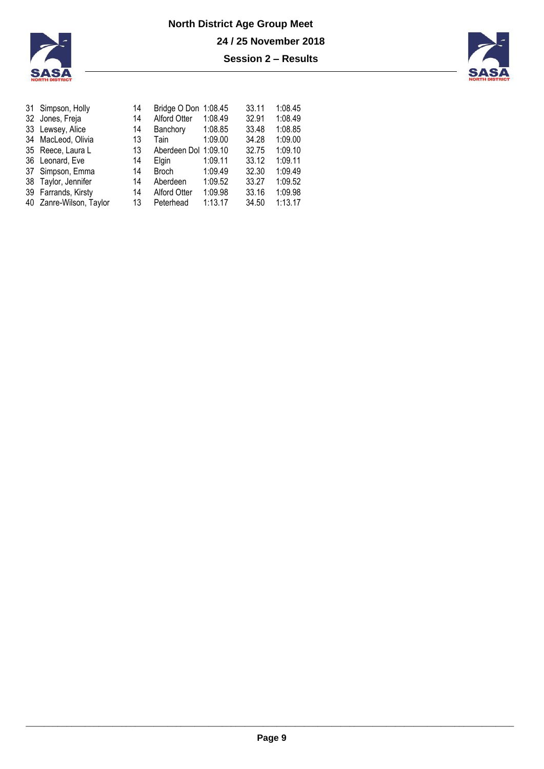



| 31 Simpson, Holly       | 14 | Bridge O Don 1:08.45 |         | 33.11 | 1:08.45 |
|-------------------------|----|----------------------|---------|-------|---------|
| 32 Jones, Freja         | 14 | Alford Otter         | 1:08.49 | 32.91 | 1:08.49 |
| 33 Lewsey, Alice        | 14 | Banchory             | 1:08.85 | 33.48 | 1:08.85 |
| 34 MacLeod, Olivia      | 13 | Tain                 | 1:09.00 | 34.28 | 1:09.00 |
| 35 Reece, Laura L       | 13 | Aberdeen Dol 1:09.10 |         | 32.75 | 1:09.10 |
| 36 Leonard, Eve         | 14 | Elgin                | 1:09.11 | 33.12 | 1:09.11 |
| 37 Simpson, Emma        | 14 | <b>Broch</b>         | 1:09.49 | 32.30 | 1:09.49 |
| 38 Taylor, Jennifer     | 14 | Aberdeen             | 1:09.52 | 33.27 | 1:09.52 |
| 39 Farrands, Kirsty     | 14 | <b>Alford Otter</b>  | 1:09.98 | 33.16 | 1:09.98 |
| 40 Zanre-Wilson, Taylor | 13 | Peterhead            | 1:13.17 | 34.50 | 1:13.17 |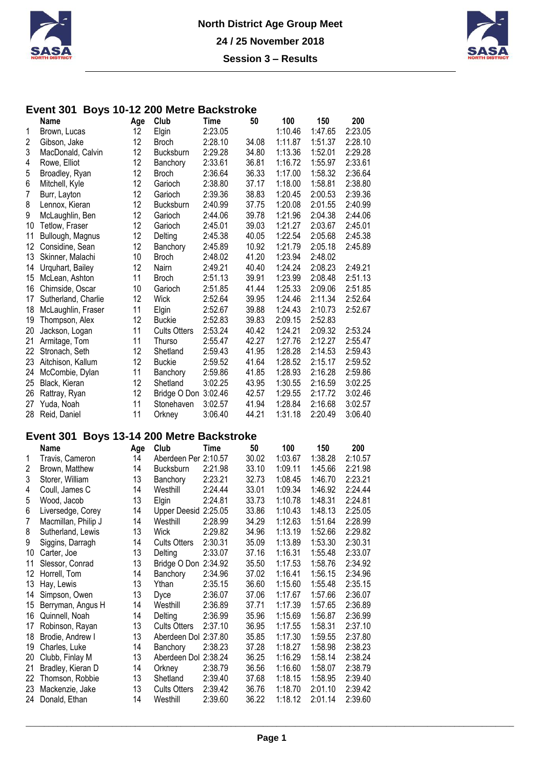



#### **Event 301 Boys 10-12 200 Metre Backstroke**

|    | <b>Name</b>         | Age | Club                | Time    | 50    | 100     | 150     | 200     |
|----|---------------------|-----|---------------------|---------|-------|---------|---------|---------|
| 1  | Brown, Lucas        | 12  | Elgin               | 2:23.05 |       | 1:10.46 | 1:47.65 | 2:23.05 |
| 2  | Gibson, Jake        | 12  | Broch               | 2:28.10 | 34.08 | 1:11.87 | 1:51.37 | 2:28.10 |
| 3  | MacDonald, Calvin   | 12  | Bucksburn           | 2:29.28 | 34.80 | 1:13.36 | 1:52.01 | 2:29.28 |
| 4  | Rowe, Elliot        | 12  | Banchory            | 2:33.61 | 36.81 | 1:16.72 | 1:55.97 | 2:33.61 |
| 5  | Broadley, Ryan      | 12  | <b>Broch</b>        | 2:36.64 | 36.33 | 1:17.00 | 1:58.32 | 2:36.64 |
| 6  | Mitchell, Kyle      | 12  | Garioch             | 2:38.80 | 37.17 | 1:18.00 | 1:58.81 | 2:38.80 |
| 7  | Burr, Layton        | 12  | Garioch             | 2:39.36 | 38.83 | 1:20.45 | 2:00.53 | 2:39.36 |
| 8  | Lennox, Kieran      | 12  | Bucksburn           | 2:40.99 | 37.75 | 1:20.08 | 2:01.55 | 2:40.99 |
| 9  | McLaughlin, Ben     | 12  | Garioch             | 2:44.06 | 39.78 | 1:21.96 | 2:04.38 | 2:44.06 |
| 10 | Tetlow, Fraser      | 12  | Garioch             | 2:45.01 | 39.03 | 1:21.27 | 2:03.67 | 2:45.01 |
| 11 | Bullough, Magnus    | 12  | Delting             | 2:45.38 | 40.05 | 1:22.54 | 2:05.68 | 2:45.38 |
| 12 | Considine, Sean     | 12  | Banchory            | 2:45.89 | 10.92 | 1:21.79 | 2:05.18 | 2:45.89 |
| 13 | Skinner, Malachi    | 10  | <b>Broch</b>        | 2:48.02 | 41.20 | 1:23.94 | 2:48.02 |         |
| 14 | Urquhart, Bailey    | 12  | Nairn               | 2:49.21 | 40.40 | 1:24.24 | 2:08.23 | 2:49.21 |
| 15 | McLean, Ashton      | 11  | <b>Broch</b>        | 2:51.13 | 39.91 | 1:23.99 | 2:08.48 | 2:51.13 |
| 16 | Chirnside, Oscar    | 10  | Garioch             | 2:51.85 | 41.44 | 1:25.33 | 2:09.06 | 2:51.85 |
| 17 | Sutherland, Charlie | 12  | <b>Wick</b>         | 2:52.64 | 39.95 | 1:24.46 | 2:11.34 | 2:52.64 |
| 18 | McLaughlin, Fraser  | 11  | Elgin               | 2:52.67 | 39.88 | 1:24.43 | 2:10.73 | 2:52.67 |
| 19 | Thompson, Alex      | 12  | <b>Buckie</b>       | 2:52.83 | 39.83 | 2:09.15 | 2:52.83 |         |
| 20 | Jackson, Logan      | 11  | <b>Cults Otters</b> | 2:53.24 | 40.42 | 1:24.21 | 2:09.32 | 2:53.24 |
| 21 | Armitage, Tom       | 11  | <b>Thurso</b>       | 2:55.47 | 42.27 | 1:27.76 | 2:12.27 | 2:55.47 |
| 22 | Stronach, Seth      | 12  | Shetland            | 2:59.43 | 41.95 | 1:28.28 | 2:14.53 | 2:59.43 |
| 23 | Aitchison, Kallum   | 12  | <b>Buckie</b>       | 2:59.52 | 41.64 | 1:28.52 | 2:15.17 | 2:59.52 |
| 24 | McCombie, Dylan     | 11  | Banchory            | 2:59.86 | 41.85 | 1:28.93 | 2:16.28 | 2:59.86 |
| 25 | Black, Kieran       | 12  | Shetland            | 3:02.25 | 43.95 | 1:30.55 | 2:16.59 | 3:02.25 |
| 26 | Rattray, Ryan       | 12  | Bridge O Don        | 3:02.46 | 42.57 | 1:29.55 | 2:17.72 | 3:02.46 |
| 27 | Yuda, Noah          | 11  | Stonehaven          | 3:02.57 | 41.94 | 1:28.84 | 2:16.68 | 3:02.57 |
| 28 | Reid, Daniel        | 11  | Orkney              | 3:06.40 | 44.21 | 1:31.18 | 2:20.49 | 3:06.40 |

### **Event 301 Boys 13-14 200 Metre Backstroke**

|    | <b>Name</b>         | Age | Club                 | Time    | 50    | 100     | 150     | 200     |
|----|---------------------|-----|----------------------|---------|-------|---------|---------|---------|
| 1  | Travis, Cameron     | 14  | Aberdeen Per 2:10.57 |         | 30.02 | 1:03.67 | 1:38.28 | 2:10.57 |
| 2  | Brown, Matthew      | 14  | <b>Bucksburn</b>     | 2:21.98 | 33.10 | 1:09.11 | 1:45.66 | 2:21.98 |
| 3  | Storer, William     | 13  | Banchory             | 2:23.21 | 32.73 | 1:08.45 | 1:46.70 | 2:23.21 |
| 4  | Coull, James C      | 14  | Westhill             | 2:24.44 | 33.01 | 1:09.34 | 1:46.92 | 2:24.44 |
| 5  | Wood, Jacob         | 13  | Elgin                | 2:24.81 | 33.73 | 1:10.78 | 1:48.31 | 2:24.81 |
| 6  | Liversedge, Corey   | 14  | Upper Deesid 2:25.05 |         | 33.86 | 1:10.43 | 1:48.13 | 2:25.05 |
| 7  | Macmillan, Philip J | 14  | Westhill             | 2:28.99 | 34.29 | 1:12.63 | 1:51.64 | 2:28.99 |
| 8  | Sutherland, Lewis   | 13  | Wick                 | 2:29.82 | 34.96 | 1:13.19 | 1:52.66 | 2:29.82 |
| 9  | Siggins, Darragh    | 14  | <b>Cults Otters</b>  | 2:30.31 | 35.09 | 1:13.89 | 1:53.30 | 2:30.31 |
| 10 | Carter, Joe         | 13  | Delting              | 2:33.07 | 37.16 | 1:16.31 | 1:55.48 | 2:33.07 |
| 11 | Slessor, Conrad     | 13  | Bridge O Don         | 2:34.92 | 35.50 | 1:17.53 | 1:58.76 | 2:34.92 |
| 12 | Horrell, Tom        | 14  | Banchory             | 2:34.96 | 37.02 | 1:16.41 | 1:56.15 | 2:34.96 |
| 13 | Hay, Lewis          | 13  | Ythan                | 2:35.15 | 36.60 | 1:15.60 | 1:55.48 | 2:35.15 |
| 14 | Simpson, Owen       | 13  | Dyce                 | 2:36.07 | 37.06 | 1:17.67 | 1:57.66 | 2:36.07 |
| 15 | Berryman, Angus H   | 14  | Westhill             | 2:36.89 | 37.71 | 1:17.39 | 1:57.65 | 2:36.89 |
| 16 | Quinnell, Noah      | 14  | Delting              | 2:36.99 | 35.96 | 1:15.69 | 1:56.87 | 2:36.99 |
| 17 | Robinson, Rayan     | 13  | <b>Cults Otters</b>  | 2:37.10 | 36.95 | 1:17.55 | 1:58.31 | 2:37.10 |
| 18 | Brodie, Andrew I    | 13  | Aberdeen Dol 2:37.80 |         | 35.85 | 1:17.30 | 1:59.55 | 2:37.80 |
| 19 | Charles, Luke       | 14  | Banchory             | 2:38.23 | 37.28 | 1:18.27 | 1:58.98 | 2:38.23 |
| 20 | Clubb, Finlay M     | 13  | Aberdeen Dol 2:38.24 |         | 36.25 | 1:16.29 | 1:58.14 | 2:38.24 |
| 21 | Bradley, Kieran D   | 14  | Orkney               | 2:38.79 | 36.56 | 1:16.60 | 1:58.07 | 2:38.79 |
| 22 | Thomson, Robbie     | 13  | Shetland             | 2:39.40 | 37.68 | 1:18.15 | 1:58.95 | 2:39.40 |
| 23 | Mackenzie, Jake     | 13  | <b>Cults Otters</b>  | 2:39.42 | 36.76 | 1:18.70 | 2:01.10 | 2:39.42 |
| 24 | Donald, Ethan       | 14  | Westhill             | 2:39.60 | 36.22 | 1:18.12 | 2:01.14 | 2:39.60 |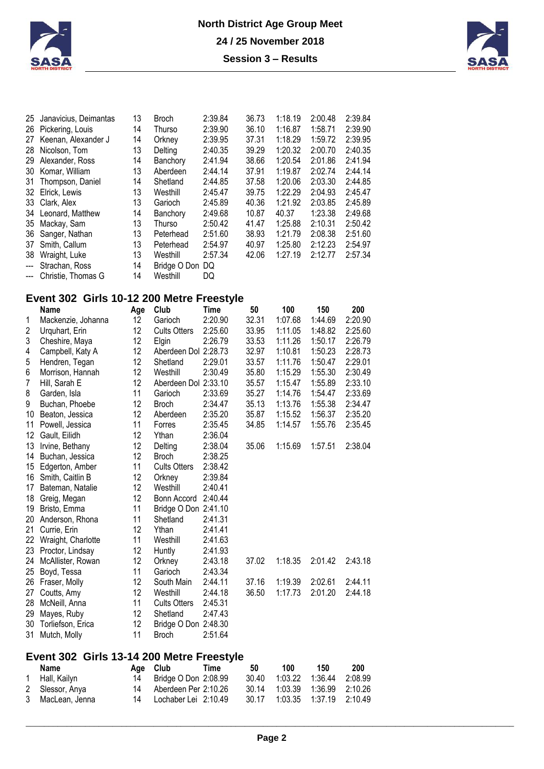



| 25             | Janavicius, Deimantas                     | 13  | <b>Broch</b>         | 2:39.84 | 36.73 | 1:18.19 | 2:00.48 | 2:39.84 |
|----------------|-------------------------------------------|-----|----------------------|---------|-------|---------|---------|---------|
| 26             | Pickering, Louis                          | 14  | <b>Thurso</b>        | 2:39.90 | 36.10 | 1:16.87 | 1:58.71 | 2:39.90 |
| 27             | Keenan, Alexander J                       | 14  | Orkney               | 2:39.95 | 37.31 | 1:18.29 | 1:59.72 | 2:39.95 |
| 28             | Nicolson, Tom                             | 13  | Delting              | 2:40.35 | 39.29 | 1:20.32 | 2:00.70 | 2:40.35 |
| 29             | Alexander, Ross                           | 14  | Banchory             | 2:41.94 | 38.66 | 1:20.54 | 2:01.86 | 2:41.94 |
| 30             | Komar, William                            | 13  | Aberdeen             | 2:44.14 | 37.91 | 1:19.87 | 2:02.74 | 2:44.14 |
| 31             | Thompson, Daniel                          | 14  | Shetland             | 2:44.85 | 37.58 | 1:20.06 | 2:03.30 | 2:44.85 |
| 32             | Elrick, Lewis                             | 13  | Westhill             | 2:45.47 | 39.75 | 1:22.29 | 2:04.93 | 2:45.47 |
| 33             | Clark, Alex                               | 13  | Garioch              | 2:45.89 | 40.36 | 1:21.92 | 2:03.85 | 2:45.89 |
| 34             | Leonard, Matthew                          | 14  | Banchory             | 2:49.68 | 10.87 | 40.37   | 1:23.38 | 2:49.68 |
| 35             | Mackay, Sam                               | 13  | Thurso               | 2:50.42 | 41.47 | 1:25.88 | 2:10.31 | 2:50.42 |
| 36             | Sanger, Nathan                            | 13  | Peterhead            | 2:51.60 | 38.93 | 1:21.79 | 2:08.38 | 2:51.60 |
| 37             | Smith, Callum                             | 13  | Peterhead            | 2:54.97 | 40.97 | 1:25.80 | 2:12.23 | 2:54.97 |
| 38             | Wraight, Luke                             | 13  | Westhill             | 2:57.34 | 42.06 | 1:27.19 | 2:12.77 | 2:57.34 |
| $\overline{a}$ | Strachan, Ross                            | 14  | Bridge O Don         | DQ      |       |         |         |         |
| ---            | Christie, Thomas G                        | 14  | Westhill             | DQ      |       |         |         |         |
|                | Event 302 Girls 10-12 200 Metre Freestyle |     |                      |         |       |         |         |         |
|                | <b>Name</b>                               | Age | Club                 | Time    | 50    | 100     | 150     | 200     |
| 1              | Mackenzie, Johanna                        | 12  | Garioch              | 2:20.90 | 32.31 | 1:07.68 | 1:44.69 | 2:20.90 |
| 2              | Urquhart, Erin                            | 12  | <b>Cults Otters</b>  | 2:25.60 | 33.95 | 1:11.05 | 1:48.82 | 2:25.60 |
| 3              | Cheshire, Maya                            | 12  | Elgin                | 2:26.79 | 33.53 | 1:11.26 | 1:50.17 | 2:26.79 |
| 4              | Campbell, Katy A                          | 12  | Aberdeen Dol 2:28.73 |         | 32.97 | 1:10.81 | 1:50.23 | 2:28.73 |
| 5              | Hendren, Tegan                            | 12  | Shetland             | 2:29.01 | 33.57 | 1:11.76 | 1:50.47 | 2:29.01 |
| 6              | Morrison, Hannah                          | 12  | Westhill             | 2:30.49 | 35.80 | 1:15.29 | 1:55.30 | 2:30.49 |
| 7              | Hill, Sarah E                             | 12  | Aberdeen Dol 2:33.10 |         | 35.57 | 1:15.47 | 1:55.89 | 2:33.10 |
| 8              | Garden, Isla                              | 11  | Garioch              | 2:33.69 | 35.27 | 1:14.76 | 1:54.47 | 2:33.69 |
| 9              | Buchan, Phoebe                            | 12  | <b>Broch</b>         | 2:34.47 | 35.13 | 1:13.76 | 1:55.38 | 2:34.47 |
| 10             | Beaton, Jessica                           | 12  | Aberdeen             | 2:35.20 | 35.87 | 1:15.52 | 1:56.37 | 2:35.20 |
| 11             | Powell, Jessica                           | 11  | Forres               | 2:35.45 | 34.85 | 1:14.57 | 1:55.76 | 2:35.45 |
| 12             | Gault, Eilidh                             | 12  | Ythan                | 2:36.04 |       |         |         |         |

|    | <b>Name</b>                               | Age             | Club                         | Time    | 50    | 100      | 150     | 200     |
|----|-------------------------------------------|-----------------|------------------------------|---------|-------|----------|---------|---------|
|    | Event 302 Girls 13-14 200 Metre Freestyle |                 |                              |         |       |          |         |         |
| 31 | Mutch, Molly                              | 11              | <b>Broch</b>                 | 2:51.64 |       |          |         |         |
|    | 30 Torliefson, Erica                      | 12 <sup>°</sup> | Bridge O Don 2:48.30         |         |       |          |         |         |
|    | 29 Mayes, Ruby                            | 12              | Shetland                     | 2:47.43 |       |          |         |         |
|    | 28 McNeill, Anna                          | 11              | <b>Cults Otters</b>          | 2:45.31 |       |          |         |         |
| 27 | Coutts, Amy                               | 12              | Westhill                     | 2:44.18 | 36.50 | 1:17.73  | 2:01.20 | 2:44.18 |
|    | 26 Fraser, Molly                          | 12              | South Main                   | 2:44.11 | 37.16 | 1:19.39  | 2:02.61 | 2:44.11 |
| 25 | Boyd, Tessa                               | 11              | Garioch                      | 2:43.34 |       |          |         |         |
|    | 24 McAllister, Rowan                      | 12              | Orkney                       | 2:43.18 | 37.02 | 1:18.35  | 2:01.42 | 2:43.18 |
|    | 23 Proctor, Lindsay                       | 12              | Huntly                       | 2:41.93 |       |          |         |         |
|    | 22 Wraight, Charlotte                     | 11              | Westhill                     | 2:41.63 |       |          |         |         |
| 21 | Currie, Erin                              | 12              | Ythan                        | 2:41.41 |       |          |         |         |
|    | 20 Anderson, Rhona                        | 11              | Shetland                     | 2:41.31 |       |          |         |         |
|    | 19 Bristo, Emma                           | 11              | Bridge O Don 2:41.10         |         |       |          |         |         |
|    | 18 Greig, Megan                           | 12              | Bonn Accord                  | 2:40.44 |       |          |         |         |
|    | 17 Bateman, Natalie                       | 12              | Westhill                     | 2:40.41 |       |          |         |         |
|    | 16 Smith, Caitlin B                       | 12              | Orkney                       | 2:39.84 |       |          |         |         |
|    | 15 Edgerton, Amber                        | 11              | <b>Cults Otters</b>          | 2:38.42 |       |          |         |         |
| 14 | Buchan, Jessica                           | 12              | <b>Broch</b>                 | 2:38.25 |       |          |         |         |
| 13 | Irvine, Bethany                           | 12 <sup>°</sup> | Delting                      | 2:38.04 | 35.06 | 1:15.69  | 1:57.51 | 2:38.04 |
| 12 | Gault, Eilidh                             | 12              | Ythan                        | 2:36.04 |       |          |         |         |
|    | 11 Powell, Jessica                        | 11              | Forres                       | 2:35.45 | 34.85 | 1:14.57  | 1:55.76 | 2:35.45 |
|    | 10 Beaton, Jessica                        | 12              | Aberdeen                     | 2:35.20 | 35.87 | 1:15.52  | 1:56.37 | 2:35.20 |
| 9  | Buchan, Phoebe                            | 12              | <b>Broch</b>                 | 2:34.47 | 35.13 | 1:13.76  | 1:55.38 | 2:34.47 |
| 8  | Garden, Isla                              | 11              | Garioch                      | 2:33.69 | 35.27 | 1:14.76  | 1:54.47 | 2:33.69 |
| 1  | TIIII, Jalah E                            | 14              | <b>AUGIUGGII DUI Z.JJ.IU</b> |         | וט.טט | 1. IJ.47 | 1.ວວ.ບວ | 2.JJ.IU |

| Name             | Age Club                | Time | 50 | 100 | 150 | 200 |
|------------------|-------------------------|------|----|-----|-----|-----|
| 1 Hall, Kailyn   | 14 Bridge O Don 2:08.99 |      |    |     |     |     |
| 2 Slessor, Anya  | 14 Aberdeen Per 2:10.26 |      |    |     |     |     |
| 3 MacLean, Jenna | 14 Lochaber Lei 2:10.49 |      |    |     |     |     |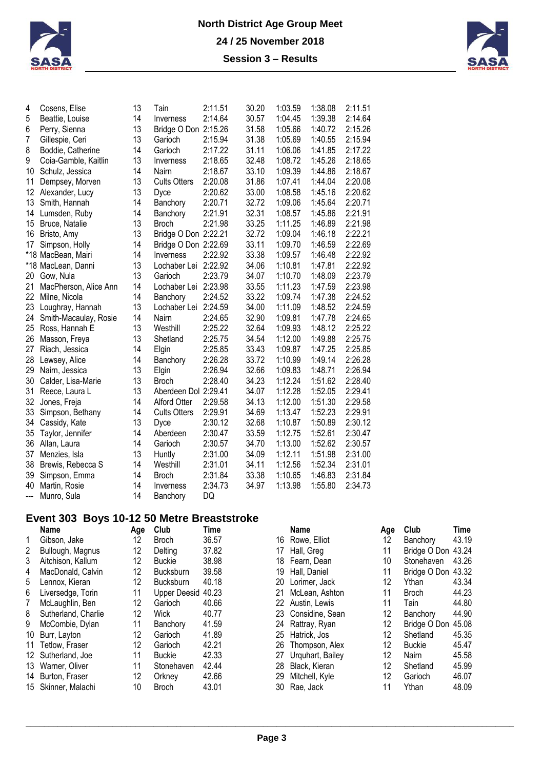



| 4   | Cosens, Elise         | 13 | Tain                 | 2:11.51 | 30.20 | 1:03.59 | 1:38.08 | 2:11.51 |
|-----|-----------------------|----|----------------------|---------|-------|---------|---------|---------|
| 5   | Beattie, Louise       | 14 | Inverness            | 2:14.64 | 30.57 | 1:04.45 | 1:39.38 | 2:14.64 |
| 6   | Perry, Sienna         | 13 | Bridge O Don 2:15.26 |         | 31.58 | 1:05.66 | 1:40.72 | 2:15.26 |
| 7   | Gillespie, Ceri       | 13 | Garioch              | 2:15.94 | 31.38 | 1:05.69 | 1:40.55 | 2:15.94 |
| 8   | Boddie, Catherine     | 14 | Garioch              | 2:17.22 | 31.11 | 1:06.06 | 1:41.85 | 2:17.22 |
| 9   | Coia-Gamble, Kaitlin  | 13 | Inverness            | 2:18.65 | 32.48 | 1:08.72 | 1:45.26 | 2:18.65 |
| 10  | Schulz, Jessica       | 14 | Nairn                | 2:18.67 | 33.10 | 1:09.39 | 1:44.86 | 2:18.67 |
| 11  | Dempsey, Morven       | 13 | <b>Cults Otters</b>  | 2:20.08 | 31.86 | 1:07.41 | 1:44.04 | 2:20.08 |
| 12  | Alexander, Lucy       | 13 | Dyce                 | 2:20.62 | 33.00 | 1:08.58 | 1:45.16 | 2:20.62 |
| 13  | Smith, Hannah         | 14 | Banchory             | 2:20.71 | 32.72 | 1:09.06 | 1:45.64 | 2:20.71 |
| 14  | Lumsden, Ruby         | 14 | Banchory             | 2:21.91 | 32.31 | 1:08.57 | 1:45.86 | 2:21.91 |
| 15  | Bruce, Natalie        | 13 | <b>Broch</b>         | 2:21.98 | 33.25 | 1:11.25 | 1:46.89 | 2:21.98 |
| 16  | Bristo, Amy           | 13 | Bridge O Don 2:22.21 |         | 32.72 | 1:09.04 | 1:46.18 | 2:22.21 |
| 17  | Simpson, Holly        | 14 | Bridge O Don 2:22.69 |         | 33.11 | 1:09.70 | 1:46.59 | 2:22.69 |
|     | *18 MacBean, Mairi    | 14 | Inverness            | 2:22.92 | 33.38 | 1:09.57 | 1:46.48 | 2:22.92 |
|     | *18 MacLean, Danni    | 13 | Lochaber Lei 2:22.92 |         | 34.06 | 1:10.81 | 1:47.81 | 2:22.92 |
| 20  | Gow, Nula             | 13 | Garioch              | 2:23.79 | 34.07 | 1:10.70 | 1:48.09 | 2:23.79 |
| 21  | MacPherson, Alice Ann | 14 | Lochaber Lei         | 2:23.98 | 33.55 | 1:11.23 | 1:47.59 | 2:23.98 |
| 22  | Milne, Nicola         | 14 | Banchory             | 2:24.52 | 33.22 | 1:09.74 | 1:47.38 | 2:24.52 |
| 23  | Loughray, Hannah      | 13 | Lochaber Lei         | 2:24.59 | 34.00 | 1:11.09 | 1:48.52 | 2:24.59 |
| 24  | Smith-Macaulay, Rosie | 14 | Nairn                | 2:24.65 | 32.90 | 1:09.81 | 1:47.78 | 2:24.65 |
| 25  | Ross, Hannah E        | 13 | Westhill             | 2:25.22 | 32.64 | 1:09.93 | 1:48.12 | 2:25.22 |
| 26  | Masson, Freya         | 13 | Shetland             | 2:25.75 | 34.54 | 1:12.00 | 1:49.88 | 2:25.75 |
| 27  | Riach, Jessica        | 14 | Elgin                | 2:25.85 | 33.43 | 1:09.87 | 1:47.25 | 2:25.85 |
| 28  | Lewsey, Alice         | 14 | Banchory             | 2:26.28 | 33.72 | 1:10.99 | 1:49.14 | 2:26.28 |
| 29  | Nairn, Jessica        | 13 | Elgin                | 2:26.94 | 32.66 | 1:09.83 | 1:48.71 | 2:26.94 |
| 30  | Calder, Lisa-Marie    | 13 | <b>Broch</b>         | 2:28.40 | 34.23 | 1:12.24 | 1:51.62 | 2:28.40 |
| 31  | Reece, Laura L        | 13 | Aberdeen Dol 2:29.41 |         | 34.07 | 1:12.28 | 1:52.05 | 2:29.41 |
| 32  | Jones, Freja          | 14 | Alford Otter         | 2:29.58 | 34.13 | 1:12.00 | 1:51.30 | 2:29.58 |
| 33  | Simpson, Bethany      | 14 | <b>Cults Otters</b>  | 2:29.91 | 34.69 | 1:13.47 | 1:52.23 | 2:29.91 |
| 34  | Cassidy, Kate         | 13 | Dyce                 | 2:30.12 | 32.68 | 1:10.87 | 1:50.89 | 2:30.12 |
| 35  | Taylor, Jennifer      | 14 | Aberdeen             | 2:30.47 | 33.59 | 1:12.75 | 1:52.61 | 2:30.47 |
| 36  | Allan, Laura          | 14 | Garioch              | 2:30.57 | 34.70 | 1:13.00 | 1:52.62 | 2:30.57 |
| 37  | Menzies, Isla         | 13 | Huntly               | 2:31.00 | 34.09 | 1:12.11 | 1:51.98 | 2:31.00 |
| 38  | Brewis, Rebecca S     | 14 | Westhill             | 2:31.01 | 34.11 | 1:12.56 | 1:52.34 | 2:31.01 |
| 39  | Simpson, Emma         | 14 | <b>Broch</b>         | 2:31.84 | 33.38 | 1:10.65 | 1:46.83 | 2:31.84 |
| 40  | Martin, Rosie         | 14 | Inverness            | 2:34.73 | 34.97 | 1:13.98 | 1:55.80 | 2:34.73 |
| --- | Munro, Sula           | 14 | Banchory             | DQ      |       |         |         |         |

# **Event 303 Boys 10-12 50 Metre Breaststroke**

| Name                | Age                                                                              | Club             | Time  |                                                        | Name             | Age                                                                                                       | Club          | Time         |
|---------------------|----------------------------------------------------------------------------------|------------------|-------|--------------------------------------------------------|------------------|-----------------------------------------------------------------------------------------------------------|---------------|--------------|
| Gibson, Jake        | 12                                                                               | <b>Broch</b>     | 36.57 |                                                        |                  | 12                                                                                                        | Banchory      | 43.19        |
| Bullough, Magnus    | 12                                                                               | Delting          | 37.82 |                                                        | Hall, Greg       | 11                                                                                                        | Bridge O Don  | 43.24        |
| Aitchison, Kallum   | 12                                                                               | <b>Buckie</b>    | 38.98 | 18                                                     |                  | 10                                                                                                        | Stonehaven    | 43.26        |
| MacDonald, Calvin   | 12                                                                               | <b>Bucksburn</b> |       | 19                                                     | Hall, Daniel     | 11                                                                                                        |               | 43.32        |
| Lennox, Kieran      | 12                                                                               | <b>Bucksburn</b> |       | 20                                                     | Lorimer, Jack    | 12                                                                                                        | Ythan         | 43.34        |
| Liversedge, Torin   | 11                                                                               |                  |       | 21                                                     | McLean, Ashton   | 11                                                                                                        | <b>Broch</b>  | 44.23        |
| McLaughlin, Ben     | 12                                                                               | Garioch          | 40.66 |                                                        |                  | 11                                                                                                        | Tain          | 44.80        |
| Sutherland, Charlie | 12                                                                               | Wick             |       |                                                        |                  | 12                                                                                                        | Banchory      | 44.90        |
| McCombie, Dylan     | 11                                                                               | Banchory         |       | 24                                                     |                  | 12                                                                                                        | Bridge O Don  | 45.08        |
| Burr, Layton        | 12                                                                               | Garioch          | 41.89 | 25                                                     |                  | 12                                                                                                        | Shetland      | 45.3         |
| Tetlow, Fraser      | 12                                                                               | Garioch          | 42.21 | 26.                                                    | Thompson, Alex   | 12                                                                                                        | <b>Buckie</b> | 45.4         |
|                     | 11                                                                               | <b>Buckie</b>    | 42.33 | 27                                                     | Urguhart, Bailey | 12                                                                                                        | Nairn         | 45.58        |
| Warner, Oliver      | 11                                                                               | Stonehaven       | 42.44 | 28                                                     | Black, Kieran    | 12                                                                                                        | Shetland      | 45.9         |
|                     | 12                                                                               | Orkney           | 42.66 | 29                                                     | Mitchell, Kyle   | 12                                                                                                        | Garioch       | 46.07        |
|                     | 10                                                                               | <b>Broch</b>     | 43.01 | 30                                                     | Rae, Jack        |                                                                                                           | Ythan         | 48.09        |
|                     | 10<br>11<br>12 Sutherland, Joe<br>13<br>14 Burton, Fraser<br>15 Skinner, Malachi |                  |       | 39.58<br>40.18<br>Upper Deesid 40.23<br>40.77<br>41.59 |                  | 16 Rowe, Elliot<br>Fearn. Dean<br>22 Austin, Lewis<br>23 Considine, Sean<br>Rattray, Ryan<br>Hatrick, Jos |               | Bridge O Don |

|    | Name             | Age | Club          | Time  |
|----|------------------|-----|---------------|-------|
| 16 | Rowe, Elliot     | 12  | Banchory      | 43.19 |
| 17 | Hall, Greg       | 11  | Bridge O Don  | 43.24 |
| 18 | Fearn, Dean      | 10  | Stonehaven    | 43.26 |
| 19 | Hall, Daniel     | 11  | Bridge O Don  | 43.32 |
| 20 | Lorimer, Jack    | 12  | Ythan         | 43.34 |
| 21 | McLean, Ashton   | 11  | Broch         | 44.23 |
| 22 | Austin, Lewis    | 11  | Tain          | 44.80 |
| 23 | Considine, Sean  | 12  | Banchory      | 44.90 |
| 24 | Rattray, Ryan    | 12  | Bridge O Don  | 45.08 |
| 25 | Hatrick, Jos     | 12  | Shetland      | 45.35 |
| 26 | Thompson, Alex   | 12  | <b>Buckie</b> | 45.47 |
| 27 | Urquhart, Bailey | 12  | Nairn         | 45.58 |
| 28 | Black, Kieran    | 12  | Shetland      | 45.99 |
| 29 | Mitchell, Kyle   | 12  | Garioch       | 46.07 |
| 30 | Rae, Jack        | 11  | Ythan         | 48.09 |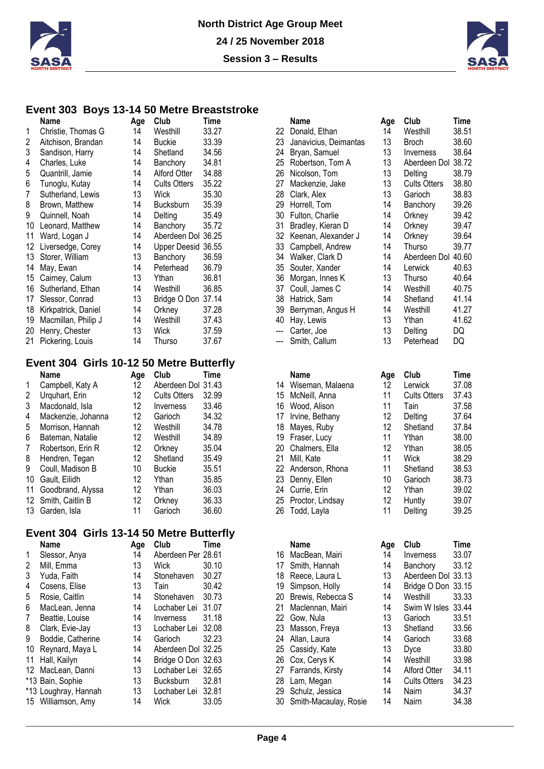



#### **Event 303 Boys 13-14 50 Metre Breaststroke**

| Name                | Age                  | Club                | Time  |                                                                | <b>Name</b>           | Age | Club                    | Time           |
|---------------------|----------------------|---------------------|-------|----------------------------------------------------------------|-----------------------|-----|-------------------------|----------------|
| Christie, Thomas G  | 14                   | Westhill            | 33.27 | 22.                                                            | Donald, Ethan         | 14  | Westhill                | $38.5^{\circ}$ |
| Aitchison, Brandan  | 14                   | <b>Buckie</b>       | 33.39 | 23                                                             | Janavicius, Deimantas | 13  | <b>Broch</b>            | 38.60          |
| Sandison, Harry     | 14                   | Shetland            | 34.56 | 24                                                             | Bryan, Samuel         | 13  | <i><b>Inverness</b></i> | 38.64          |
| Charles, Luke       | 14                   | Banchory            | 34.81 | 25                                                             | Robertson, Tom A      | 13  | Aberdeen Dol            | 38.72          |
| Quantrill, Jamie    | 14                   | Alford Otter        | 34.88 | 26                                                             | Nicolson, Tom         | 13  | Delting                 | 38.79          |
| Tunoglu, Kutay      | 14                   | <b>Cults Otters</b> | 35.22 | 27                                                             | Mackenzie, Jake       | 13  | <b>Cults Otters</b>     | 38.80          |
| Sutherland, Lewis   | 13                   | Wick                | 35.30 | 28                                                             | Clark, Alex           | 13  | Garioch                 | 38.83          |
| Brown, Matthew      | 14                   | <b>Bucksburn</b>    | 35.39 | 29                                                             | Horrell, Tom          | 14  | Banchory                | 39.26          |
| Quinnell, Noah      | 14                   | Delting             | 35.49 | 30                                                             | Fulton, Charlie       | 14  | Orkney                  | 39.42          |
| Leonard, Matthew    | 14                   | Banchory            | 35.72 | 31                                                             | Bradley, Kieran D     | 14  | Orkney                  | 39.47          |
| Ward, Logan J       | 14                   |                     |       | 32.                                                            | Keenan, Alexander J   | 14  | Orkney                  | 39.64          |
| Liversedge, Corey   | 14                   |                     |       | 33.                                                            | Campbell, Andrew      | 14  | Thurso                  | 39.77          |
| Storer, William     | 13                   | Banchory            | 36.59 | 34                                                             | Walker, Clark D       | 14  | Aberdeen Dol            | 40.60          |
| May, Ewan           | 14                   | Peterhead           | 36.79 | 35                                                             | Souter, Xander        | 14  | Lerwick                 | 40.63          |
| Cairney, Calum      | 13                   | Ythan               | 36.81 | 36                                                             | Morgan, Innes K       | 13  | Thurso                  | 40.64          |
| Sutherland, Ethan   | 14                   | Westhill            | 36.85 | 37                                                             | Coull, James C        | 14  | Westhill                | 40.75          |
| Slessor, Conrad     | 13                   |                     |       | 38                                                             | Hatrick, Sam          | 14  | Shetland                | 41.14          |
| Kirkpatrick, Daniel | 14                   | Orknev              | 37.28 | 39                                                             | Berryman, Angus H     | 14  | Westhill                | 41.2           |
| Macmillan, Philip J | 14                   | Westhill            | 37.43 | 40                                                             | Hay, Lewis            | 13  | Ythan                   | 41.62          |
| Henry, Chester      | 13                   | <b>Wick</b>         | 37.59 | ---                                                            | Carter, Joe           | 13  | Delting                 | DQ             |
| Pickering, Louis    | 14                   | Thurso              | 37.67 |                                                                | Smith, Callum         | 13  | Peterhead               | DQ.            |
| 15<br>17<br>20      | 13<br>14<br>16<br>21 |                     |       | Aberdeen Dol 36.25<br>Upper Deesid 36.55<br>Bridge O Don 37.14 |                       |     |                         |                |

### **Event 304 Girls 10-12 50 Metre Butterfly**

| Name               | Age                                                                                                                                          | Club                | Time  |                    | <b>Name</b>      | Age                                                                                  | Club                | Time  |
|--------------------|----------------------------------------------------------------------------------------------------------------------------------------------|---------------------|-------|--------------------|------------------|--------------------------------------------------------------------------------------|---------------------|-------|
| Campbell, Katy A   | 12                                                                                                                                           |                     |       | 14                 | Wiseman, Malaena | 12                                                                                   | Lerwick             | 37.08 |
| Urguhart, Erin     | 12                                                                                                                                           | <b>Cults Otters</b> | 32.99 | 15                 | McNeill, Anna    |                                                                                      | <b>Cults Otters</b> | 37.43 |
| Macdonald, Isla    | 12                                                                                                                                           | Inverness           | 33.46 | 16                 | Wood, Alison     |                                                                                      | Tain                | 37.58 |
| Mackenzie, Johanna | 12                                                                                                                                           | Garioch             | 34.32 | 17                 | Irvine, Bethany  | 12                                                                                   | Delting             | 37.64 |
| Morrison, Hannah   | 12                                                                                                                                           | Westhill            | 34.78 |                    | Mayes, Ruby      | 12                                                                                   | Shetland            | 37.84 |
|                    | 12                                                                                                                                           | Westhill            | 34.89 | 19.                | Fraser, Lucy     | 11                                                                                   | Ythan               | 38.00 |
| Robertson, Erin R  | 12                                                                                                                                           | Orknev              | 35.04 |                    |                  | 12                                                                                   | Ythan               | 38.0  |
|                    | 12                                                                                                                                           | Shetland            | 35.49 | 21                 | Mill. Kate       | 11                                                                                   | Wick                | 38.29 |
|                    | 10                                                                                                                                           | <b>Buckie</b>       | 35.51 |                    | Anderson, Rhona  | 11                                                                                   | Shetland            | 38.53 |
|                    | 12                                                                                                                                           | Ythan               | 35.85 |                    |                  | 10                                                                                   | Garioch             | 38.73 |
|                    | 12                                                                                                                                           | Ythan               | 36.03 |                    | Currie, Erin     | 12                                                                                   | Ythan               | 39.02 |
|                    | 12                                                                                                                                           | Orkney              | 36.33 |                    |                  | 12                                                                                   | Huntly              | 39.07 |
|                    | 11                                                                                                                                           | Garioch             | 36.60 |                    | Todd, Layla      | 11                                                                                   | Delting             | 39.25 |
|                    | Bateman, Natalie<br>Hendren, Tegan<br>Coull. Madison B<br>10 Gault. Eilidh<br>11 Goodbrand, Alyssa<br>12 Smith, Caitlin B<br>13 Garden, Isla |                     |       | Aberdeen Dol 31.43 |                  | 18<br>20 Chalmers, Ella<br>22.<br>23 Denny, Ellen<br>24<br>25 Proctor, Lindsay<br>26 |                     |       |

# **Event 304 Girls 13-14 50 Metre Butterfly**

|    | Name                 | Age | Club               | Time  |
|----|----------------------|-----|--------------------|-------|
| 1  | Slessor, Anya        | 14  | Aberdeen Per 28.61 |       |
| 2  | Mill, Emma           | 13  | Wick               | 30.10 |
| 3  | Yuda, Faith          | 14  | Stonehaven         | 30.27 |
| 4  | Cosens, Elise        | 13  | Tain               | 30.42 |
| 5  | Rosie, Caitlin       | 14  | Stonehaven         | 30.73 |
| 6  | MacLean, Jenna       | 14  | Lochaber Lei       | 31.07 |
| 7  | Beattie, Louise      | 14  | Inverness          | 31.18 |
| 8  | Clark, Evie-Jay      | 13  | Lochaber Lei       | 32.08 |
| 9  | Boddie, Catherine    | 14  | Garioch            | 32.23 |
| 10 | Reynard, Maya L      | 14  | Aberdeen Dol 32.25 |       |
| 11 | Hall, Kailyn         | 14  | Bridge O Don 32.63 |       |
| 12 | MacLean, Danni       | 13  | Lochaber Lei       | 32.65 |
|    | *13 Bain, Sophie     | 13  | Bucksburn          | 32.81 |
|    | *13 Loughray, Hannah | 13  | Lochaber Lei       | 32.81 |
|    | 15 Williamson, Amy   | 14  | Wick               | 33.05 |

|     | <b>Name</b>           | Age | Club                | Time  |
|-----|-----------------------|-----|---------------------|-------|
| 22  | Donald, Ethan         | 14  | Westhill            | 38.51 |
| 23  | Janavicius, Deimantas | 13  | <b>Broch</b>        | 38.60 |
| 24  | Bryan, Samuel         | 13  | Inverness           | 38.64 |
| 25  | Robertson, Tom A      | 13  | Aberdeen Dol        | 38.72 |
| 26  | Nicolson, Tom         | 13  | Delting             | 38.79 |
| 27  | Mackenzie, Jake       | 13  | <b>Cults Otters</b> | 38.80 |
| 28  | Clark, Alex           | 13  | Garioch             | 38.83 |
| 29  | Horrell, Tom          | 14  | Banchory            | 39.26 |
| 30  | Fulton, Charlie       | 14  | Orkney              | 39.42 |
| 31  | Bradley, Kieran D     | 14  | Orkney              | 39.47 |
| 32  | Keenan, Alexander J   | 14  | Orkney              | 39.64 |
| 33  | Campbell, Andrew      | 14  | Thurso              | 39.77 |
| 34  | Walker, Clark D       | 14  | Aberdeen Dol        | 40.60 |
| 35  | Souter, Xander        | 14  | Lerwick             | 40.63 |
| 36  | Morgan, Innes K       | 13  | Thurso              | 40.64 |
| 37  | Coull, James C        | 14  | Westhill            | 40.75 |
| 38  | Hatrick, Sam          | 14  | Shetland            | 41.14 |
| 39  | Berryman, Angus H     | 14  | Westhill            | 41.27 |
| 40  | Hay, Lewis            | 13  | Ythan               | 41.62 |
| --- | Carter, Joe           | 13  | Delting             | DQ    |
| --- | Smith, Callum         | 13  | Peterhead           | DQ    |
|     | <b>Name</b>           | Age | Club                | Time  |
| 14  | Wiseman, Malaena      | 12  | Lerwick             | 37.08 |
| 15  | McNeill, Anna         | 11  | <b>Cults Otters</b> | 37.43 |
| 16  | Wood, Alison          | 11  | Tain                | 37.58 |
| 17  | Irvine, Bethany       | 12  | Delting             | 37.64 |
| 18  | Mayes, Ruby           | 12  | Shetland            | 37.84 |
| 19  | Fraser, Lucy          | 11  | Ythan               | 38.00 |
| 20  | Chalmers, Ella        | 12  | Ythan               | 38.05 |
| 21  | Mill, Kate            | 11  | Wick                | 38.29 |
|     |                       |     |                     |       |

| Z I MIII, Kate      | . . | <b>VVICK</b> | 30.ZY |
|---------------------|-----|--------------|-------|
| 22 Anderson, Rhona  | 11  | Shetland     | 38.53 |
| 23 Denny, Ellen     | 10  | Garioch      | 38.73 |
| 24 Currie, Erin     | 12. | Ythan        | 39.02 |
| 25 Proctor, Lindsay | 12  | Huntly       | 39.07 |
| 26 Todd, Layla      | 11  | Delting      | 39.25 |

| Name              | Age | Club               | Time  |     | Name                  | Age | Club                | Time  |
|-------------------|-----|--------------------|-------|-----|-----------------------|-----|---------------------|-------|
| Slessor, Anya     | 14  | Aberdeen Per 28.61 |       | 16  | MacBean, Mairi        | 14  | Inverness           | 33.07 |
| Mill. Emma        | 13  | Wick               | 30.10 | 17  | Smith, Hannah         | 14  | Banchory            | 33.12 |
| Yuda, Faith       | 14  | Stonehaven         | 30.27 | 18  | Reece, Laura L        | 13  | Aberdeen Dol 33.13  |       |
| Cosens. Elise     | 13  | Tain               | 30.42 | 19  | Simpson, Holly        | 14  | Bridge O Don 33.15  |       |
| Rosie. Caitlin    | 14  | Stonehaven         | 30.73 | 20  | Brewis, Rebecca S     | 14  | Westhill            | 33.33 |
| MacLean, Jenna    | 14  | Lochaber Lei       | 31.07 | 21  | Maclennan, Mairi      | 14  | Swim W Isles 33.44  |       |
| Beattie, Louise   | 14  | Inverness          | 31.18 | 22. | Gow. Nula             | 13  | Garioch             | 33.51 |
| Clark, Evie-Jay   | 13  | Lochaber Lei       | 32.08 | 23  | Masson, Freya         | 13  | Shetland            | 33.56 |
| Boddie, Catherine | 14  | Garioch            | 32.23 | 24  | Allan, Laura          | 14  | Garioch             | 33.68 |
| Reynard, Maya L   | 14  | Aberdeen Dol 32.25 |       | 25. | Cassidy, Kate         | 13  | <b>Dyce</b>         | 33.80 |
| Hall, Kailyn      | 14  | Bridge O Don 32.63 |       | 26  | Cox, Cerys K          | 14  | Westhill            | 33.98 |
| MacLean, Danni    | 13  | Lochaber Lei       | 32.65 | 27  | Farrands, Kirsty      | 14  | Alford Otter        | 34.11 |
| Bain, Sophie      | 13  | <b>Bucksburn</b>   | 32.81 | 28  | Lam, Megan            | 14  | <b>Cults Otters</b> | 34.23 |
| Loughray, Hannah  | 13  | Lochaber Lei       | 32.81 | 29  | Schulz, Jessica       | 14  | Nairn               | 34.37 |
| Williamson, Amy   | 14  | Wick               | 33.05 | 30  | Smith-Macaulay, Rosie | 14  | Nairn               | 34.38 |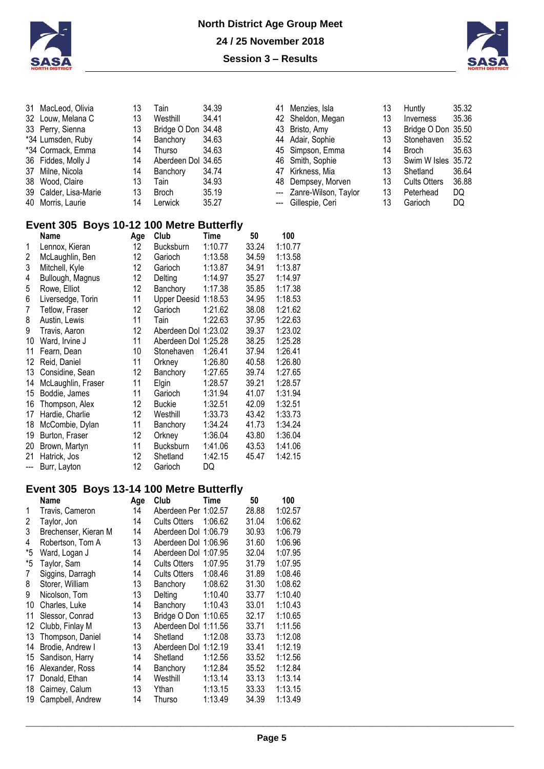



| 31 MacLeod, Olivia    | 13 | Tain               | 34.39 |
|-----------------------|----|--------------------|-------|
| 32 Louw, Melana C     | 13 | Westhill           | 34.41 |
| 33 Perry, Sienna      | 13 | Bridge O Don 34.48 |       |
| *34 Lumsden, Ruby     | 14 | Banchory           | 34.63 |
| *34 Cormack, Emma     | 14 | Thurso             | 34.63 |
| 36 Fiddes, Molly J    | 14 | Aberdeen Dol 34.65 |       |
| 37 Milne, Nicola      | 14 | Banchory           | 34.74 |
| 38 Wood, Claire       | 13 | Tain               | 34.93 |
| 39 Calder, Lisa-Marie | 13 | <b>Broch</b>       | 35.19 |
| 40 Morris, Laurie     | 14 | Lerwick            | 35.27 |

|  | 41 Menzies, Isla         | 13 | Huntly              | 35.32 |
|--|--------------------------|----|---------------------|-------|
|  | 42 Sheldon, Megan        | 13 | Inverness           | 35.36 |
|  | 43 Bristo, Amy           | 13 | Bridge O Don 35.50  |       |
|  | 44 Adair, Sophie         | 13 | Stonehaven          | 35.52 |
|  | 45 Simpson, Emma         | 14 | <b>Broch</b>        | 35.63 |
|  | 46 Smith, Sophie         | 13 | Swim W Isles 35.72  |       |
|  | 47 Kirkness, Mia         | 13 | Shetland            | 36.64 |
|  | 48 Dempsey, Morven       | 13 | <b>Cults Otters</b> | 36.88 |
|  | --- Zanre-Wilson, Taylor | 13 | Peterhead           | DQ    |
|  | --- Gillespie, Ceri      | 13 | Garioch             | DQ    |

| 13 | Huntly              | 35.32 |
|----|---------------------|-------|
| 13 | Inverness           | 35.36 |
| 13 | Bridge O Don        | 35.50 |
| 13 | Stonehaven          | 35.52 |
| 14 | Broch               | 35.63 |
| 13 | Swim W Isles        | 35.72 |
| 13 | Shetland            | 36.64 |
| 13 | <b>Cults Otters</b> | 36.88 |
| 13 | Peterhead           | DQ    |
| 13 | Garioch             | DQ    |

### **Event 305 Boys 10-12 100 Metre Butterfly**

|       | Name               | Age | Club                | Time    | 50    | 100     |
|-------|--------------------|-----|---------------------|---------|-------|---------|
| 1     | Lennox, Kieran     | 12  | <b>Bucksburn</b>    | 1:10.77 | 33.24 | 1:10.77 |
| 2     | McLaughlin, Ben    | 12  | Garioch             | 1:13.58 | 34.59 | 1:13.58 |
| 3     | Mitchell, Kyle     | 12  | Garioch             | 1:13.87 | 34.91 | 1:13.87 |
| 4     | Bullough, Magnus   | 12  | Delting             | 1:14.97 | 35.27 | 1:14.97 |
| 5     | Rowe, Elliot       | 12  | Banchory            | 1:17.38 | 35.85 | 1:17.38 |
| 6     | Liversedge, Torin  | 11  | <b>Upper Deesid</b> | 1:18.53 | 34.95 | 1:18.53 |
| 7     | Tetlow, Fraser     | 12  | Garioch             | 1:21.62 | 38.08 | 1:21.62 |
| 8     | Austin, Lewis      | 11  | Tain                | 1:22.63 | 37.95 | 1:22.63 |
| 9     | Travis, Aaron      | 12  | Aberdeen Dol        | 1:23.02 | 39.37 | 1:23.02 |
| 10    | Ward, Irvine J     | 11  | Aberdeen Dol        | 1:25.28 | 38.25 | 1:25.28 |
| 11    | Fearn, Dean        | 10  | Stonehaven          | 1:26.41 | 37.94 | 1:26.41 |
| 12    | Reid, Daniel       | 11  | Orkney              | 1:26.80 | 40.58 | 1:26.80 |
| 13    | Considine, Sean    | 12  | Banchory            | 1:27.65 | 39.74 | 1:27.65 |
| 14    | McLaughlin, Fraser | 11  | Elgin               | 1:28.57 | 39.21 | 1:28.57 |
| 15    | Boddie, James      | 11  | Garioch             | 1:31.94 | 41.07 | 1:31.94 |
| 16    | Thompson, Alex     | 12  | <b>Buckie</b>       | 1:32.51 | 42.09 | 1:32.51 |
| 17    | Hardie, Charlie    | 12  | Westhill            | 1:33.73 | 43.42 | 1:33.73 |
| 18    | McCombie, Dylan    | 11  | Banchory            | 1:34.24 | 41.73 | 1:34.24 |
| 19    | Burton, Fraser     | 12  | Orkney              | 1:36.04 | 43.80 | 1:36.04 |
| 20    | Brown, Martyn      | 11  | <b>Bucksburn</b>    | 1:41.06 | 43.53 | 1:41.06 |
| 21    | Hatrick, Jos       | 12  | Shetland            | 1:42.15 | 45.47 | 1:42.15 |
| $---$ | Burr, Layton       | 12  | Garioch             | DQ      |       |         |

### **Event 305 Boys 13-14 100 Metre Butterfly**

|    | Name                 | Age | Club                 | Time    | 50    | 100     |
|----|----------------------|-----|----------------------|---------|-------|---------|
| 1  | Travis, Cameron      | 14  | Aberdeen Per 1:02.57 |         | 28.88 | 1:02.57 |
| 2  | Taylor, Jon          | 14  | <b>Cults Otters</b>  | 1:06.62 | 31.04 | 1:06.62 |
| 3  | Brechenser, Kieran M | 14  | Aberdeen Dol 1:06.79 |         | 30.93 | 1:06.79 |
| 4  | Robertson, Tom A     | 13  | Aberdeen Dol 1:06.96 |         | 31.60 | 1:06.96 |
| *5 | Ward, Logan J        | 14  | Aberdeen Dol 1:07.95 |         | 32.04 | 1:07.95 |
| *5 | Taylor, Sam          | 14  | <b>Cults Otters</b>  | 1:07.95 | 31.79 | 1:07.95 |
| 7  | Siggins, Darragh     | 14  | <b>Cults Otters</b>  | 1:08.46 | 31.89 | 1:08.46 |
| 8  | Storer, William      | 13  | Banchory             | 1:08.62 | 31.30 | 1:08.62 |
| 9  | Nicolson, Tom        | 13  | Delting              | 1:10.40 | 33.77 | 1:10.40 |
| 10 | Charles, Luke        | 14  | Banchory             | 1:10.43 | 33.01 | 1:10.43 |
| 11 | Slessor, Conrad      | 13  | Bridge O Don 1:10.65 |         | 32.17 | 1:10.65 |
| 12 | Clubb, Finlay M      | 13  | Aberdeen Dol 1:11.56 |         | 33.71 | 1:11.56 |
| 13 | Thompson, Daniel     | 14  | Shetland             | 1:12.08 | 33.73 | 1:12.08 |
| 14 | Brodie, Andrew I     | 13  | Aberdeen Dol         | 1:12.19 | 33.41 | 1:12.19 |
| 15 | Sandison, Harry      | 14  | Shetland             | 1:12.56 | 33.52 | 1:12.56 |
| 16 | Alexander, Ross      | 14  | Banchory             | 1:12.84 | 35.52 | 1:12.84 |
| 17 | Donald, Ethan        | 14  | Westhill             | 1:13.14 | 33.13 | 1:13.14 |
| 18 | Cairney, Calum       | 13  | Ythan                | 1:13.15 | 33.33 | 1:13.15 |
| 19 | Campbell, Andrew     | 14  | Thurso               | 1:13.49 | 34.39 | 1:13.49 |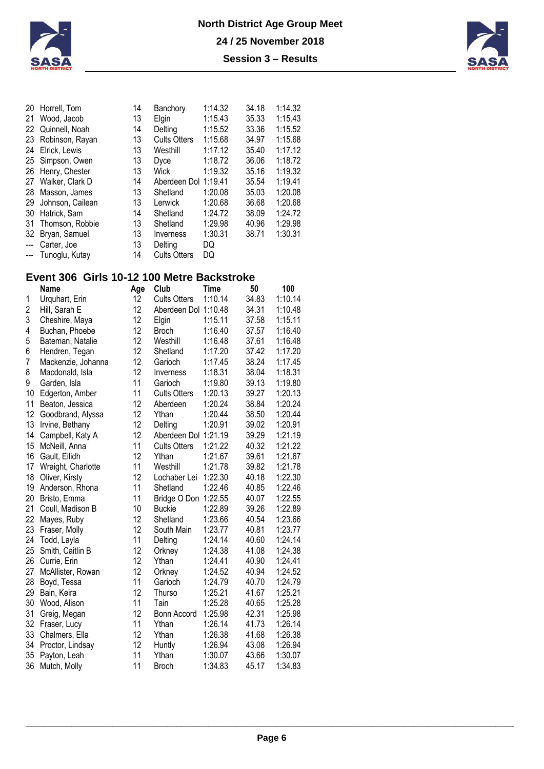



| Horrell, Tom     | 14              | Banchory            | 1:14.32 | 34.18                | 1:14.32 |
|------------------|-----------------|---------------------|---------|----------------------|---------|
| Wood, Jacob      | 13              | Elgin               | 1:15.43 | 35.33                | 1:15.43 |
| Quinnell, Noah   | 14              | Delting             | 1:15.52 | 33.36                | 1:15.52 |
|                  | 13              | <b>Cults Otters</b> | 1:15.68 | 34.97                | 1:15.68 |
| Elrick, Lewis    | 13              | Westhill            | 1:17.12 | 35.40                | 1:17.12 |
| Simpson, Owen    | 13              | Dyce                | 1:18.72 | 36.06                | 1:18.72 |
| Henry, Chester   | 13              | <b>Wick</b>         | 1:19.32 | 35.16                | 1:19.32 |
| Walker, Clark D  | 14              |                     |         | 35.54                | 1:19.41 |
| Masson, James    | 13              | Shetland            | 1:20.08 | 35.03                | 1:20.08 |
| Johnson, Cailean | 13              | Lerwick             | 1:20.68 | 36.68                | 1:20.68 |
| Hatrick, Sam     | 14              | Shetland            | 1:24.72 | 38.09                | 1:24.72 |
| Thomson, Robbie  | 13              | Shetland            | 1:29.98 | 40.96                | 1:29.98 |
| Bryan, Samuel    | 13              | Inverness           | 1:30.31 | 38.71                | 1:30.31 |
| Carter, Joe      | 13              | Delting             | DQ      |                      |         |
| Tunoglu, Kutay   | 14              | <b>Cults Otters</b> | DQ      |                      |         |
|                  | Robinson, Rayan |                     |         | Aberdeen Dol 1:19.41 |         |

## **Event 306 Girls 10-12 100 Metre Backstroke**

|                | Name               | Age | Club                 | Time    | 50    | 100     |
|----------------|--------------------|-----|----------------------|---------|-------|---------|
| 1              | Urquhart, Erin     | 12  | <b>Cults Otters</b>  | 1:10.14 | 34.83 | 1:10.14 |
| 2              | Hill, Sarah E      | 12  | Aberdeen Dol 1:10.48 |         | 34.31 | 1:10.48 |
| 3              | Cheshire, Maya     | 12  | Elgin                | 1:15.11 | 37.58 | 1:15.11 |
| 4              | Buchan, Phoebe     | 12  | <b>Broch</b>         | 1:16.40 | 37.57 | 1:16.40 |
| 5              | Bateman, Natalie   | 12  | Westhill             | 1:16.48 | 37.61 | 1:16.48 |
| 6              | Hendren, Tegan     | 12  | Shetland             | 1:17.20 | 37.42 | 1:17.20 |
| $\overline{7}$ | Mackenzie, Johanna | 12  | Garioch              | 1:17.45 | 38.24 | 1:17.45 |
| 8              | Macdonald, Isla    | 12  | Inverness            | 1:18.31 | 38.04 | 1:18.31 |
| 9              | Garden, Isla       | 11  | Garioch              | 1:19.80 | 39.13 | 1:19.80 |
| 10             | Edgerton, Amber    | 11  | <b>Cults Otters</b>  | 1:20.13 | 39.27 | 1:20.13 |
| 11             | Beaton, Jessica    | 12  | Aberdeen             | 1:20.24 | 38.84 | 1:20.24 |
| 12             | Goodbrand, Alyssa  | 12  | Ythan                | 1:20.44 | 38.50 | 1:20.44 |
| 13             | Irvine, Bethany    | 12  | Delting              | 1:20.91 | 39.02 | 1:20.91 |
| 14             | Campbell, Katy A   | 12  | Aberdeen Dol 1:21.19 |         | 39.29 | 1:21.19 |
| 15             | McNeill, Anna      | 11  | <b>Cults Otters</b>  | 1:21.22 | 40.32 | 1:21.22 |
| 16             | Gault, Eilidh      | 12  | Ythan                | 1:21.67 | 39.61 | 1:21.67 |
| 17             | Wraight, Charlotte | 11  | Westhill             | 1:21.78 | 39.82 | 1:21.78 |
| 18             | Oliver, Kirsty     | 12  | Lochaber Lei         | 1:22.30 | 40.18 | 1:22.30 |
| 19             | Anderson, Rhona    | 11  | Shetland             | 1:22.46 | 40.85 | 1:22.46 |
| 20             | Bristo, Emma       | 11  | Bridge O Don 1:22.55 |         | 40.07 | 1:22.55 |
| 21             | Coull, Madison B   | 10  | <b>Buckie</b>        | 1:22.89 | 39.26 | 1:22.89 |
| 22             | Mayes, Ruby        | 12  | Shetland             | 1:23.66 | 40.54 | 1:23.66 |
| 23             | Fraser, Molly      | 12  | South Main           | 1:23.77 | 40.81 | 1:23.77 |
| 24             | Todd, Layla        | 11  | Delting              | 1:24.14 | 40.60 | 1:24.14 |
| 25             | Smith, Caitlin B   | 12  | Orkney               | 1:24.38 | 41.08 | 1:24.38 |
| 26             | Currie, Erin       | 12  | Ythan                | 1:24.41 | 40.90 | 1:24.41 |
| 27             | McAllister, Rowan  | 12  | Orkney               | 1:24.52 | 40.94 | 1:24.52 |
| 28             | Boyd, Tessa        | 11  | Garioch              | 1:24.79 | 40.70 | 1:24.79 |
| 29             | Bain, Keira        | 12  | Thurso               | 1:25.21 | 41.67 | 1:25.21 |
| 30             | Wood, Alison       | 11  | Tain                 | 1:25.28 | 40.65 | 1:25.28 |
| 31             | Greig, Megan       | 12  | Bonn Accord          | 1:25.98 | 42.31 | 1:25.98 |
| 32             | Fraser, Lucy       | 11  | Ythan                | 1:26.14 | 41.73 | 1:26.14 |
| 33             | Chalmers, Ella     | 12  | Ythan                | 1:26.38 | 41.68 | 1:26.38 |
| 34             | Proctor, Lindsay   | 12  | Huntly               | 1:26.94 | 43.08 | 1:26.94 |
| 35             | Payton, Leah       | 11  | Ythan                | 1:30.07 | 43.66 | 1:30.07 |
| 36             | Mutch, Molly       | 11  | <b>Broch</b>         | 1:34.83 | 45.17 | 1:34.83 |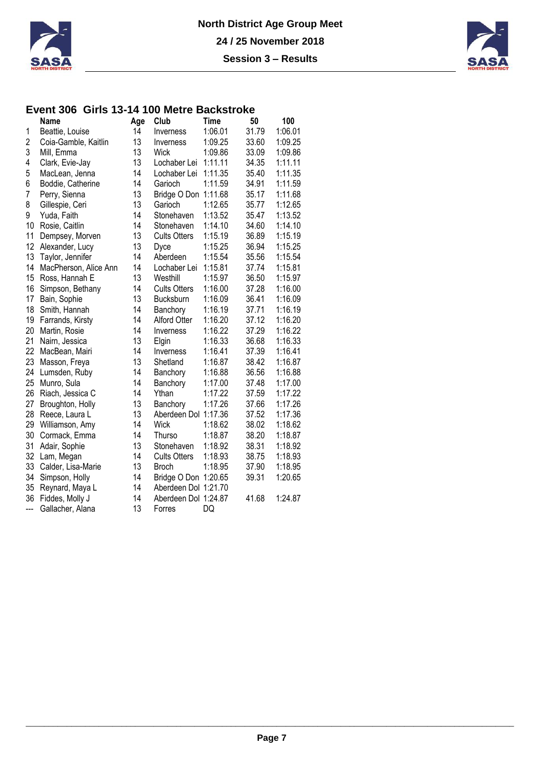



### **Event 306 Girls 13-14 100 Metre Backstroke**

|     | Name                  | Age | Club                 | <b>Time</b> | 50    | 100     |
|-----|-----------------------|-----|----------------------|-------------|-------|---------|
| 1   | Beattie, Louise       | 14  | Inverness            | 1:06.01     | 31.79 | 1:06.01 |
| 2   | Coia-Gamble, Kaitlin  | 13  | Inverness            | 1:09.25     | 33.60 | 1:09.25 |
| 3   | Mill, Emma            | 13  | <b>Wick</b>          | 1:09.86     | 33.09 | 1:09.86 |
| 4   | Clark, Evie-Jay       | 13  | Lochaber Lei         | 1:11.11     | 34.35 | 1:11.11 |
| 5   | MacLean, Jenna        | 14  | Lochaber Lei         | 1:11.35     | 35.40 | 1:11.35 |
| 6   | Boddie, Catherine     | 14  | Garioch              | 1:11.59     | 34.91 | 1:11.59 |
| 7   | Perry, Sienna         | 13  | Bridge O Don 1:11.68 |             | 35.17 | 1:11.68 |
| 8   | Gillespie, Ceri       | 13  | Garioch              | 1:12.65     | 35.77 | 1:12.65 |
| 9   | Yuda, Faith           | 14  | Stonehaven           | 1:13.52     | 35.47 | 1:13.52 |
| 10  | Rosie, Caitlin        | 14  | Stonehaven           | 1:14.10     | 34.60 | 1:14.10 |
| 11  | Dempsey, Morven       | 13  | <b>Cults Otters</b>  | 1:15.19     | 36.89 | 1:15.19 |
| 12  | Alexander, Lucy       | 13  | Dyce                 | 1:15.25     | 36.94 | 1:15.25 |
| 13  | Taylor, Jennifer      | 14  | Aberdeen             | 1:15.54     | 35.56 | 1:15.54 |
| 14  | MacPherson, Alice Ann | 14  | Lochaber Lei         | 1:15.81     | 37.74 | 1:15.81 |
| 15  | Ross, Hannah E        | 13  | Westhill             | 1:15.97     | 36.50 | 1:15.97 |
| 16  | Simpson, Bethany      | 14  | <b>Cults Otters</b>  | 1:16.00     | 37.28 | 1:16.00 |
| 17  | Bain, Sophie          | 13  | Bucksburn            | 1:16.09     | 36.41 | 1:16.09 |
| 18  | Smith, Hannah         | 14  | Banchory             | 1:16.19     | 37.71 | 1:16.19 |
| 19  | Farrands, Kirsty      | 14  | Alford Otter         | 1:16.20     | 37.12 | 1:16.20 |
| 20  | Martin, Rosie         | 14  | Inverness            | 1:16.22     | 37.29 | 1:16.22 |
| 21  | Nairn, Jessica        | 13  | Elgin                | 1:16.33     | 36.68 | 1:16.33 |
| 22  | MacBean, Mairi        | 14  | Inverness            | 1:16.41     | 37.39 | 1:16.41 |
| 23  | Masson, Freya         | 13  | Shetland             | 1:16.87     | 38.42 | 1:16.87 |
| 24  | Lumsden, Ruby         | 14  | Banchory             | 1:16.88     | 36.56 | 1:16.88 |
| 25  | Munro, Sula           | 14  | Banchory             | 1:17.00     | 37.48 | 1:17.00 |
| 26  | Riach, Jessica C      | 14  | Ythan                | 1:17.22     | 37.59 | 1:17.22 |
| 27  | Broughton, Holly      | 13  | Banchory             | 1:17.26     | 37.66 | 1:17.26 |
| 28  | Reece, Laura L        | 13  | Aberdeen Dol 1:17.36 |             | 37.52 | 1:17.36 |
| 29  | Williamson, Amy       | 14  | <b>Wick</b>          | 1:18.62     | 38.02 | 1:18.62 |
| 30  | Cormack, Emma         | 14  | Thurso               | 1:18.87     | 38.20 | 1:18.87 |
| 31  | Adair, Sophie         | 13  | Stonehaven           | 1:18.92     | 38.31 | 1:18.92 |
| 32  | Lam, Megan            | 14  | <b>Cults Otters</b>  | 1:18.93     | 38.75 | 1:18.93 |
| 33  | Calder, Lisa-Marie    | 13  | <b>Broch</b>         | 1:18.95     | 37.90 | 1:18.95 |
| 34  | Simpson, Holly        | 14  | Bridge O Don 1:20.65 |             | 39.31 | 1:20.65 |
| 35  | Reynard, Maya L       | 14  | Aberdeen Dol 1:21.70 |             |       |         |
| 36  | Fiddes, Molly J       | 14  | Aberdeen Dol 1:24.87 |             | 41.68 | 1:24.87 |
| --- | Gallacher, Alana      | 13  | Forres               | DQ          |       |         |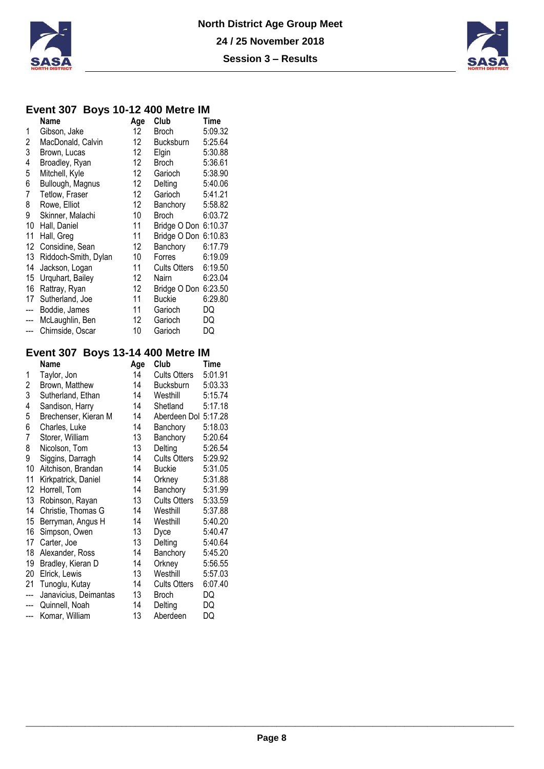



### **Event 307 Boys 10-12 400 Metre IM**

|                         | J<br>Name                               | Age      | Club                 | Time     |
|-------------------------|-----------------------------------------|----------|----------------------|----------|
| 1                       | Gibson, Jake                            | 12       | Broch                | 5:09.32  |
| $\overline{\mathbf{c}}$ | MacDonald, Calvin                       | 12       | Bucksburn            | 5:25.64  |
| 3                       | Brown, Lucas                            | 12       | Elgin                | 5:30.88  |
| 4                       | Broadley, Ryan                          | 12       | <b>Broch</b>         | 5:36.61  |
| 5                       | Mitchell, Kyle                          | 12       | Garioch              | 5:38.90  |
| 6                       | Bullough, Magnus                        | 12       | Delting              | 5:40.06  |
| $\overline{7}$          | Tetlow, Fraser                          | 12       | Garioch              | 5:41.21  |
| 8                       | Rowe, Elliot                            | 12       | Banchory             | 5:58.82  |
| 9                       | Skinner, Malachi                        | 10       | <b>Broch</b>         | 6:03.72  |
| 10                      | Hall, Daniel                            | 11       | Bridge O Don 6:10.37 |          |
| 11                      | Hall, Greg                              | 11       | Bridge O Don 6:10.83 |          |
| 12                      | Considine, Sean                         | 12       | Banchory             | 6:17.79  |
| 13                      |                                         | 10       | Forres               | 6:19.09  |
| 14                      | Riddoch-Smith, Dylan                    | 11       | <b>Cults Otters</b>  | 6:19.50  |
|                         | Jackson, Logan                          | 12       |                      |          |
| 15                      | Urquhart, Bailey                        | 12       | Nairn                | 6:23.04  |
| 16                      | Rattray, Ryan                           |          | Bridge O Don 6:23.50 |          |
| 17                      | Sutherland, Joe                         | 11       | <b>Buckie</b>        | 6:29.80  |
| ---                     | Boddie, James                           | 11       | Garioch              | DQ       |
| ---                     | McLaughlin, Ben                         | 12       | Garioch              | DQ       |
| ---                     | Chirnside, Oscar                        | 10       | Garioch              | DQ       |
|                         | Event 307 Boys 13-14 400 Metre IM       |          |                      |          |
|                         | <b>Name</b>                             | Age      | Club                 | Time     |
| 1                       | Taylor, Jon                             | 14       | <b>Cults Otters</b>  | 5:01.91  |
| $\overline{\mathbf{c}}$ | Brown, Matthew                          | 14       | Bucksburn            | 5:03.33  |
| 3                       | Sutherland, Ethan                       | 14       | Westhill             | 5:15.74  |
| 4                       | Sandison, Harry                         | 14       | Shetland             | 5:17.18  |
| 5                       | Brechenser, Kieran M                    | 14       | Aberdeen Dol 5:17.28 |          |
| 6                       | Charles, Luke                           | 14       | Banchory             | 5:18.03  |
| 7                       | Storer, William                         | 13       | Banchory             | 5:20.64  |
| 8                       | Nicolson, Tom                           | 13       | Delting              | 5:26.54  |
| 9                       | Siggins, Darragh                        | 14       | <b>Cults Otters</b>  | 5:29.92  |
| 10                      | Aitchison, Brandan                      | 14       | <b>Buckie</b>        | 5:31.05  |
| 11                      | Kirkpatrick, Daniel                     | 14       | Orkney               | 5:31.88  |
| 12                      | Horrell, Tom                            | 14       | Banchory             | 5:31.99  |
| 13                      | Robinson, Rayan                         | 13       | <b>Cults Otters</b>  | 5:33.59  |
| 14                      | Christie, Thomas G                      | 14       | Westhill             | 5:37.88  |
| 15 <sub>15</sub>        | Berryman, Angus H                       | 14       | Westhill             | 5:40.20  |
| 16                      | Simpson, Owen                           | 13       | Dyce                 | 5:40.47  |
| 17                      | Carter, Joe                             | 13       | Delting              | 5:40.64  |
| 18                      | Alexander, Ross                         | 14       | Banchory             | 5:45.20  |
| 19                      | Bradley, Kieran D                       | 14       | Orkney               | 5:56.55  |
| 20                      | Elrick, Lewis                           | 13       | Westhill             | 5:57.03  |
| 21                      |                                         | 14       | <b>Cults Otters</b>  | 6:07.40  |
| ---                     | Tunoglu, Kutay<br>Janavicius, Deimantas | 13       | <b>Broch</b>         | DQ       |
|                         |                                         |          |                      |          |
|                         |                                         |          |                      |          |
| ---<br>---              | Quinnell, Noah<br>Komar, William        | 14<br>13 | Delting<br>Aberdeen  | DQ<br>DQ |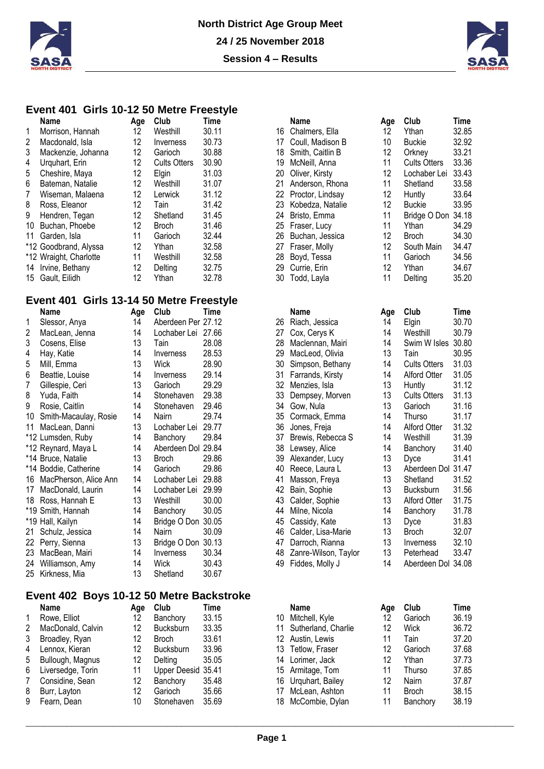



#### **Event 401 Girls 10-12 50 Metre Freestyle**

|    | <b>Name</b>            | Age | Club                | Time  |      | <b>Name</b>      | Age | Club                | <b>Time</b>    |
|----|------------------------|-----|---------------------|-------|------|------------------|-----|---------------------|----------------|
|    | Morrison, Hannah       | 12  | Westhill            | 30.11 | 16 - | Chalmers, Ella   | 12  | Ythan               | 32.8           |
| 2  | Macdonald, Isla        | 12  | Inverness           | 30.73 | 17   | Coull. Madison B | 10  | <b>Buckie</b>       | 32.92          |
| 3  | Mackenzie, Johanna     | 12  | Garioch             | 30.88 | 18.  | Smith, Caitlin B | 12  | Orknev              | $33.2^{\circ}$ |
| 4  | Urguhart, Erin         | 12  | <b>Cults Otters</b> | 30.90 | 19   | McNeill, Anna    | 11  | <b>Cults Otters</b> | 33.36          |
| 5  | Cheshire, Maya         | 12  | Elgin               | 31.03 | 20   | Oliver, Kirsty   | 12  | Lochaber Lei        | 33.43          |
| 6  | Bateman, Natalie       | 12  | Westhill            | 31.07 | 21   | Anderson, Rhona  | 11  | Shetland            | 33.58          |
| 7  | Wiseman, Malaena       | 12  | Lerwick             | 31.12 | 22   | Proctor, Lindsay | 12  | Huntly              | 33.64          |
| 8  | Ross, Eleanor          | 12  | Tain                | 31.42 | 23   | Kobedza, Natalie | 12  | <b>Buckie</b>       | 33.95          |
| 9  | Hendren, Tegan         | 12  | Shetland            | 31.45 | 24   | Bristo, Emma     | 11  | Bridge O Don        | 34.18          |
| 10 | Buchan, Phoebe         | 12  | <b>Broch</b>        | 31.46 |      | 25 Fraser, Lucy  | 11  | Ythan               | 34.29          |
| 11 | Garden, Isla           | 11  | Garioch             | 32.44 | 26   | Buchan, Jessica  | 12  | <b>Broch</b>        | 34.3(          |
|    | *12 Goodbrand, Alyssa  | 12  | Ythan               | 32.58 | 27   | Fraser, Molly    | 12  | South Main          | 34.47          |
|    | *12 Wraight, Charlotte | 11  | Westhill            | 32.58 | 28.  | Boyd, Tessa      | 11  | Garioch             | 34.56          |
|    | 14 Irvine, Bethany     | 12  | Delting             | 32.75 | 29   | Currie, Erin     | 12  | Ythan               | 34.67          |
|    | 15 Gault, Eilidh       | 12  | Ythan               | 32.78 | 30   | Todd, Layla      |     | Delting             | 35.20          |
|    |                        |     |                     |       |      |                  |     |                     |                |

### **Event 401 Girls 13-14 50 Metre Freestyle**

|    | Name                  | Age | Club               | Time  |    | Name                 | Age | Club                | Time  |
|----|-----------------------|-----|--------------------|-------|----|----------------------|-----|---------------------|-------|
| 1  | Slessor, Anya         | 14  | Aberdeen Per 27.12 |       | 26 | Riach, Jessica       | 14  | Elgin               | 30.70 |
| 2  | MacLean, Jenna        | 14  | Lochaber Lei 27.66 |       | 27 | Cox, Cerys K         | 14  | Westhill            | 30.79 |
| 3  | Cosens, Elise         | 13  | Tain               | 28.08 | 28 | Maclennan, Mairi     | 14  | Swim W Isles        | 30.80 |
| 4  | Hay, Katie            | 14  | Inverness          | 28.53 | 29 | MacLeod, Olivia      | 13  | Tain                | 30.95 |
| 5  | Mill, Emma            | 13  | Wick               | 28.90 | 30 | Simpson, Bethany     | 14  | <b>Cults Otters</b> | 31.03 |
| 6  | Beattie, Louise       | 14  | Inverness          | 29.14 | 31 | Farrands, Kirsty     | 14  | Alford Otter        | 31.05 |
| 7  | Gillespie, Ceri       | 13  | Garioch            | 29.29 | 32 | Menzies, Isla        | 13  | Huntly              | 31.12 |
| 8  | Yuda, Faith           | 14  | Stonehaven         | 29.38 | 33 | Dempsey, Morven      | 13  | <b>Cults Otters</b> | 31.13 |
| 9  | Rosie, Caitlin        | 14  | Stonehaven         | 29.46 | 34 | Gow, Nula            | 13  | Garioch             | 31.16 |
| 10 | Smith-Macaulay, Rosie | 14  | <b>Nairn</b>       | 29.74 | 35 | Cormack, Emma        | 14  | Thurso              | 31.17 |
| 11 | MacLean, Danni        | 13  | Lochaber Lei       | 29.77 | 36 | Jones, Freja         | 14  | Alford Otter        | 31.32 |
|    | *12 Lumsden, Ruby     | 14  | Banchory           | 29.84 | 37 | Brewis, Rebecca S    | 14  | Westhill            | 31.39 |
|    | *12 Reynard, Maya L   | 14  | Aberdeen Dol 29.84 |       | 38 | Lewsey, Alice        | 14  | Banchory            | 31.40 |
|    | *14 Bruce, Natalie    | 13  | <b>Broch</b>       | 29.86 | 39 | Alexander, Lucy      | 13  | Dyce                | 31.4' |
|    | *14 Boddie, Catherine | 14  | Garioch            | 29.86 | 40 | Reece, Laura L       | 13  | Aberdeen Dol        | 31.4  |
| 16 | MacPherson, Alice Ann | 14  | Lochaber Lei       | 29.88 | 41 | Masson, Freya        | 13  | Shetland            | 31.52 |
| 17 | MacDonald, Laurin     | 14  | Lochaber Lei       | 29.99 | 42 | Bain, Sophie         | 13  | <b>Bucksburn</b>    | 31.56 |
|    | 18 Ross, Hannah E     | 13  | Westhill           | 30.00 | 43 | Calder, Sophie       | 13  | <b>Alford Otter</b> | 31.75 |
|    | *19 Smith, Hannah     | 14  | Banchory           | 30.05 | 44 | Milne, Nicola        | 14  | Banchory            | 31.78 |
|    | *19 Hall, Kailyn      | 14  | Bridge O Don       | 30.05 | 45 | Cassidy, Kate        | 13  | Dyce                | 31.83 |
| 21 | Schulz, Jessica       | 14  | Nairn              | 30.09 | 46 | Calder, Lisa-Marie   | 13  | Broch               | 32.07 |
|    | 22 Perry, Sienna      | 13  | Bridge O Don 30.13 |       | 47 | Darroch, Rianna      | 13  | Inverness           | 32.10 |
| 23 | MacBean, Mairi        | 14  | Inverness          | 30.34 | 48 | Zanre-Wilson, Taylor | 13  | Peterhead           | 33.47 |
| 24 | Williamson, Amy       | 14  | Wick               | 30.43 | 49 | Fiddes, Molly J      | 14  | Aberdeen Dol 34.08  |       |
|    | 25 Kirkness, Mia      | 13  | Shetland           | 30.67 |    |                      |     |                     |       |

#### **Event 402 Boys 10-12 50 Metre Backstroke**

|   | Name              | Age     | Club               | Time  |
|---|-------------------|---------|--------------------|-------|
| 1 | Rowe, Elliot      | 12      | Banchory           | 33.15 |
| 2 | MacDonald, Calvin | 12      | Bucksburn          | 33.35 |
| 3 | Broadley, Ryan    | 12      | <b>Broch</b>       | 33.61 |
| 4 | Lennox, Kieran    | 12      | Bucksburn          | 33.96 |
| 5 | Bullough, Magnus  | 12      | Delting            | 35.05 |
| 6 | Liversedge, Torin | 11      | Upper Deesid 35.41 |       |
| 7 | Considine, Sean   | $12 \,$ | Banchory           | 35.48 |
| 8 | Burr, Layton      | 12      | Garioch            | 35.66 |
| 9 | Fearn, Dean       | 10      | Stonehaven         | 35.69 |

|    | <b>Name</b>          | Age | Club                | Time        |
|----|----------------------|-----|---------------------|-------------|
| 16 | Chalmers, Ella       | 12  | Ythan               | 32.85       |
|    | 17 Coull, Madison B  | 10  | <b>Buckie</b>       | 32.92       |
| 18 | Smith, Caitlin B     | 12  | Orkney              | 33.21       |
| 19 | McNeill, Anna        | 11  | <b>Cults Otters</b> | 33.36       |
| 20 | Oliver, Kirsty       | 12  | Lochaber Lei        | 33.43       |
| 21 | Anderson, Rhona      | 11  | Shetland            | 33.58       |
| 22 | Proctor, Lindsay     | 12  | Huntly              | 33.64       |
| 23 | Kobedza, Natalie     | 12  | <b>Buckie</b>       | 33.95       |
| 24 | Bristo, Emma         | 11  | Bridge O Don        | 34.18       |
| 25 | Fraser, Lucy         | 11  | Ythan               | 34.29       |
| 26 | Buchan, Jessica      | 12  | <b>Broch</b>        | 34.30       |
| 27 | Fraser, Molly        | 12  | South Main          | 34.47       |
| 28 | Boyd, Tessa          | 11  | Garioch             | 34.56       |
| 29 | Currie, Erin         | 12  | Ythan               | 34.67       |
| 30 | Todd, Layla          | 11  | Delting             | 35.20       |
|    |                      |     |                     |             |
|    | Name                 | Age | Club                | <b>Time</b> |
| 26 | Riach, Jessica       | 14  | Elgin               | 30.70       |
| 27 | Cox, Cerys K         | 14  | Westhill            | 30.79       |
| 28 | Maclennan, Mairi     | 14  | Swim W Isles        | 30.80       |
| 29 | MacLeod, Olivia      | 13  | Tain                | 30.95       |
| 30 | Simpson, Bethany     | 14  | <b>Cults Otters</b> | 31.03       |
| 31 | Farrands, Kirsty     | 14  | <b>Alford Otter</b> | 31.05       |
| 32 | Menzies, Isla        | 13  | Huntly              | 31.12       |
| 33 | Dempsey, Morven      | 13  | <b>Cults Otters</b> | 31.13       |
| 34 | Gow, Nula            | 13  | Garioch             | 31.16       |
| 35 | Cormack, Emma        | 14  | Thurso              | 31.17       |
| 36 | Jones, Freja         | 14  | <b>Alford Otter</b> | 31.32       |
| 37 | Brewis, Rebecca S    | 14  | Westhill            | 31.39       |
| 38 | Lewsey, Alice        | 14  | Banchory            | 31.40       |
| 39 | Alexander, Lucy      | 13  | Dyce                | 31.41       |
| 40 | Reece, Laura L       | 13  | Aberdeen Dol 31.47  |             |
| 41 | Masson, Freya        | 13  | Shetland            | 31.52       |
| 42 | Bain, Sophie         | 13  | Bucksburn           | 31.56       |
| 43 | Calder, Sophie       | 13  | Alford Otter        | 31.75       |
| 44 | Milne, Nicola        | 14  | Banchory            | 31.78       |
| 45 | Cassidy, Kate        | 13  | Dyce                | 31.83       |
| 46 | Calder, Lisa-Marie   | 13  | <b>Broch</b>        | 32.07       |
| 47 | Darroch, Rianna      | 13  | Inverness           | 32.10       |
| 48 | Zanre-Wilson, Taylor | 13  | Peterhead           | 33.47       |
| 49 | Fiddes, Molly J      | 14  | Aberdeen Dol 34.08  |             |
|    |                      |     |                     |             |
|    |                      |     |                     |             |

| Name              | Age | Club               | Time  |    | Name                | Aae | Club         | Time  |
|-------------------|-----|--------------------|-------|----|---------------------|-----|--------------|-------|
| Rowe, Elliot      | 12  | Banchory           | 33.15 | 10 | Mitchell, Kyle      | 12  | Garioch      | 36.19 |
| MacDonald, Calvin | 12  | <b>Bucksburn</b>   | 33.35 | 11 | Sutherland, Charlie | 12  | Wick         | 36.72 |
| Broadley, Ryan    | 12  | Broch              | 33.61 |    | 12 Austin, Lewis    | 11  | Tain         | 37.20 |
| Lennox, Kieran    | 12  | <b>Bucksburn</b>   | 33.96 | 13 | Tetlow, Fraser      | 12  | Garioch      | 37.68 |
| Bullough, Magnus  | 12  | Delting            | 35.05 | 14 | Lorimer, Jack       | 12  | Ythan        | 37.73 |
| Liversedge, Torin | 11  | Upper Deesid 35.41 |       |    | 15 Armitage, Tom    | 11  | Thurso       | 37.85 |
| Considine, Sean   | 12  | Banchory           | 35.48 | 16 | Urquhart, Bailey    | 12  | Nairn        | 37.87 |
| Burr, Layton      | 12  | Garioch            | 35.66 | 17 | McLean, Ashton      | 11  | <b>Broch</b> | 38.15 |
| Fearn, Dean       | 10  | Stonehaven         | 35.69 | 18 | McCombie, Dylan     | 11  | Banchory     | 38.19 |
|                   |     |                    |       |    |                     |     |              |       |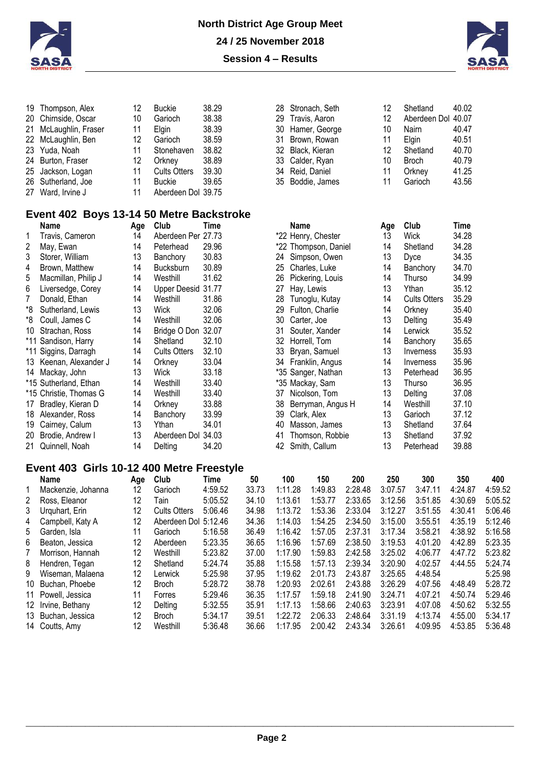



| 19 Thompson, Alex                   | 12                | <b>Buckie</b>       | 38.29 |
|-------------------------------------|-------------------|---------------------|-------|
| 20 Chirnside, Oscar                 | 10                | Garioch             | 38.38 |
| 21 McLaughlin, Fraser               | 11                | Elgin               | 38.39 |
| 22 McLaughlin, Ben                  | 12                | Garioch             | 38.59 |
| 23 Yuda, Noah                       | 11                | Stonehaven          | 38.82 |
| 24 Burton, Fraser                   | $12 \overline{ }$ | Orkney              | 38.89 |
| 25 Jackson, Logan                   | 11                | <b>Cults Otters</b> | 39.30 |
| 26 Sutherland, Joe                  | 11                | Buckie              | 39.65 |
| 27 Ward, Irvine J                   | 11                | Aberdeen Dol 39.75  |       |
|                                     |                   |                     |       |
| Event 402 Boys 13-14 50 Metre Backs |                   |                     |       |

| 28 Stronach, Seth | 12                | Shetland           | 40.02 |
|-------------------|-------------------|--------------------|-------|
| 29 Travis, Aaron  | $12 \overline{ }$ | Aberdeen Dol 40.07 |       |
| 30 Hamer, George  | 10                | Nairn              | 40.47 |
| 31 Brown, Rowan   | 11                | Elgin              | 40.51 |
| 32 Black, Kieran  | 12                | Shetland           | 40.70 |
| 33 Calder, Ryan   | 10                | <b>Broch</b>       | 40.79 |
| 34 Reid, Daniel   | 11                | Orkney             | 41.25 |
| 35 Boddie, James  | 11                | Garioch            | 43.56 |

| Aberdeen Dol 40.07 |        |
|--------------------|--------|
| Nairn              | 40.47  |
| Elgin              | 40.51  |
| Shetland           | 40.70  |
| Broch              | 40.79  |
| Orkney             | 41.25  |
| Garioch            | 13 F.R |

# **Event 402 Boys 13-14 50 Metre Backstroke**

|       | Name                   | Age | Club                | Time  |
|-------|------------------------|-----|---------------------|-------|
| 1     | Travis, Cameron        | 14  | Aberdeen Per 27.73  |       |
| 2     | May, Ewan              | 14  | Peterhead           | 29.96 |
| 3     | Storer, William        | 13  | Banchory            | 30.83 |
| 4     | Brown, Matthew         | 14  | <b>Bucksburn</b>    | 30.89 |
| 5     | Macmillan, Philip J    | 14  | Westhill            | 31.62 |
| 6     | Liversedge, Corey      | 14  | Upper Deesid        | 31.77 |
| 7     | Donald, Ethan          | 14  | Westhill            | 31.86 |
| *8    | Sutherland, Lewis      | 13  | Wick                | 32.06 |
| *8    | Coull, James C         | 14  | Westhill            | 32.06 |
| 10    | Strachan, Ross         | 14  | Bridge O Don        | 32.07 |
|       | *11 Sandison, Harry    | 14  | Shetland            | 32.10 |
| $*11$ | Siggins, Darragh       | 14  | <b>Cults Otters</b> | 32.10 |
| 13    | Keenan, Alexander J    | 14  | Orkney              | 33.04 |
| 14    | Mackay, John           | 13  | <b>Wick</b>         | 33.18 |
|       | *15 Sutherland, Ethan  | 14  | Westhill            | 33.40 |
|       | *15 Christie, Thomas G | 14  | Westhill            | 33.40 |
| 17    | Bradley, Kieran D      | 14  | Orkney              | 33.88 |
| 18    | Alexander, Ross        | 14  | Banchory            | 33.99 |
| 19    | Cairney, Calum         | 13  | Ythan               | 34.01 |
| 20    | Brodie, Andrew I       | 13  | Aberdeen Dol 34.03  |       |
| 21    | Quinnell, Noah         | 14  | Delting             | 34.20 |

| Name                | Age | Club                | Time  |     | Name                 | Age | Club                | Time  |
|---------------------|-----|---------------------|-------|-----|----------------------|-----|---------------------|-------|
| Travis, Cameron     | 14  | Aberdeen Per 27.73  |       |     | *22 Henry, Chester   | 13  | Wick                | 34.28 |
| May, Ewan           | 14  | Peterhead           | 29.96 |     | *22 Thompson, Daniel | 14  | Shetland            | 34.28 |
| Storer, William     | 13  | Banchory            | 30.83 | 24. | Simpson, Owen        | 13  | <b>Dyce</b>         | 34.35 |
| Brown, Matthew      | 14  | <b>Bucksburn</b>    | 30.89 | 25  | Charles, Luke        | 14  | Banchory            | 34.70 |
| Macmillan, Philip J | 14  | Westhill            | 31.62 | 26  | Pickering, Louis     | 14  | Thurso              | 34.99 |
| Liversedge, Corey   | 14  | Upper Deesid 31.77  |       | 27  | Hay, Lewis           | 13  | Ythan               | 35.12 |
| Donald, Ethan       | 14  | Westhill            | 31.86 | 28  | Tunoglu, Kutay       | 14  | <b>Cults Otters</b> | 35.29 |
| Sutherland, Lewis   | 13  | Wick                | 32.06 | 29  | Fulton, Charlie      | 14  | Orkney              | 35.40 |
| Coull, James C      | 14  | Westhill            | 32.06 | 30  | Carter, Joe          | 13  | Delting             | 35.49 |
| Strachan, Ross      | 14  | Bridge O Don        | 32.07 | 31  | Souter, Xander       | 14  | Lerwick             | 35.52 |
| Sandison, Harry     | 14  | Shetland            | 32.10 | 32. | Horrell, Tom         | 14  | Banchory            | 35.65 |
| Siggins, Darragh    | 14  | <b>Cults Otters</b> | 32.10 | 33  | Bryan, Samuel        | 13  | Inverness           | 35.93 |
| Keenan, Alexander J | 14  | Orkney              | 33.04 | 34  | Franklin, Angus      | 14  | Inverness           | 35.96 |
| Mackay, John        | 13  | Wick                | 33.18 |     | *35 Sanger, Nathan   | 13  | Peterhead           | 36.95 |
| Sutherland, Ethan   | 14  | Westhill            | 33.40 |     | *35 Mackay, Sam      | 13  | Thurso              | 36.95 |
| Christie, Thomas G  | 14  | Westhill            | 33.40 | 37  | Nicolson, Tom        | 13  | Deltina             | 37.08 |
| Bradley, Kieran D   | 14  | Orkney              | 33.88 | 38  | Berryman, Angus H    | 14  | Westhill            | 37.10 |
| Alexander, Ross     | 14  | Banchory            | 33.99 | 39  | Clark, Alex          | 13  | Garioch             | 37.12 |
| Cairney, Calum      | 13  | Ythan               | 34.01 | 40  | Masson, James        | 13  | Shetland            | 37.64 |
| Brodie, Andrew I    | 13  | Aberdeen Dol        | 34.03 | 41  | Thomson, Robbie      | 13  | Shetland            | 37.92 |
| Quinnell, Noah      | 14  | Deltina             | 34.20 |     | 42 Smith, Callum     | 13  | Peterhead           | 39.88 |

### **Event 403 Girls 10-12 400 Metre Freestyle**

|   | Name               | Age | Club                | Time    | 50    | 100     | 150     | 200     | 250     | 300     | 350     | 400     |
|---|--------------------|-----|---------------------|---------|-------|---------|---------|---------|---------|---------|---------|---------|
|   | Mackenzie, Johanna | 12  | Garioch             | 4:59.52 | 33.73 | 1:11.28 | 1:49.83 | 2:28.48 | 3:07.57 | 3:47.11 | 4:24.87 | 4:59.52 |
| 2 | Ross, Eleanor      | 12  | Tain                | 5:05.52 | 34.10 | 1:13.61 | 1:53.77 | 2:33.65 | 3:12.56 | 3:51.85 | 4:30.69 | 5:05.52 |
| 3 | Urguhart, Erin     | 12  | <b>Cults Otters</b> | 5:06.46 | 34.98 | 1:13.72 | 1:53.36 | 2:33.04 | 3:12.27 | 3:51.55 | 4:30.41 | 5:06.46 |
| 4 | Campbell, Katy A   | 12  | Aberdeen Dol        | 5:12.46 | 34.36 | 1:14.03 | 1:54.25 | 2:34.50 | 3:15.00 | 3:55.51 | 4:35.19 | 5:12.46 |
| 5 | Garden, Isla       | 11  | Garioch             | 5:16.58 | 36.49 | 1:16.42 | 1:57.05 | 2:37.31 | 3:17.34 | 3:58.21 | 4:38.92 | 5:16.58 |
| 6 | Beaton, Jessica    | 12  | Aberdeen            | 5:23.35 | 36.65 | 1:16.96 | 1:57.69 | 2:38.50 | 3:19.53 | 4:01.20 | 4:42.89 | 5:23.35 |
| 7 | Morrison, Hannah   | 12  | Westhill            | 5:23.82 | 37.00 | 1:17.90 | 1:59.83 | 2:42.58 | 3:25.02 | 4:06.77 | 4:47.72 | 5:23.82 |
| 8 | Hendren, Tegan     | 12  | Shetland            | 5:24.74 | 35.88 | 1:15.58 | 1:57.13 | 2:39.34 | 3:20.90 | 4:02.57 | 4:44.55 | 5:24.74 |
| 9 | Wiseman, Malaena   | 12  | Lerwick             | 5:25.98 | 37.95 | 1:19.62 | 2:01.73 | 2:43.87 | 3:25.65 | 4:48.54 |         | 5:25.98 |
|   | 10 Buchan, Phoebe  | 12  | <b>Broch</b>        | 5:28.72 | 38.78 | 1:20.93 | 2:02.61 | 2:43.88 | 3:26.29 | 4:07.56 | 4:48.49 | 5:28.72 |
|   | 11 Powell. Jessica | 11  | Forres              | 5:29.46 | 36.35 | 1:17.57 | 1:59.18 | 2:41.90 | 3:24.71 | 4:07.21 | 4:50.74 | 5:29.46 |
|   | 12 Irvine, Bethany | 12  | Delting             | 5:32.55 | 35.91 | 1:17.13 | 1:58.66 | 2:40.63 | 3:23.91 | 4:07.08 | 4:50.62 | 5:32.55 |
|   | 13 Buchan, Jessica | 12  | <b>Broch</b>        | 5:34.17 | 39.51 | 1:22.72 | 2:06.33 | 2:48.64 | 3:31.19 | 4:13.74 | 4:55.00 | 5:34.17 |
|   | 14 Coutts, Amy     | 12  | Westhill            | 5:36.48 | 36.66 | 1:17.95 | 2:00.42 | 2:43.34 | 3:26.61 | 4:09.95 | 4:53.85 | 5:36.48 |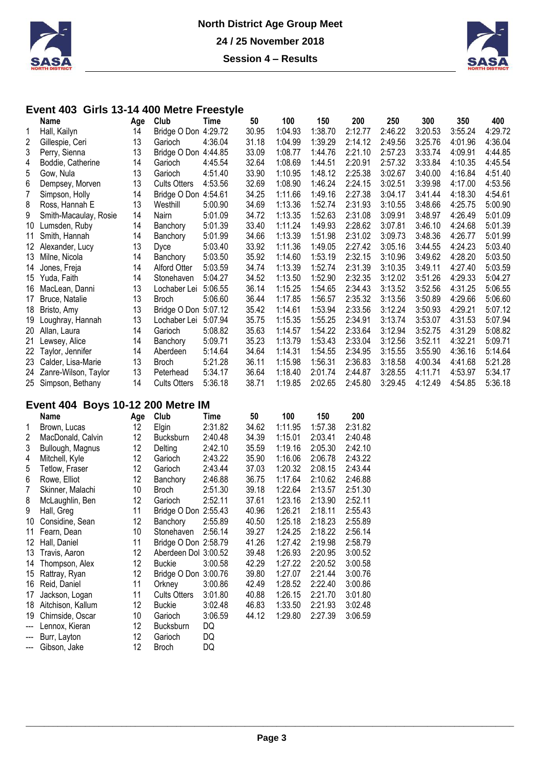



### **Event 403 Girls 13-14 400 Metre Freestyle**

|     | Name                                     | Age | Club                 | Time    | 50    | 100     | 150     | 200     | 250     | 300     | 350     | 400     |
|-----|------------------------------------------|-----|----------------------|---------|-------|---------|---------|---------|---------|---------|---------|---------|
|     | Hall, Kailyn                             | 14  | Bridge O Don 4:29.72 |         | 30.95 | 1:04.93 | 1:38.70 | 2:12.77 | 2:46.22 | 3:20.53 | 3:55.24 | 4:29.72 |
| 2   | Gillespie, Ceri                          | 13  | Garioch              | 4:36.04 | 31.18 | 1:04.99 | 1:39.29 | 2:14.12 | 2:49.56 | 3:25.76 | 4:01.96 | 4:36.04 |
| 3   | Perry, Sienna                            | 13  | Bridge O Don 4:44.85 |         | 33.09 | 1:08.77 | 1:44.76 | 2:21.10 | 2:57.23 | 3:33.74 | 4:09.91 | 4:44.85 |
| 4   | Boddie, Catherine                        | 14  | Garioch              | 4:45.54 | 32.64 | 1:08.69 | 1:44.51 | 2:20.91 | 2:57.32 | 3:33.84 | 4:10.35 | 4:45.54 |
| 5   | Gow, Nula                                | 13  | Garioch              | 4:51.40 | 33.90 | 1:10.95 | 1:48.12 | 2:25.38 | 3:02.67 | 3:40.00 | 4:16.84 | 4:51.40 |
| 6   | Dempsey, Morven                          | 13  | <b>Cults Otters</b>  | 4:53.56 | 32.69 | 1:08.90 | 1:46.24 | 2:24.15 | 3:02.51 | 3:39.98 | 4:17.00 | 4:53.56 |
| 7   | Simpson, Holly                           | 14  | Bridge O Don 4:54.61 |         | 34.25 | 1:11.66 | 1:49.16 | 2:27.38 | 3:04.17 | 3:41.44 | 4:18.30 | 4:54.61 |
| 8   | Ross, Hannah E                           | 13  | Westhill             | 5:00.90 | 34.69 | 1:13.36 | 1:52.74 | 2:31.93 | 3:10.55 | 3:48.66 | 4:25.75 | 5:00.90 |
| 9   | Smith-Macaulay, Rosie                    | 14  | <b>Nairn</b>         | 5:01.09 | 34.72 | 1:13.35 | 1:52.63 | 2:31.08 | 3:09.91 | 3:48.97 | 4:26.49 | 5:01.09 |
| 10  | Lumsden, Ruby                            | 14  | Banchory             | 5:01.39 | 33.40 | 1:11.24 | 1:49.93 | 2:28.62 | 3:07.81 | 3:46.10 | 4:24.68 | 5:01.39 |
| 11  | Smith, Hannah                            | 14  | Banchory             | 5:01.99 | 34.66 | 1:13.39 | 1:51.98 | 2:31.02 | 3:09.73 | 3:48.36 | 4:26.77 | 5:01.99 |
| 12  | Alexander, Lucy                          | 13  | <b>Dyce</b>          | 5:03.40 | 33.92 | 1:11.36 | 1:49.05 | 2:27.42 | 3:05.16 | 3:44.55 | 4:24.23 | 5:03.40 |
| 13. | Milne, Nicola                            | 14  | Banchory             | 5:03.50 | 35.92 | 1:14.60 | 1:53.19 | 2:32.15 | 3:10.96 | 3:49.62 | 4:28.20 | 5:03.50 |
| 14  | Jones, Freja                             | 14  | Alford Otter         | 5:03.59 | 34.74 | 1:13.39 | 1:52.74 | 2:31.39 | 3:10.35 | 3:49.11 | 4:27.40 | 5:03.59 |
| 15  | Yuda, Faith                              | 14  | Stonehaven           | 5:04.27 | 34.52 | 1:13.50 | 1:52.90 | 2:32.35 | 3:12.02 | 3:51.26 | 4:29.33 | 5:04.27 |
| 16  | MacLean, Danni                           | 13  | Lochaber Lei         | 5:06.55 | 36.14 | 1:15.25 | 1:54.65 | 2:34.43 | 3:13.52 | 3:52.56 | 4:31.25 | 5:06.55 |
| 17  | Bruce, Natalie                           | 13  | <b>Broch</b>         | 5:06.60 | 36.44 | 1:17.85 | 1:56.57 | 2:35.32 | 3:13.56 | 3:50.89 | 4:29.66 | 5:06.60 |
| 18  | Bristo, Amy                              | 13  | Bridge O Don 5:07.12 |         | 35.42 | 1:14.61 | 1:53.94 | 2:33.56 | 3:12.24 | 3:50.93 | 4:29.21 | 5:07.12 |
| 19  | Loughray, Hannah                         | 13  | Lochaber Lei         | 5:07.94 | 35.75 | 1:15.35 | 1:55.25 | 2:34.91 | 3:13.74 | 3:53.07 | 4:31.53 | 5:07.94 |
| 20  | Allan, Laura                             | 14  | Garioch              | 5:08.82 | 35.63 | 1:14.57 | 1:54.22 | 2:33.64 | 3:12.94 | 3:52.75 | 4:31.29 | 5:08.82 |
| 21  | Lewsey, Alice                            | 14  | Banchory             | 5:09.71 | 35.23 | 1:13.79 | 1:53.43 | 2:33.04 | 3:12.56 | 3:52.11 | 4:32.21 | 5:09.71 |
| 22  | Taylor, Jennifer                         | 14  | Aberdeen             | 5:14.64 | 34.64 | 1:14.31 | 1:54.55 | 2:34.95 | 3:15.55 | 3:55.90 | 4:36.16 | 5:14.64 |
|     | 23 Calder, Lisa-Marie                    | 13  | <b>Broch</b>         | 5:21.28 | 36.11 | 1:15.98 | 1:56.31 | 2:36.83 | 3:18.58 | 4:00.34 | 4:41.68 | 5:21.28 |
|     | 24 Zanre-Wilson, Taylor                  | 13  | Peterhead            | 5:34.17 | 36.64 | 1:18.40 | 2:01.74 | 2:44.87 | 3:28.55 | 4:11.71 | 4:53.97 | 5:34.17 |
|     | 25 Simpson, Bethany                      | 14  | <b>Cults Otters</b>  | 5:36.18 | 38.71 | 1:19.85 | 2:02.65 | 2:45.80 | 3:29.45 | 4:12.49 | 4:54.85 | 5:36.18 |
|     | <b>Event 404 Boys 10-12 200 Metre IM</b> |     |                      |         |       |         |         |         |         |         |         |         |

#### **Event 404 Boys 10-12 200 Metre IM**

|                          | Name              | Age | Club                 | Time    | 50    | 100     | 150     | 200     |
|--------------------------|-------------------|-----|----------------------|---------|-------|---------|---------|---------|
| 1                        | Brown, Lucas      | 12  | Elgin                | 2:31.82 | 34.62 | 1:11.95 | 1:57.38 | 2:31.82 |
| 2                        | MacDonald, Calvin | 12  | <b>Bucksburn</b>     | 2:40.48 | 34.39 | 1:15.01 | 2:03.41 | 2:40.48 |
| 3                        | Bullough, Magnus  | 12  | Delting              | 2:42.10 | 35.59 | 1:19.16 | 2:05.30 | 2:42.10 |
| 4                        | Mitchell, Kyle    | 12  | Garioch              | 2:43.22 | 35.90 | 1:16.06 | 2:06.78 | 2:43.22 |
| 5                        | Tetlow, Fraser    | 12  | Garioch              | 2:43.44 | 37.03 | 1:20.32 | 2:08.15 | 2:43.44 |
| 6                        | Rowe, Elliot      | 12  | Banchory             | 2:46.88 | 36.75 | 1:17.64 | 2:10.62 | 2:46.88 |
| 7                        | Skinner, Malachi  | 10  | <b>Broch</b>         | 2:51.30 | 39.18 | 1:22.64 | 2:13.57 | 2:51.30 |
| 8                        | McLaughlin, Ben   | 12  | Garioch              | 2:52.11 | 37.61 | 1:23.16 | 2:13.90 | 2:52.11 |
| 9                        | Hall, Greg        | 11  | Bridge O Don 2:55.43 |         | 40.96 | 1:26.21 | 2:18.11 | 2:55.43 |
| 10                       | Considine, Sean   | 12  | Banchory             | 2:55.89 | 40.50 | 1:25.18 | 2:18.23 | 2:55.89 |
| 11                       | Fearn, Dean       | 10  | Stonehaven           | 2:56.14 | 39.27 | 1:24.25 | 2:18.22 | 2:56.14 |
| 12                       | Hall, Daniel      | 11  | Bridge O Don 2:58.79 |         | 41.26 | 1:27.42 | 2:19.98 | 2:58.79 |
| 13                       | Travis, Aaron     | 12  | Aberdeen Dol 3:00.52 |         | 39.48 | 1:26.93 | 2:20.95 | 3:00.52 |
| 14                       | Thompson, Alex    | 12  | <b>Buckie</b>        | 3:00.58 | 42.29 | 1:27.22 | 2:20.52 | 3:00.58 |
| 15                       | Rattray, Ryan     | 12  | Bridge O Don 3:00.76 |         | 39.80 | 1:27.07 | 2:21.44 | 3:00.76 |
| 16                       | Reid, Daniel      | 11  | Orkney               | 3:00.86 | 42.49 | 1:28.52 | 2:22.40 | 3:00.86 |
| 17                       | Jackson, Logan    | 11  | <b>Cults Otters</b>  | 3:01.80 | 40.88 | 1:26.15 | 2:21.70 | 3:01.80 |
| 18                       | Aitchison, Kallum | 12  | <b>Buckie</b>        | 3:02.48 | 46.83 | 1:33.50 | 2:21.93 | 3:02.48 |
| 19                       | Chirnside, Oscar  | 10  | Garioch              | 3:06.59 | 44.12 | 1:29.80 | 2:27.39 | 3:06.59 |
| $\overline{\phantom{a}}$ | Lennox, Kieran    | 12  | Bucksburn            | DQ      |       |         |         |         |
| $---$                    | Burr, Layton      | 12  | Garioch              | DQ      |       |         |         |         |
| $\hspace{0.05cm} \ldots$ | Gibson, Jake      | 12  | <b>Broch</b>         | DQ      |       |         |         |         |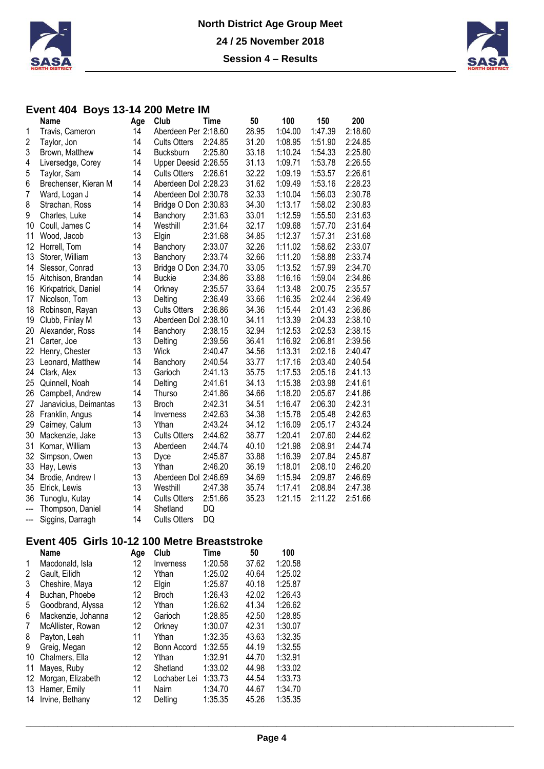



#### **Event 404 Boys 13-14 200 Metre IM**

|                | <b>Name</b>           | Age | Club                 | Time    | 50    | 100     | 150     | 200     |
|----------------|-----------------------|-----|----------------------|---------|-------|---------|---------|---------|
| 1              | Travis, Cameron       | 14  | Aberdeen Per 2:18.60 |         | 28.95 | 1:04.00 | 1:47.39 | 2:18.60 |
| 2              | Taylor, Jon           | 14  | <b>Cults Otters</b>  | 2:24.85 | 31.20 | 1:08.95 | 1:51.90 | 2:24.85 |
| 3              | Brown, Matthew        | 14  | Bucksburn            | 2:25.80 | 33.18 | 1:10.24 | 1:54.33 | 2:25.80 |
| 4              | Liversedge, Corey     | 14  | Upper Deesid 2:26.55 |         | 31.13 | 1:09.71 | 1:53.78 | 2:26.55 |
| 5              | Taylor, Sam           | 14  | <b>Cults Otters</b>  | 2:26.61 | 32.22 | 1:09.19 | 1:53.57 | 2:26.61 |
| 6              | Brechenser, Kieran M  | 14  | Aberdeen Dol 2:28.23 |         | 31.62 | 1:09.49 | 1:53.16 | 2:28.23 |
| $\overline{7}$ | Ward, Logan J         | 14  | Aberdeen Dol 2:30.78 |         | 32.33 | 1:10.04 | 1:56.03 | 2:30.78 |
| 8              | Strachan, Ross        | 14  | Bridge O Don 2:30.83 |         | 34.30 | 1:13.17 | 1:58.02 | 2:30.83 |
| 9              | Charles, Luke         | 14  | Banchory             | 2:31.63 | 33.01 | 1:12.59 | 1:55.50 | 2:31.63 |
| 10             | Coull, James C        | 14  | Westhill             | 2:31.64 | 32.17 | 1:09.68 | 1:57.70 | 2:31.64 |
| 11             | Wood, Jacob           | 13  | Elgin                | 2:31.68 | 34.85 | 1:12.37 | 1:57.31 | 2:31.68 |
| 12             | Horrell, Tom          | 14  | Banchory             | 2:33.07 | 32.26 | 1:11.02 | 1:58.62 | 2:33.07 |
| 13             | Storer, William       | 13  | Banchory             | 2:33.74 | 32.66 | 1:11.20 | 1:58.88 | 2:33.74 |
| 14             | Slessor, Conrad       | 13  | Bridge O Don 2:34.70 |         | 33.05 | 1:13.52 | 1:57.99 | 2:34.70 |
| 15             | Aitchison, Brandan    | 14  | <b>Buckie</b>        | 2:34.86 | 33.88 | 1:16.16 | 1:59.04 | 2:34.86 |
| 16             | Kirkpatrick, Daniel   | 14  | Orkney               | 2:35.57 | 33.64 | 1:13.48 | 2:00.75 | 2:35.57 |
| 17             | Nicolson, Tom         | 13  | Delting              | 2:36.49 | 33.66 | 1:16.35 | 2:02.44 | 2:36.49 |
| 18             | Robinson, Rayan       | 13  | <b>Cults Otters</b>  | 2:36.86 | 34.36 | 1:15.44 | 2:01.43 | 2:36.86 |
| 19             | Clubb, Finlay M       | 13  | Aberdeen Dol 2:38.10 |         | 34.11 | 1:13.39 | 2:04.33 | 2:38.10 |
| 20             | Alexander, Ross       | 14  | Banchory             | 2:38.15 | 32.94 | 1:12.53 | 2:02.53 | 2:38.15 |
| 21             | Carter, Joe           | 13  | Delting              | 2:39.56 | 36.41 | 1:16.92 | 2:06.81 | 2:39.56 |
| 22             | Henry, Chester        | 13  | Wick                 | 2:40.47 | 34.56 | 1:13.31 | 2:02.16 | 2:40.47 |
| 23             | Leonard, Matthew      | 14  | Banchory             | 2:40.54 | 33.77 | 1:17.16 | 2:03.40 | 2:40.54 |
| 24             | Clark, Alex           | 13  | Garioch              | 2:41.13 | 35.75 | 1:17.53 | 2:05.16 | 2:41.13 |
| 25             | Quinnell, Noah        | 14  | Delting              | 2:41.61 | 34.13 | 1:15.38 | 2:03.98 | 2:41.61 |
| 26             | Campbell, Andrew      | 14  | Thurso               | 2:41.86 | 34.66 | 1:18.20 | 2:05.67 | 2:41.86 |
| 27             | Janavicius, Deimantas | 13  | <b>Broch</b>         | 2:42.31 | 34.51 | 1:16.47 | 2:06.30 | 2:42.31 |
| 28             | Franklin, Angus       | 14  | Inverness            | 2:42.63 | 34.38 | 1:15.78 | 2:05.48 | 2:42.63 |
| 29             | Cairney, Calum        | 13  | Ythan                | 2:43.24 | 34.12 | 1:16.09 | 2:05.17 | 2:43.24 |
| 30             | Mackenzie, Jake       | 13  | <b>Cults Otters</b>  | 2:44.62 | 38.77 | 1:20.41 | 2:07.60 | 2:44.62 |
| 31             | Komar, William        | 13  | Aberdeen             | 2:44.74 | 40.10 | 1:21.98 | 2:08.91 | 2:44.74 |
| 32             | Simpson, Owen         | 13  | Dyce                 | 2:45.87 | 33.88 | 1:16.39 | 2:07.84 | 2:45.87 |
| 33             | Hay, Lewis            | 13  | Ythan                | 2:46.20 | 36.19 | 1:18.01 | 2:08.10 | 2:46.20 |
| 34             | Brodie, Andrew I      | 13  | Aberdeen Dol 2:46.69 |         | 34.69 | 1:15.94 | 2:09.87 | 2:46.69 |
| 35             | Elrick, Lewis         | 13  | Westhill             | 2:47.38 | 35.74 | 1:17.41 | 2:08.84 | 2:47.38 |
| 36             | Tunoglu, Kutay        | 14  | <b>Cults Otters</b>  | 2:51.66 | 35.23 | 1:21.15 | 2:11.22 | 2:51.66 |
| $\overline{a}$ | Thompson, Daniel      | 14  | Shetland             | DQ      |       |         |         |         |
| $---$          | Siggins, Darragh      | 14  | <b>Cults Otters</b>  | DQ      |       |         |         |         |

# **Event 405 Girls 10-12 100 Metre Breaststroke**

|    | Name               | Age | Club         | <b>Time</b> | 50    | 100     |
|----|--------------------|-----|--------------|-------------|-------|---------|
| 1  | Macdonald, Isla    | 12  | Inverness    | 1:20.58     | 37.62 | 1:20.58 |
| 2  | Gault. Eilidh      | 12  | Ythan        | 1:25.02     | 40.64 | 1:25.02 |
| 3  | Cheshire, Maya     | 12  | Elgin        | 1:25.87     | 40.18 | 1:25.87 |
| 4  | Buchan, Phoebe     | 12  | <b>Broch</b> | 1:26.43     | 42.02 | 1:26.43 |
| 5  | Goodbrand, Alyssa  | 12  | Ythan        | 1:26.62     | 41.34 | 1:26.62 |
| 6  | Mackenzie, Johanna | 12  | Garioch      | 1:28.85     | 42.50 | 1:28.85 |
| 7  | McAllister, Rowan  | 12  | Orkney       | 1:30.07     | 42.31 | 1:30.07 |
| 8  | Payton, Leah       | 11  | Ythan        | 1:32.35     | 43.63 | 1:32.35 |
| 9  | Greig, Megan       | 12  | Bonn Accord  | 1:32.55     | 44.19 | 1:32.55 |
| 10 | Chalmers, Ella     | 12  | Ythan        | 1:32.91     | 44.70 | 1:32.91 |
| 11 | Mayes, Ruby        | 12  | Shetland     | 1:33.02     | 44.98 | 1:33.02 |
| 12 | Morgan, Elizabeth  | 12  | Lochaber Lei | 1:33.73     | 44.54 | 1:33.73 |
| 13 | Hamer, Emily       | 11  | Nairn        | 1:34.70     | 44.67 | 1:34.70 |
| 14 | Irvine, Bethany    | 12  | Deltina      | 1:35.35     | 45.26 | 1:35.35 |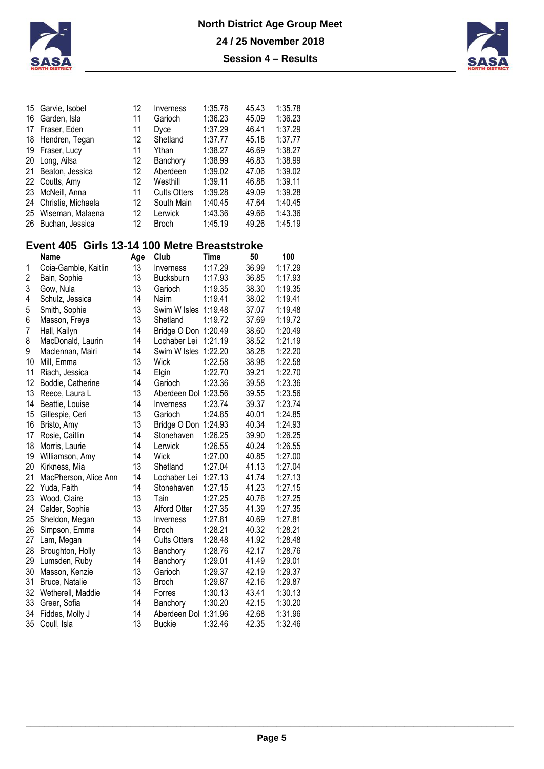



|    | 15 Garvie, Isobel     | 12                | Inverness           | 1:35.78 | 45.43 | 1:35.78 |
|----|-----------------------|-------------------|---------------------|---------|-------|---------|
| 16 | Garden, Isla          | 11                | Garioch             | 1:36.23 | 45.09 | 1:36.23 |
|    | 17 Fraser, Eden       | 11                | Dyce                | 1:37.29 | 46.41 | 1:37.29 |
|    | 18 Hendren, Tegan     | 12                | Shetland            | 1:37.77 | 45.18 | 1:37.77 |
|    | 19 Fraser, Lucy       | 11                | Ythan               | 1:38.27 | 46.69 | 1:38.27 |
| 20 | Long, Ailsa           | $12 \overline{ }$ | Banchory            | 1:38.99 | 46.83 | 1:38.99 |
|    | 21 Beaton, Jessica    | 12                | Aberdeen            | 1:39.02 | 47.06 | 1:39.02 |
|    | 22 Coutts, Amy        | 12                | Westhill            | 1:39.11 | 46.88 | 1:39.11 |
|    | 23 McNeill, Anna      | 11                | <b>Cults Otters</b> | 1:39.28 | 49.09 | 1:39.28 |
|    | 24 Christie, Michaela | $12 \overline{ }$ | South Main          | 1:40.45 | 47.64 | 1:40.45 |
|    | 25 Wiseman, Malaena   | 12                | Lerwick             | 1:43.36 | 49.66 | 1:43.36 |
|    | 26 Buchan, Jessica    | 12                | <b>Broch</b>        | 1:45.19 | 49.26 | 1:45.19 |

### **Event 405 Girls 13-14 100 Metre Breaststroke**

|    | <b>Name</b>           | Age | Club                 | Time    | 50    | 100     |
|----|-----------------------|-----|----------------------|---------|-------|---------|
| 1  | Coia-Gamble, Kaitlin  | 13  | Inverness            | 1:17.29 | 36.99 | 1:17.29 |
| 2  | Bain, Sophie          | 13  | <b>Bucksburn</b>     | 1:17.93 | 36.85 | 1:17.93 |
| 3  | Gow, Nula             | 13  | Garioch              | 1:19.35 | 38.30 | 1:19.35 |
| 4  | Schulz, Jessica       | 14  | Nairn                | 1:19.41 | 38.02 | 1:19.41 |
| 5  | Smith, Sophie         | 13  | Swim W Isles         | 1:19.48 | 37.07 | 1:19.48 |
| 6  | Masson, Freya         | 13  | Shetland             | 1:19.72 | 37.69 | 1:19.72 |
| 7  | Hall, Kailyn          | 14  | Bridge O Don 1:20.49 |         | 38.60 | 1:20.49 |
| 8  | MacDonald, Laurin     | 14  | Lochaber Lei         | 1:21.19 | 38.52 | 1:21.19 |
| 9  | Maclennan, Mairi      | 14  | Swim W Isles         | 1:22.20 | 38.28 | 1:22.20 |
| 10 | Mill, Emma            | 13  | Wick                 | 1:22.58 | 38.98 | 1:22.58 |
| 11 | Riach, Jessica        | 14  | Elgin                | 1:22.70 | 39.21 | 1:22.70 |
| 12 | Boddie, Catherine     | 14  | Garioch              | 1:23.36 | 39.58 | 1:23.36 |
| 13 | Reece, Laura L        | 13  | Aberdeen Dol         | 1:23.56 | 39.55 | 1:23.56 |
| 14 | Beattie, Louise       | 14  | Inverness            | 1:23.74 | 39.37 | 1:23.74 |
| 15 | Gillespie, Ceri       | 13  | Garioch              | 1:24.85 | 40.01 | 1:24.85 |
| 16 | Bristo, Amy           | 13  | Bridge O Don         | 1:24.93 | 40.34 | 1:24.93 |
| 17 | Rosie, Caitlin        | 14  | Stonehaven           | 1:26.25 | 39.90 | 1:26.25 |
| 18 | Morris, Laurie        | 14  | Lerwick              | 1:26.55 | 40.24 | 1:26.55 |
| 19 | Williamson, Amy       | 14  | Wick                 | 1:27.00 | 40.85 | 1:27.00 |
| 20 | Kirkness, Mia         | 13  | Shetland             | 1:27.04 | 41.13 | 1:27.04 |
| 21 | MacPherson, Alice Ann | 14  | Lochaber Lei         | 1:27.13 | 41.74 | 1:27.13 |
| 22 | Yuda, Faith           | 14  | Stonehaven           | 1:27.15 | 41.23 | 1:27.15 |
| 23 | Wood, Claire          | 13  | Tain                 | 1:27.25 | 40.76 | 1:27.25 |
| 24 | Calder, Sophie        | 13  | Alford Otter         | 1:27.35 | 41.39 | 1:27.35 |
| 25 | Sheldon, Megan        | 13  | Inverness            | 1:27.81 | 40.69 | 1:27.81 |
| 26 | Simpson, Emma         | 14  | <b>Broch</b>         | 1:28.21 | 40.32 | 1:28.21 |
| 27 | Lam, Megan            | 14  | <b>Cults Otters</b>  | 1:28.48 | 41.92 | 1:28.48 |
| 28 | Broughton, Holly      | 13  | Banchory             | 1:28.76 | 42.17 | 1:28.76 |
| 29 | Lumsden, Ruby         | 14  | Banchory             | 1:29.01 | 41.49 | 1:29.01 |
| 30 | Masson, Kenzie        | 13  | Garioch              | 1:29.37 | 42.19 | 1:29.37 |
| 31 | Bruce, Natalie        | 13  | <b>Broch</b>         | 1:29.87 | 42.16 | 1:29.87 |
| 32 | Wetherell, Maddie     | 14  | Forres               | 1:30.13 | 43.41 | 1:30.13 |
| 33 | Greer, Sofia          | 14  | Banchory             | 1:30.20 | 42.15 | 1:30.20 |
| 34 | Fiddes, Molly J       | 14  | Aberdeen Dol         | 1:31.96 | 42.68 | 1:31.96 |
| 35 | Coull, Isla           | 13  | <b>Buckie</b>        | 1:32.46 | 42.35 | 1:32.46 |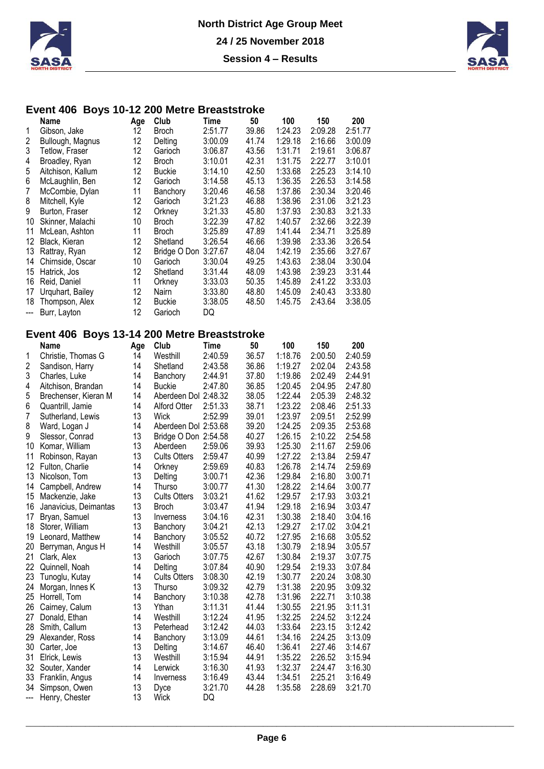



# **Event 406 Boys 10-12 200 Metre Breaststroke**

|                        | Name              | Age | Club          | Time    | 50    | 100     | 150     | 200     |
|------------------------|-------------------|-----|---------------|---------|-------|---------|---------|---------|
| 1                      | Gibson, Jake      | 12  | <b>Broch</b>  | 2:51.77 | 39.86 | 1:24.23 | 2:09.28 | 2:51.77 |
| 2                      | Bullough, Magnus  | 12  | Delting       | 3:00.09 | 41.74 | 1:29.18 | 2:16.66 | 3:00.09 |
| 3                      | Tetlow, Fraser    | 12  | Garioch       | 3:06.87 | 43.56 | 1:31.71 | 2:19.61 | 3:06.87 |
| 4                      | Broadley, Ryan    | 12  | <b>Broch</b>  | 3:10.01 | 42.31 | 1:31.75 | 2:22.77 | 3:10.01 |
| 5                      | Aitchison, Kallum | 12  | <b>Buckie</b> | 3:14.10 | 42.50 | 1:33.68 | 2:25.23 | 3:14.10 |
| 6                      | McLaughlin, Ben   | 12  | Garioch       | 3:14.58 | 45.13 | 1:36.35 | 2:26.53 | 3:14.58 |
| 7                      | McCombie, Dylan   | 11  | Banchory      | 3:20.46 | 46.58 | 1:37.86 | 2:30.34 | 3:20.46 |
| 8                      | Mitchell, Kyle    | 12  | Garioch       | 3:21.23 | 46.88 | 1:38.96 | 2:31.06 | 3:21.23 |
| 9                      | Burton, Fraser    | 12  | Orkney        | 3:21.33 | 45.80 | 1:37.93 | 2:30.83 | 3:21.33 |
| 10                     | Skinner, Malachi  | 10  | <b>Broch</b>  | 3:22.39 | 47.82 | 1:40.57 | 2:32.66 | 3:22.39 |
| 11                     | McLean, Ashton    | 11  | <b>Broch</b>  | 3:25.89 | 47.89 | 1:41.44 | 2:34.71 | 3:25.89 |
| 12                     | Black, Kieran     | 12  | Shetland      | 3:26.54 | 46.66 | 1:39.98 | 2:33.36 | 3:26.54 |
| 13                     | Rattray, Ryan     | 12  | Bridge O Don  | 3:27.67 | 48.04 | 1:42.19 | 2:35.66 | 3:27.67 |
| 14                     | Chirnside, Oscar  | 10  | Garioch       | 3:30.04 | 49.25 | 1:43.63 | 2:38.04 | 3:30.04 |
| 15                     | Hatrick, Jos      | 12  | Shetland      | 3:31.44 | 48.09 | 1:43.98 | 2:39.23 | 3:31.44 |
| 16                     | Reid, Daniel      | 11  | Orkney        | 3:33.03 | 50.35 | 1:45.89 | 2:41.22 | 3:33.03 |
| 17                     | Urquhart, Bailey  | 12  | <b>Nairn</b>  | 3:33.80 | 48.80 | 1:45.09 | 2:40.43 | 3:33.80 |
| 18                     | Thompson, Alex    | 12  | <b>Buckie</b> | 3:38.05 | 48.50 | 1:45.75 | 2:43.64 | 3:38.05 |
| $\qquad \qquad \cdots$ | Burr, Layton      | 12  | Garioch       | DQ      |       |         |         |         |
|                        |                   |     |               |         |       |         |         |         |

### **Event 406 Boys 13-14 200 Metre Breaststroke**

|                | Name                  | Age | Club                 | Time    | 50    | 100     | 150     | 200     |
|----------------|-----------------------|-----|----------------------|---------|-------|---------|---------|---------|
| 1              | Christie, Thomas G    | 14  | Westhill             | 2:40.59 | 36.57 | 1:18.76 | 2:00.50 | 2:40.59 |
| $\overline{2}$ | Sandison, Harry       | 14  | Shetland             | 2:43.58 | 36.86 | 1:19.27 | 2:02.04 | 2:43.58 |
| 3              | Charles, Luke         | 14  | Banchory             | 2:44.91 | 37.80 | 1:19.86 | 2:02.49 | 2:44.91 |
| 4              | Aitchison, Brandan    | 14  | <b>Buckie</b>        | 2:47.80 | 36.85 | 1:20.45 | 2:04.95 | 2:47.80 |
| 5              | Brechenser, Kieran M  | 14  | Aberdeen Dol 2:48.32 |         | 38.05 | 1:22.44 | 2:05.39 | 2:48.32 |
| 6              | Quantrill, Jamie      | 14  | Alford Otter         | 2:51.33 | 38.71 | 1:23.22 | 2:08.46 | 2:51.33 |
| $\overline{7}$ | Sutherland, Lewis     | 13  | Wick                 | 2:52.99 | 39.01 | 1:23.97 | 2:09.51 | 2:52.99 |
| 8              | Ward, Logan J         | 14  | Aberdeen Dol 2:53.68 |         | 39.20 | 1:24.25 | 2:09.35 | 2:53.68 |
| 9              | Slessor, Conrad       | 13  | Bridge O Don 2:54.58 |         | 40.27 | 1:26.15 | 2:10.22 | 2:54.58 |
| 10             | Komar, William        | 13  | Aberdeen             | 2:59.06 | 39.93 | 1:25.30 | 2:11.67 | 2:59.06 |
| 11             | Robinson, Rayan       | 13  | <b>Cults Otters</b>  | 2:59.47 | 40.99 | 1:27.22 | 2:13.84 | 2:59.47 |
| 12             | Fulton, Charlie       | 14  | Orkney               | 2:59.69 | 40.83 | 1:26.78 | 2:14.74 | 2:59.69 |
| 13             | Nicolson, Tom         | 13  | Delting              | 3:00.71 | 42.36 | 1:29.84 | 2:16.80 | 3:00.71 |
| 14             | Campbell, Andrew      | 14  | Thurso               | 3:00.77 | 41.30 | 1:28.22 | 2:14.64 | 3:00.77 |
| 15             | Mackenzie, Jake       | 13  | <b>Cults Otters</b>  | 3:03.21 | 41.62 | 1:29.57 | 2:17.93 | 3:03.21 |
| 16             | Janavicius, Deimantas | 13  | <b>Broch</b>         | 3:03.47 | 41.94 | 1:29.18 | 2:16.94 | 3:03.47 |
| 17             | Bryan, Samuel         | 13  | Inverness            | 3:04.16 | 42.31 | 1:30.38 | 2:18.40 | 3:04.16 |
| 18             | Storer, William       | 13  | Banchory             | 3:04.21 | 42.13 | 1:29.27 | 2:17.02 | 3:04.21 |
| 19             | Leonard, Matthew      | 14  | Banchory             | 3:05.52 | 40.72 | 1:27.95 | 2:16.68 | 3:05.52 |
| 20             | Berryman, Angus H     | 14  | Westhill             | 3:05.57 | 43.18 | 1:30.79 | 2:18.94 | 3:05.57 |
| 21             | Clark, Alex           | 13  | Garioch              | 3:07.75 | 42.67 | 1:30.84 | 2:19.37 | 3:07.75 |
| 22             | Quinnell, Noah        | 14  | Delting              | 3:07.84 | 40.90 | 1:29.54 | 2:19.33 | 3:07.84 |
| 23             | Tunoglu, Kutay        | 14  | <b>Cults Otters</b>  | 3:08.30 | 42.19 | 1:30.77 | 2:20.24 | 3:08.30 |
| 24             | Morgan, Innes K       | 13  | <b>Thurso</b>        | 3:09.32 | 42.79 | 1:31.38 | 2:20.95 | 3:09.32 |
| 25             | Horrell, Tom          | 14  | Banchory             | 3:10.38 | 42.78 | 1:31.96 | 2:22.71 | 3:10.38 |
| 26             | Cairney, Calum        | 13  | Ythan                | 3:11.31 | 41.44 | 1:30.55 | 2:21.95 | 3:11.31 |
| 27             | Donald, Ethan         | 14  | Westhill             | 3:12.24 | 41.95 | 1:32.25 | 2:24.52 | 3:12.24 |
| 28             | Smith, Callum         | 13  | Peterhead            | 3:12.42 | 44.03 | 1:33.64 | 2:23.15 | 3:12.42 |
| 29             | Alexander, Ross       | 14  | Banchory             | 3:13.09 | 44.61 | 1:34.16 | 2:24.25 | 3:13.09 |
| 30             | Carter, Joe           | 13  | Delting              | 3:14.67 | 46.40 | 1:36.41 | 2:27.46 | 3:14.67 |
| 31             | Elrick, Lewis         | 13  | Westhill             | 3:15.94 | 44.91 | 1:35.22 | 2:26.52 | 3:15.94 |
| 32             | Souter, Xander        | 14  | Lerwick              | 3:16.30 | 41.93 | 1:32.37 | 2:24.47 | 3:16.30 |
| 33             | Franklin, Angus       | 14  | Inverness            | 3:16.49 | 43.44 | 1:34.51 | 2:25.21 | 3:16.49 |
| 34             | Simpson, Owen         | 13  | Dyce                 | 3:21.70 | 44.28 | 1:35.58 | 2:28.69 | 3:21.70 |
| ---            | Henry, Chester        | 13  | Wick                 | DQ      |       |         |         |         |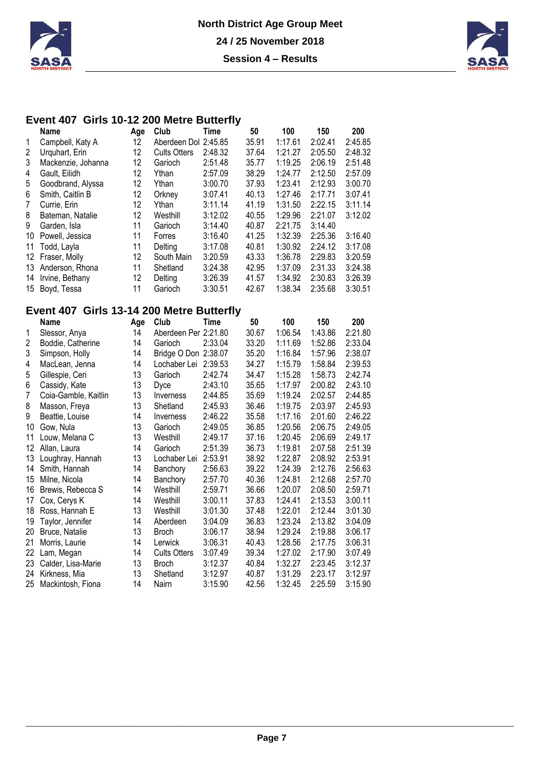



### **Event 407 Girls 10-12 200 Metre Butterfly**

|    | <b>Name</b>        | Age | Club                 | Time    | 50    | 100     | 150     | 200     |
|----|--------------------|-----|----------------------|---------|-------|---------|---------|---------|
|    | Campbell, Katy A   | 12  | Aberdeen Dol 2:45.85 |         | 35.91 | 1:17.61 | 2:02.41 | 2:45.85 |
| 2  | Urquhart, Erin     | 12  | <b>Cults Otters</b>  | 2:48.32 | 37.64 | 1:21.27 | 2:05.50 | 2:48.32 |
| 3  | Mackenzie, Johanna | 12  | Garioch              | 2:51.48 | 35.77 | 1:19.25 | 2:06.19 | 2:51.48 |
| 4  | Gault, Eilidh      | 12  | Ythan                | 2:57.09 | 38.29 | 1:24.77 | 2:12.50 | 2:57.09 |
| 5  | Goodbrand, Alyssa  | 12  | Ythan                | 3:00.70 | 37.93 | 1:23.41 | 2:12.93 | 3:00.70 |
| 6  | Smith, Caitlin B   | 12  | Orkney               | 3:07.41 | 40.13 | 1:27.46 | 2:17.71 | 3:07.41 |
| 7  | Currie, Erin       | 12  | Ythan                | 3:11.14 | 41.19 | 1:31.50 | 2:22.15 | 3:11.14 |
| 8  | Bateman, Natalie   | 12  | Westhill             | 3:12.02 | 40.55 | 1:29.96 | 2:21.07 | 3:12.02 |
| 9  | Garden, Isla       | 11  | Garioch              | 3:14.40 | 40.87 | 2:21.75 | 3:14.40 |         |
| 10 | Powell, Jessica    | 11  | Forres               | 3:16.40 | 41.25 | 1:32.39 | 2:25.36 | 3:16.40 |
| 11 | Todd, Layla        | 11  | Delting              | 3:17.08 | 40.81 | 1:30.92 | 2:24.12 | 3:17.08 |
| 12 | Fraser, Molly      | 12  | South Main           | 3:20.59 | 43.33 | 1:36.78 | 2:29.83 | 3:20.59 |
| 13 | Anderson, Rhona    | 11  | Shetland             | 3:24.38 | 42.95 | 1:37.09 | 2:31.33 | 3:24.38 |
| 14 | Irvine, Bethany    | 12  | Delting              | 3:26.39 | 41.57 | 1:34.92 | 2:30.83 | 3:26.39 |
| 15 | Boyd, Tessa        | 11  | Garioch              | 3:30.51 | 42.67 | 1:38.34 | 2:35.68 | 3:30.51 |

### **Event 407 Girls 13-14 200 Metre Butterfly**

|    | Name                 | Age | Club                 | Time    | 50    | 100     | 150     | 200     |
|----|----------------------|-----|----------------------|---------|-------|---------|---------|---------|
| 1  | Slessor, Anya        | 14  | Aberdeen Per 2:21.80 |         | 30.67 | 1:06.54 | 1:43.86 | 2:21.80 |
| 2  | Boddie, Catherine    | 14  | Garioch              | 2:33.04 | 33.20 | 1:11.69 | 1:52.86 | 2:33.04 |
| 3  | Simpson, Holly       | 14  | Bridge O Don 2:38.07 |         | 35.20 | 1:16.84 | 1:57.96 | 2:38.07 |
| 4  | MacLean, Jenna       | 14  | Lochaber Lei         | 2:39.53 | 34.27 | 1:15.79 | 1:58.84 | 2:39.53 |
| 5  | Gillespie, Ceri      | 13  | Garioch              | 2:42.74 | 34.47 | 1:15.28 | 1:58.73 | 2:42.74 |
| 6  | Cassidy, Kate        | 13  | Dyce                 | 2:43.10 | 35.65 | 1:17.97 | 2:00.82 | 2:43.10 |
| 7  | Coia-Gamble, Kaitlin | 13  | Inverness            | 2:44.85 | 35.69 | 1:19.24 | 2:02.57 | 2:44.85 |
| 8  | Masson, Freya        | 13  | Shetland             | 2:45.93 | 36.46 | 1:19.75 | 2:03.97 | 2:45.93 |
| 9  | Beattie, Louise      | 14  | Inverness            | 2:46.22 | 35.58 | 1:17.16 | 2:01.60 | 2:46.22 |
| 10 | Gow, Nula            | 13  | Garioch              | 2:49.05 | 36.85 | 1:20.56 | 2:06.75 | 2:49.05 |
| 11 | Louw, Melana C       | 13  | Westhill             | 2:49.17 | 37.16 | 1:20.45 | 2:06.69 | 2:49.17 |
| 12 | Allan, Laura         | 14  | Garioch              | 2:51.39 | 36.73 | 1:19.81 | 2:07.58 | 2:51.39 |
| 13 | Loughray, Hannah     | 13  | Lochaber Lei         | 2:53.91 | 38.92 | 1:22.87 | 2:08.92 | 2:53.91 |
| 14 | Smith, Hannah        | 14  | Banchory             | 2:56.63 | 39.22 | 1:24.39 | 2:12.76 | 2:56.63 |
| 15 | Milne, Nicola        | 14  | Banchory             | 2:57.70 | 40.36 | 1:24.81 | 2:12.68 | 2:57.70 |
| 16 | Brewis, Rebecca S    | 14  | Westhill             | 2:59.71 | 36.66 | 1:20.07 | 2:08.50 | 2:59.71 |
| 17 | Cox, Cerys K         | 14  | Westhill             | 3:00.11 | 37.83 | 1:24.41 | 2:13.53 | 3:00.11 |
| 18 | Ross, Hannah E       | 13  | Westhill             | 3:01.30 | 37.48 | 1:22.01 | 2:12.44 | 3:01.30 |
| 19 | Taylor, Jennifer     | 14  | Aberdeen             | 3:04.09 | 36.83 | 1:23.24 | 2:13.82 | 3:04.09 |
| 20 | Bruce, Natalie       | 13  | <b>Broch</b>         | 3:06.17 | 38.94 | 1:29.24 | 2:19.88 | 3:06.17 |
| 21 | Morris, Laurie       | 14  | Lerwick              | 3:06.31 | 40.43 | 1:28.56 | 2:17.75 | 3:06.31 |
| 22 | Lam, Megan           | 14  | <b>Cults Otters</b>  | 3:07.49 | 39.34 | 1:27.02 | 2:17.90 | 3:07.49 |
| 23 | Calder, Lisa-Marie   | 13  | <b>Broch</b>         | 3:12.37 | 40.84 | 1:32.27 | 2:23.45 | 3:12.37 |
| 24 | Kirkness, Mia        | 13  | Shetland             | 3:12.97 | 40.87 | 1:31.29 | 2:23.17 | 3:12.97 |
| 25 | Mackintosh, Fiona    | 14  | Nairn                | 3:15.90 | 42.56 | 1:32.45 | 2:25.59 | 3:15.90 |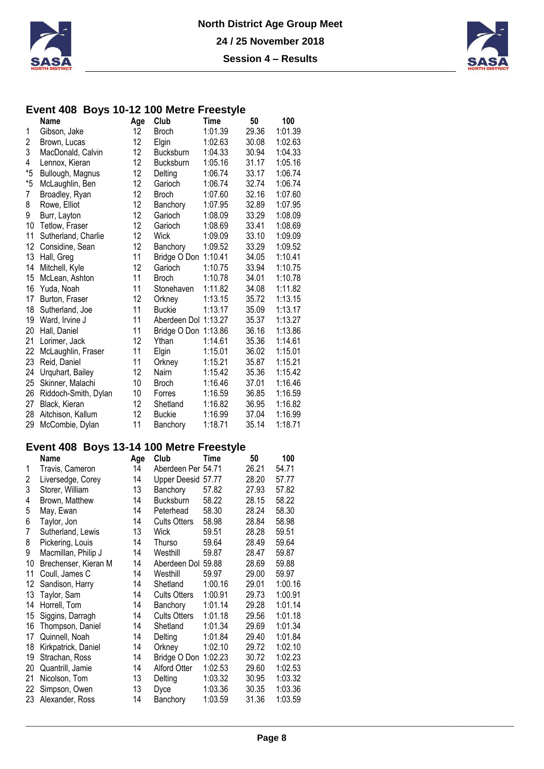



#### **Event 408 Boys 10-12 100 Metre Freestyle**

|           | Name                  | Age | Club                 | Time    | 50    | 100     |
|-----------|-----------------------|-----|----------------------|---------|-------|---------|
| 1         | Gibson, Jake          | 12  | <b>Broch</b>         | 1:01.39 | 29.36 | 1:01.39 |
| 2         | Brown, Lucas          | 12  | Elgin                | 1:02.63 | 30.08 | 1:02.63 |
| 3         | MacDonald, Calvin     | 12  | Bucksburn            | 1:04.33 | 30.94 | 1:04.33 |
| 4         | Lennox, Kieran        | 12  | <b>Bucksburn</b>     | 1:05.16 | 31.17 | 1:05.16 |
| *5        | Bullough, Magnus      | 12  | Delting              | 1:06.74 | 33.17 | 1:06.74 |
| $^\ast 5$ | McLaughlin, Ben       | 12  | Garioch              | 1:06.74 | 32.74 | 1:06.74 |
| 7         | Broadley, Ryan        | 12  | <b>Broch</b>         | 1:07.60 | 32.16 | 1:07.60 |
| 8         | Rowe, Elliot          | 12  | Banchory             | 1:07.95 | 32.89 | 1:07.95 |
| 9         | Burr, Layton          | 12  | Garioch              | 1:08.09 | 33.29 | 1:08.09 |
| 10        | <b>Tetlow, Fraser</b> | 12  | Garioch              | 1:08.69 | 33.41 | 1:08.69 |
| 11        | Sutherland, Charlie   | 12  | Wick                 | 1:09.09 | 33.10 | 1:09.09 |
| 12        | Considine, Sean       | 12  | Banchory             | 1:09.52 | 33.29 | 1:09.52 |
| 13        | Hall, Greg            | 11  | Bridge O Don         | 1:10.41 | 34.05 | 1:10.41 |
| 14        | Mitchell, Kyle        | 12  | Garioch              | 1:10.75 | 33.94 | 1:10.75 |
| 15        | McLean, Ashton        | 11  | <b>Broch</b>         | 1:10.78 | 34.01 | 1:10.78 |
| 16        | Yuda, Noah            | 11  | Stonehaven           | 1:11.82 | 34.08 | 1:11.82 |
| 17        | Burton, Fraser        | 12  | Orkney               | 1:13.15 | 35.72 | 1:13.15 |
| 18        | Sutherland, Joe       | 11  | <b>Buckie</b>        | 1:13.17 | 35.09 | 1:13.17 |
| 19        | Ward, Irvine J        | 11  | Aberdeen Dol 1:13.27 |         | 35.37 | 1:13.27 |
| 20        | Hall, Daniel          | 11  | Bridge O Don 1:13.86 |         | 36.16 | 1:13.86 |
| 21        | Lorimer, Jack         | 12  | Ythan                | 1:14.61 | 35.36 | 1:14.61 |
| 22        | McLaughlin, Fraser    | 11  | Elgin                | 1:15.01 | 36.02 | 1:15.01 |
| 23        | Reid, Daniel          | 11  | Orkney               | 1:15.21 | 35.87 | 1:15.21 |
| 24        | Urquhart, Bailey      | 12  | Nairn                | 1:15.42 | 35.36 | 1:15.42 |
| 25        | Skinner, Malachi      | 10  | <b>Broch</b>         | 1:16.46 | 37.01 | 1:16.46 |
| 26        | Riddoch-Smith, Dylan  | 10  | Forres               | 1:16.59 | 36.85 | 1:16.59 |
| 27        | Black, Kieran         | 12  | Shetland             | 1:16.82 | 36.95 | 1:16.82 |
| 28        | Aitchison, Kallum     | 12  | <b>Buckie</b>        | 1:16.99 | 37.04 | 1:16.99 |
| 29        | McCombie, Dylan       | 11  | Banchory             | 1:18.71 | 35.14 | 1:18.71 |

### **Event 408 Boys 13-14 100 Metre Freestyle**

|    | Name                 | Age | Club                | Time    | 50    | 100     |
|----|----------------------|-----|---------------------|---------|-------|---------|
| 1  | Travis, Cameron      | 14  | Aberdeen Per 54.71  |         | 26.21 | 54.71   |
| 2  | Liversedge, Corey    | 14  | Upper Deesid 57.77  |         | 28.20 | 57.77   |
| 3  | Storer, William      | 13  | Banchory            | 57.82   | 27.93 | 57.82   |
| 4  | Brown, Matthew       | 14  | Bucksburn           | 58.22   | 28.15 | 58.22   |
| 5  | May, Ewan            | 14  | Peterhead           | 58.30   | 28.24 | 58.30   |
| 6  | Taylor, Jon          | 14  | <b>Cults Otters</b> | 58.98   | 28.84 | 58.98   |
| 7  | Sutherland, Lewis    | 13  | Wick                | 59.51   | 28.28 | 59.51   |
| 8  | Pickering, Louis     | 14  | Thurso              | 59.64   | 28.49 | 59.64   |
| 9  | Macmillan, Philip J  | 14  | Westhill            | 59.87   | 28.47 | 59.87   |
| 10 | Brechenser, Kieran M | 14  | Aberdeen Dol 59.88  |         | 28.69 | 59.88   |
| 11 | Coull, James C       | 14  | Westhill            | 59.97   | 29.00 | 59.97   |
| 12 | Sandison, Harry      | 14  | Shetland            | 1:00.16 | 29.01 | 1:00.16 |
| 13 | Taylor, Sam          | 14  | <b>Cults Otters</b> | 1:00.91 | 29.73 | 1:00.91 |
| 14 | Horrell, Tom         | 14  | Banchory            | 1:01.14 | 29.28 | 1:01.14 |
| 15 | Siggins, Darragh     | 14  | <b>Cults Otters</b> | 1:01.18 | 29.56 | 1:01.18 |
| 16 | Thompson, Daniel     | 14  | Shetland            | 1:01.34 | 29.69 | 1:01.34 |
| 17 | Quinnell, Noah       | 14  | Delting             | 1:01.84 | 29.40 | 1:01.84 |
| 18 | Kirkpatrick, Daniel  | 14  | Orkney              | 1:02.10 | 29.72 | 1:02.10 |
| 19 | Strachan, Ross       | 14  | Bridge O Don        | 1:02.23 | 30.72 | 1:02.23 |
| 20 | Quantrill, Jamie     | 14  | <b>Alford Otter</b> | 1:02.53 | 29.60 | 1:02.53 |
| 21 | Nicolson, Tom        | 13  | Delting             | 1:03.32 | 30.95 | 1:03.32 |
| 22 | Simpson, Owen        | 13  | Dyce                | 1:03.36 | 30.35 | 1:03.36 |
| 23 | Alexander, Ross      | 14  | Banchory            | 1:03.59 | 31.36 | 1:03.59 |